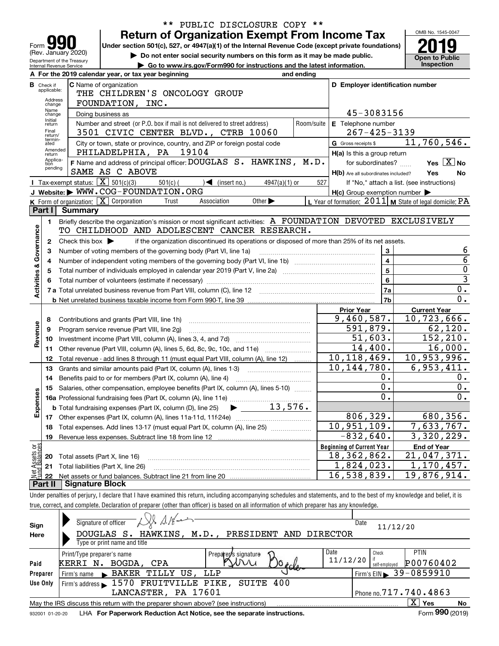|                                                                                                                                     |                   |                                                        | ** PUBLIC DISCLOSURE COPY **                                                                                                                                               |                                                           |                                            |  |  |  |  |
|-------------------------------------------------------------------------------------------------------------------------------------|-------------------|--------------------------------------------------------|----------------------------------------------------------------------------------------------------------------------------------------------------------------------------|-----------------------------------------------------------|--------------------------------------------|--|--|--|--|
|                                                                                                                                     |                   |                                                        | <b>Return of Organization Exempt From Income Tax</b>                                                                                                                       |                                                           | OMB No. 1545-0047                          |  |  |  |  |
| Form                                                                                                                                |                   |                                                        | Under section 501(c), 527, or 4947(a)(1) of the Internal Revenue Code (except private foundations)                                                                         |                                                           |                                            |  |  |  |  |
|                                                                                                                                     |                   | (Rev. January 2020)                                    | Do not enter social security numbers on this form as it may be made public.                                                                                                |                                                           | <b>Open to Public</b>                      |  |  |  |  |
|                                                                                                                                     |                   | Department of the Treasury<br>Internal Revenue Service | Go to www.irs.gov/Form990 for instructions and the latest information.                                                                                                     |                                                           | Inspection                                 |  |  |  |  |
|                                                                                                                                     |                   |                                                        | A For the 2019 calendar year, or tax year beginning<br>and ending                                                                                                          |                                                           |                                            |  |  |  |  |
|                                                                                                                                     | <b>B</b> Check if |                                                        | <b>C</b> Name of organization                                                                                                                                              | D Employer identification number                          |                                            |  |  |  |  |
| applicable:<br>THE CHILDREN'S ONCOLOGY GROUP                                                                                        |                   |                                                        |                                                                                                                                                                            |                                                           |                                            |  |  |  |  |
| Address<br>FOUNDATION, INC.<br>change                                                                                               |                   |                                                        |                                                                                                                                                                            |                                                           |                                            |  |  |  |  |
| Name<br>45-3083156<br>Doing business as<br>change                                                                                   |                   |                                                        |                                                                                                                                                                            |                                                           |                                            |  |  |  |  |
| Initial<br>Number and street (or P.O. box if mail is not delivered to street address)<br>Room/suite<br>E Telephone number<br>return |                   |                                                        |                                                                                                                                                                            |                                                           |                                            |  |  |  |  |
|                                                                                                                                     | Final<br>return/  |                                                        | 3501 CIVIC CENTER BLVD., CTRB 10060                                                                                                                                        | $267 - 425 - 3139$                                        |                                            |  |  |  |  |
|                                                                                                                                     | termin-<br>ated   |                                                        | City or town, state or province, country, and ZIP or foreign postal code                                                                                                   | G Gross receipts \$                                       | 11,760,546.                                |  |  |  |  |
|                                                                                                                                     | Amended<br>return |                                                        | PHILADELPHIA, PA 19104                                                                                                                                                     | H(a) Is this a group return                               |                                            |  |  |  |  |
|                                                                                                                                     | Applica-<br>tion  |                                                        | F Name and address of principal officer: DOUGLAS S. HAWKINS, M.D.                                                                                                          | for subordinates?                                         | Yes $\boxed{\text{X}}$ No                  |  |  |  |  |
|                                                                                                                                     | pending           |                                                        | SAME AS C ABOVE                                                                                                                                                            | H(b) Are all subordinates included?                       | Yes<br>No                                  |  |  |  |  |
|                                                                                                                                     |                   | Tax-exempt status: $\boxed{\mathbf{X}}$ 501(c)(3)      | $\sqrt{\frac{1}{1}}$ (insert no.)<br>$501(c)$ (<br>$4947(a)(1)$ or                                                                                                         | 527                                                       | If "No," attach a list. (see instructions) |  |  |  |  |
|                                                                                                                                     |                   |                                                        | J Website: WWW.COG-FOUNDATION.ORG                                                                                                                                          | $H(c)$ Group exemption number $\blacktriangleright$       |                                            |  |  |  |  |
|                                                                                                                                     |                   |                                                        | K Form of organization: X Corporation<br>Trust<br>Association<br>Other $\blacktriangleright$                                                                               | L Year of formation: $2011$ M State of legal domicile: PA |                                            |  |  |  |  |
|                                                                                                                                     | Part I            | <b>Summary</b>                                         |                                                                                                                                                                            |                                                           |                                            |  |  |  |  |
|                                                                                                                                     | 1                 |                                                        | Briefly describe the organization's mission or most significant activities: A_FOUNDATION DEVOTED EXCLUSIVELY                                                               |                                                           |                                            |  |  |  |  |
| <b>Activities &amp; Governance</b>                                                                                                  |                   |                                                        | TO CHILDHOOD AND ADOLESCENT CANCER RESEARCH.                                                                                                                               |                                                           |                                            |  |  |  |  |
|                                                                                                                                     | $\mathbf{2}$      | Check this box $\blacktriangleright$                   | if the organization discontinued its operations or disposed of more than 25% of its net assets.                                                                            |                                                           |                                            |  |  |  |  |
|                                                                                                                                     | з                 |                                                        | Number of voting members of the governing body (Part VI, line 1a)                                                                                                          | 3                                                         | 6                                          |  |  |  |  |
|                                                                                                                                     | 4                 |                                                        |                                                                                                                                                                            | $\overline{\mathbf{4}}$                                   | $\overline{6}$                             |  |  |  |  |
|                                                                                                                                     | 5                 |                                                        |                                                                                                                                                                            | $\overline{5}$                                            | $\overline{0}$                             |  |  |  |  |
|                                                                                                                                     | 6                 |                                                        |                                                                                                                                                                            | $6\phantom{a}$                                            | $\overline{3}$                             |  |  |  |  |
|                                                                                                                                     |                   |                                                        |                                                                                                                                                                            | 7a                                                        | 0.                                         |  |  |  |  |
|                                                                                                                                     |                   |                                                        |                                                                                                                                                                            | 7b                                                        | $\overline{0}$ .                           |  |  |  |  |
|                                                                                                                                     |                   |                                                        |                                                                                                                                                                            | <b>Prior Year</b>                                         | <b>Current Year</b>                        |  |  |  |  |
|                                                                                                                                     | 8                 |                                                        |                                                                                                                                                                            | 9,460,587.                                                | 10, 723, 666.                              |  |  |  |  |
| Revenue                                                                                                                             | 9                 |                                                        | Program service revenue (Part VIII, line 2g)                                                                                                                               | 591,879.                                                  | 62,120.                                    |  |  |  |  |
|                                                                                                                                     | 10                |                                                        |                                                                                                                                                                            | 51,603.                                                   | 152, 210.                                  |  |  |  |  |
|                                                                                                                                     | 11                |                                                        | Other revenue (Part VIII, column (A), lines 5, 6d, 8c, 9c, 10c, and 11e)                                                                                                   | 14,400.                                                   | 16,000.                                    |  |  |  |  |
|                                                                                                                                     | 12                |                                                        | Total revenue - add lines 8 through 11 (must equal Part VIII, column (A), line 12)                                                                                         | 10, 118, 469.                                             | 10,953,996.                                |  |  |  |  |
|                                                                                                                                     | 13                |                                                        | Grants and similar amounts paid (Part IX, column (A), lines 1-3)                                                                                                           | 10, 144, 780.                                             | 6,953,411.                                 |  |  |  |  |
|                                                                                                                                     | 14                |                                                        | Benefits paid to or for members (Part IX, column (A), line 4)                                                                                                              | 0.                                                        | 0.                                         |  |  |  |  |
|                                                                                                                                     |                   |                                                        | Salaries, other compensation, employee benefits (Part IX, column (A), lines 5-10)                                                                                          | $\overline{\mathbf{0}}$ .                                 | $\overline{0}$ .                           |  |  |  |  |
| Expenses                                                                                                                            |                   |                                                        | 16a Professional fundraising fees (Part IX, column (A), line 11e)<br>$\frac{13,576}{.}$                                                                                    | 0.                                                        | $\overline{0}$ .                           |  |  |  |  |
|                                                                                                                                     |                   |                                                        | <b>b</b> Total fundraising expenses (Part IX, column (D), line 25)                                                                                                         |                                                           |                                            |  |  |  |  |
|                                                                                                                                     | 17                |                                                        | Other expenses (Part IX, column (A), lines 11a-11d, 11f-24e)                                                                                                               | 806,329.                                                  | 680, 356.                                  |  |  |  |  |
|                                                                                                                                     | 18                |                                                        | Total expenses. Add lines 13-17 (must equal Part IX, column (A), line 25)                                                                                                  | $\overline{10,951,109}$ .                                 | 7,633,767.                                 |  |  |  |  |
|                                                                                                                                     | 19                |                                                        | Revenue less expenses. Subtract line 18 from line 12                                                                                                                       | $-832,640.$                                               | 3,320,229.                                 |  |  |  |  |
| Net Assets or<br>Fund Balances                                                                                                      |                   |                                                        |                                                                                                                                                                            | <b>Beginning of Current Year</b>                          | <b>End of Year</b>                         |  |  |  |  |
|                                                                                                                                     | 20                | Total assets (Part X, line 16)                         |                                                                                                                                                                            | 18,362,862.                                               | 21,047,371.                                |  |  |  |  |
|                                                                                                                                     | 21                |                                                        | Total liabilities (Part X, line 26)                                                                                                                                        | 1,824,023.                                                | 1,170,457.                                 |  |  |  |  |
|                                                                                                                                     | 22                |                                                        |                                                                                                                                                                            | $\overline{16}$ , 538, 839.                               | 19,876,914.                                |  |  |  |  |
|                                                                                                                                     | Part II           | <b>Signature Block</b>                                 |                                                                                                                                                                            |                                                           |                                            |  |  |  |  |
|                                                                                                                                     |                   |                                                        | Under penalties of perjury, I declare that I have examined this return, including accompanying schedules and statements, and to the best of my knowledge and belief, it is |                                                           |                                            |  |  |  |  |
|                                                                                                                                     |                   |                                                        | true, correct, and complete. Declaration of preparer (other than officer) is based on all information of which preparer has any knowledge.                                 |                                                           |                                            |  |  |  |  |
|                                                                                                                                     |                   |                                                        |                                                                                                                                                                            |                                                           |                                            |  |  |  |  |
| Sign                                                                                                                                |                   |                                                        | Signature of officer                                                                                                                                                       | Date                                                      | 11/12/20                                   |  |  |  |  |
| Here                                                                                                                                |                   |                                                        | DOUGLAS S. HAWKINS, M.D., PRESIDENT AND DIRECTOR                                                                                                                           |                                                           |                                            |  |  |  |  |

| Here     | DOUGLAS S. HAWKINS, M.D., PRESIDENT AND DIRECTOR                                                             |                                        |  |  |  |  |  |  |  |
|----------|--------------------------------------------------------------------------------------------------------------|----------------------------------------|--|--|--|--|--|--|--|
|          | Type or print name and title                                                                                 |                                        |  |  |  |  |  |  |  |
|          | Print/Type preparer's name<br>Preparer's signature                                                           | Date<br><b>PTIN</b><br>Check           |  |  |  |  |  |  |  |
| Paid     | BOGDA, CPA<br>KERRI N.<br>$-400$                                                                             | 11/12/20<br>P00760402<br>self-employed |  |  |  |  |  |  |  |
| Preparer | BAKER TILLY US, LLP<br>Firm's name                                                                           | Firm's EIN 39-0859910                  |  |  |  |  |  |  |  |
| Use Only | Firm's address 1570 FRUITVILLE PIKE, SUITE 400                                                               |                                        |  |  |  |  |  |  |  |
|          | LANCASTER, PA 17601                                                                                          | Phone no. $717.740.4863$               |  |  |  |  |  |  |  |
|          | х<br>May the IRS discuss this return with the preparer shown above? (see instructions)<br>Yes<br>No          |                                        |  |  |  |  |  |  |  |
|          | Form 990 (2019)<br>LHA For Paperwork Reduction Act Notice, see the separate instructions.<br>932001 01-20-20 |                                        |  |  |  |  |  |  |  |

932001 01-20-20 LHA **For Paperwork Reduction Act Notice, see the separate instructions.**<br>932001 01-20-20 LHA **For Paperwork Reduction Act Notice, see the separate instructions.**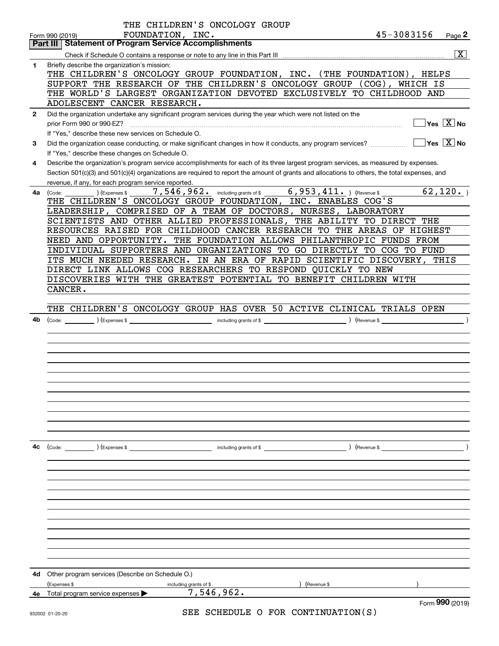|              | THE CHILDREN'S ONCOLOGY GROUP                                                                                                                |                                        |                                                 |
|--------------|----------------------------------------------------------------------------------------------------------------------------------------------|----------------------------------------|-------------------------------------------------|
|              | 45-3083156<br>FOUNDATION, INC.<br>Form 990 (2019)                                                                                            |                                        | Page 2                                          |
|              | <b>Statement of Program Service Accomplishments</b><br>Part III                                                                              |                                        |                                                 |
|              | Check if Schedule O contains a response or note to any line in this Part III                                                                 |                                        | $\overline{\mathbf{X}}$                         |
| 1            | Briefly describe the organization's mission:<br>THE CHILDREN'S ONCOLOGY GROUP FOUNDATION, INC. (THE FOUNDATION), HELPS                       |                                        |                                                 |
|              | SUPPORT THE RESEARCH OF THE CHILDREN'S ONCOLOGY GROUP (COG), WHICH IS                                                                        |                                        |                                                 |
|              | THE WORLD'S LARGEST ORGANIZATION DEVOTED EXCLUSIVELY TO CHILDHOOD AND                                                                        |                                        |                                                 |
|              | ADOLESCENT CANCER RESEARCH.                                                                                                                  |                                        |                                                 |
| $\mathbf{2}$ | Did the organization undertake any significant program services during the year which were not listed on the                                 |                                        |                                                 |
|              | prior Form 990 or 990-EZ?                                                                                                                    |                                        | $\overline{\ }$ Yes $\overline{\phantom{X}}$ No |
|              | If "Yes," describe these new services on Schedule O.                                                                                         |                                        |                                                 |
| 3            | Did the organization cease conducting, or make significant changes in how it conducts, any program services?                                 | $\sqrt{}$ Yes $\sqrt{}$ X $\sqrt{}$ No |                                                 |
|              | If "Yes," describe these changes on Schedule O.                                                                                              |                                        |                                                 |
| 4            | Describe the organization's program service accomplishments for each of its three largest program services, as measured by expenses.         |                                        |                                                 |
|              | Section 501(c)(3) and 501(c)(4) organizations are required to report the amount of grants and allocations to others, the total expenses, and |                                        |                                                 |
|              | revenue, if any, for each program service reported.                                                                                          |                                        |                                                 |
| 4a           | $7,546,962.$ including grants of $$5,953,411.$ (Revenue \$)<br>(Expenses \$<br>(Code:                                                        |                                        | 62, 120.                                        |
|              | THE CHILDREN'S ONCOLOGY GROUP FOUNDATION, INC. ENABLES COG'S                                                                                 |                                        |                                                 |
|              | LEADERSHIP, COMPRISED OF A TEAM OF DOCTORS, NURSES, LABORATORY                                                                               |                                        |                                                 |
|              | SCIENTISTS AND OTHER ALLIED PROFESSIONALS, THE ABILITY TO DIRECT THE                                                                         |                                        |                                                 |
|              | RESOURCES RAISED FOR CHILDHOOD CANCER RESEARCH TO THE AREAS OF HIGHEST                                                                       |                                        |                                                 |
|              | NEED AND OPPORTUNITY. THE FOUNDATION ALLOWS PHILANTHROPIC FUNDS FROM                                                                         |                                        |                                                 |
|              | INDIVIDUAL SUPPORTERS AND ORGANIZATIONS TO GO DIRECTLY TO COG TO FUND                                                                        |                                        |                                                 |
|              | ITS MUCH NEEDED RESEARCH. IN AN ERA OF RAPID SCIENTIFIC DISCOVERY, THIS                                                                      |                                        |                                                 |
|              | DIRECT LINK ALLOWS COG RESEARCHERS TO RESPOND QUICKLY TO NEW                                                                                 |                                        |                                                 |
|              | DISCOVERIES WITH THE GREATEST POTENTIAL TO BENEFIT CHILDREN WITH                                                                             |                                        |                                                 |
|              | CANCER.                                                                                                                                      |                                        |                                                 |
|              | THE CHILDREN'S ONCOLOGY GROUP HAS OVER 50 ACTIVE CLINICAL TRIALS OPEN                                                                        |                                        |                                                 |
| 4b           |                                                                                                                                              |                                        |                                                 |
|              |                                                                                                                                              |                                        |                                                 |
|              |                                                                                                                                              |                                        |                                                 |
|              |                                                                                                                                              |                                        |                                                 |
|              |                                                                                                                                              |                                        |                                                 |
|              |                                                                                                                                              |                                        |                                                 |
|              |                                                                                                                                              |                                        |                                                 |
|              |                                                                                                                                              |                                        |                                                 |
|              |                                                                                                                                              |                                        |                                                 |
|              |                                                                                                                                              |                                        |                                                 |
|              |                                                                                                                                              |                                        |                                                 |
|              |                                                                                                                                              |                                        |                                                 |
|              |                                                                                                                                              |                                        |                                                 |
| 4c           | (Code: ) (Expenses \$<br>including grants of \$<br>) (Revenue \$                                                                             |                                        |                                                 |
|              |                                                                                                                                              |                                        |                                                 |
|              |                                                                                                                                              |                                        |                                                 |
|              |                                                                                                                                              |                                        |                                                 |
|              |                                                                                                                                              |                                        |                                                 |
|              |                                                                                                                                              |                                        |                                                 |
|              |                                                                                                                                              |                                        |                                                 |
|              |                                                                                                                                              |                                        |                                                 |
|              |                                                                                                                                              |                                        |                                                 |
|              |                                                                                                                                              |                                        |                                                 |
|              |                                                                                                                                              |                                        |                                                 |
|              |                                                                                                                                              |                                        |                                                 |
| 4d           | Other program services (Describe on Schedule O.)                                                                                             |                                        |                                                 |
|              | (Expenses \$<br>(Revenue \$<br>including grants of \$                                                                                        |                                        |                                                 |
| 4е           | 7,546,962.<br>Total program service expenses                                                                                                 |                                        |                                                 |
|              |                                                                                                                                              |                                        | Form 990 (2019)                                 |
|              |                                                                                                                                              |                                        |                                                 |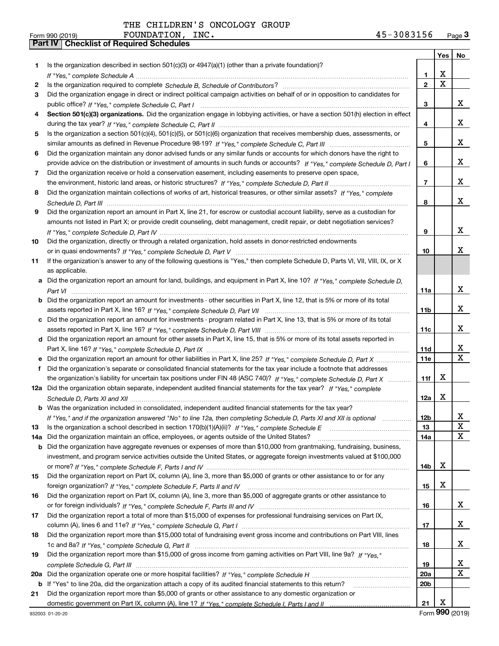|     |                                                                                                                                  |                 | Yes                     | No                      |
|-----|----------------------------------------------------------------------------------------------------------------------------------|-----------------|-------------------------|-------------------------|
| 1.  | Is the organization described in section $501(c)(3)$ or $4947(a)(1)$ (other than a private foundation)?                          |                 |                         |                         |
|     |                                                                                                                                  | 1.              | X                       |                         |
| 2   |                                                                                                                                  | $\overline{2}$  | $\overline{\mathbf{x}}$ |                         |
| 3   | Did the organization engage in direct or indirect political campaign activities on behalf of or in opposition to candidates for  |                 |                         |                         |
|     |                                                                                                                                  | 3               |                         | x                       |
| 4   | Section 501(c)(3) organizations. Did the organization engage in lobbying activities, or have a section 501(h) election in effect |                 |                         |                         |
|     |                                                                                                                                  | 4               |                         | x                       |
| 5   | Is the organization a section 501(c)(4), 501(c)(5), or 501(c)(6) organization that receives membership dues, assessments, or     |                 |                         |                         |
|     |                                                                                                                                  | 5               |                         | x                       |
| 6   | Did the organization maintain any donor advised funds or any similar funds or accounts for which donors have the right to        |                 |                         |                         |
|     | provide advice on the distribution or investment of amounts in such funds or accounts? If "Yes," complete Schedule D, Part I     | 6               |                         | x                       |
| 7   | Did the organization receive or hold a conservation easement, including easements to preserve open space,                        |                 |                         |                         |
|     |                                                                                                                                  | $\overline{7}$  |                         | x                       |
| 8   | Did the organization maintain collections of works of art, historical treasures, or other similar assets? If "Yes," complete     |                 |                         |                         |
|     |                                                                                                                                  | 8               |                         | X                       |
| 9   | Did the organization report an amount in Part X, line 21, for escrow or custodial account liability, serve as a custodian for    |                 |                         |                         |
|     | amounts not listed in Part X; or provide credit counseling, debt management, credit repair, or debt negotiation services?        |                 |                         |                         |
|     |                                                                                                                                  | 9               |                         | x                       |
| 10  | Did the organization, directly or through a related organization, hold assets in donor-restricted endowments                     |                 |                         |                         |
|     |                                                                                                                                  | 10              |                         | x                       |
| 11  | If the organization's answer to any of the following questions is "Yes," then complete Schedule D, Parts VI, VII, VIII, IX, or X |                 |                         |                         |
|     | as applicable.                                                                                                                   |                 |                         |                         |
|     | a Did the organization report an amount for land, buildings, and equipment in Part X, line 10? If "Yes," complete Schedule D,    |                 |                         |                         |
|     |                                                                                                                                  | 11a             |                         | x                       |
| b   | Did the organization report an amount for investments - other securities in Part X, line 12, that is 5% or more of its total     |                 |                         |                         |
|     |                                                                                                                                  | 11 <sub>b</sub> |                         | x                       |
| c   | Did the organization report an amount for investments - program related in Part X, line 13, that is 5% or more of its total      |                 |                         |                         |
|     |                                                                                                                                  | 11c             |                         | x                       |
|     | d Did the organization report an amount for other assets in Part X, line 15, that is 5% or more of its total assets reported in  |                 |                         |                         |
|     |                                                                                                                                  | 11d             |                         | x                       |
|     | Did the organization report an amount for other liabilities in Part X, line 25? If "Yes," complete Schedule D, Part X            | 11e             |                         | $\overline{\mathbf{X}}$ |
| f   | Did the organization's separate or consolidated financial statements for the tax year include a footnote that addresses          |                 |                         |                         |
|     | the organization's liability for uncertain tax positions under FIN 48 (ASC 740)? If "Yes," complete Schedule D, Part X           | 11f             | X                       |                         |
|     | 12a Did the organization obtain separate, independent audited financial statements for the tax year? If "Yes," complete          |                 |                         |                         |
|     |                                                                                                                                  | 12a             | X                       |                         |
|     | <b>b</b> Was the organization included in consolidated, independent audited financial statements for the tax year?               |                 |                         |                         |
|     | If "Yes," and if the organization answered "No" to line 12a, then completing Schedule D, Parts XI and XII is optional            | 12D             |                         | ᅀ                       |
| 13  |                                                                                                                                  | 13              |                         | X                       |
| 14a | Did the organization maintain an office, employees, or agents outside of the United States?                                      | 14a             |                         | X                       |
| b   | Did the organization have aggregate revenues or expenses of more than \$10,000 from grantmaking, fundraising, business,          |                 |                         |                         |
|     | investment, and program service activities outside the United States, or aggregate foreign investments valued at \$100,000       |                 |                         |                         |
|     |                                                                                                                                  | 14b             | х                       |                         |
| 15  | Did the organization report on Part IX, column (A), line 3, more than \$5,000 of grants or other assistance to or for any        |                 |                         |                         |
|     |                                                                                                                                  | 15              | х                       |                         |
| 16  | Did the organization report on Part IX, column (A), line 3, more than \$5,000 of aggregate grants or other assistance to         |                 |                         |                         |
|     |                                                                                                                                  | 16              |                         | X                       |
| 17  | Did the organization report a total of more than \$15,000 of expenses for professional fundraising services on Part IX,          |                 |                         |                         |
|     |                                                                                                                                  | 17              |                         | x                       |
| 18  | Did the organization report more than \$15,000 total of fundraising event gross income and contributions on Part VIII, lines     |                 |                         |                         |
|     |                                                                                                                                  | 18              |                         | x                       |
| 19  | Did the organization report more than \$15,000 of gross income from gaming activities on Part VIII, line 9a? If "Yes."           |                 |                         |                         |
|     |                                                                                                                                  | 19              |                         | x                       |
| 20a |                                                                                                                                  | 20a             |                         | $\mathbf X$             |
| b   | If "Yes" to line 20a, did the organization attach a copy of its audited financial statements to this return?                     | 20 <sub>b</sub> |                         |                         |
| 21  | Did the organization report more than \$5,000 of grants or other assistance to any domestic organization or                      |                 |                         |                         |
|     |                                                                                                                                  | 21              | X                       |                         |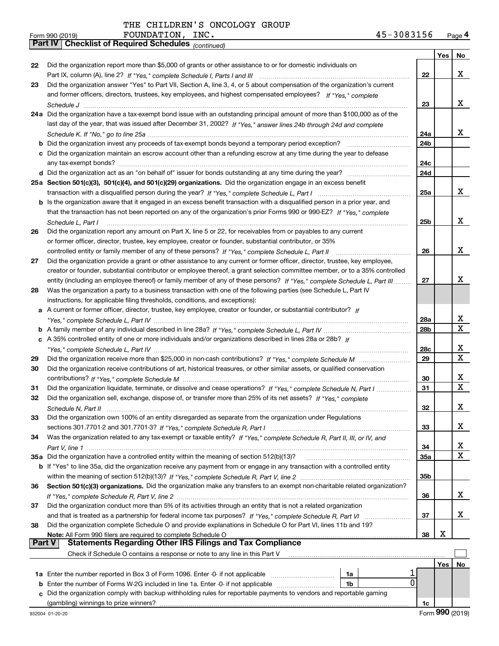|               | 45-3083156<br>FOUNDATION, INC.<br>Form 990 (2019)                                                                            |                 |     | Page 4      |
|---------------|------------------------------------------------------------------------------------------------------------------------------|-----------------|-----|-------------|
|               | Part IV   Checklist of Required Schedules (continued)                                                                        |                 |     |             |
|               |                                                                                                                              |                 | Yes | No          |
| 22            | Did the organization report more than \$5,000 of grants or other assistance to or for domestic individuals on                |                 |     |             |
|               |                                                                                                                              | 22              |     | x           |
| 23            | Did the organization answer "Yes" to Part VII, Section A, line 3, 4, or 5 about compensation of the organization's current   |                 |     |             |
|               | and former officers, directors, trustees, key employees, and highest compensated employees? If "Yes," complete               |                 |     |             |
|               |                                                                                                                              | 23              |     | X           |
|               | 24a Did the organization have a tax-exempt bond issue with an outstanding principal amount of more than \$100,000 as of the  |                 |     |             |
|               | last day of the year, that was issued after December 31, 2002? If "Yes," answer lines 24b through 24d and complete           |                 |     |             |
|               |                                                                                                                              | 24a             |     | x           |
|               |                                                                                                                              | 24b             |     |             |
|               | c Did the organization maintain an escrow account other than a refunding escrow at any time during the year to defease       |                 |     |             |
|               |                                                                                                                              | 24c             |     |             |
|               |                                                                                                                              | 24d             |     |             |
|               | 25a Section 501(c)(3), 501(c)(4), and 501(c)(29) organizations. Did the organization engage in an excess benefit             |                 |     |             |
|               |                                                                                                                              | 25a             |     | X           |
|               | b Is the organization aware that it engaged in an excess benefit transaction with a disqualified person in a prior year, and |                 |     |             |
|               | that the transaction has not been reported on any of the organization's prior Forms 990 or 990-EZ? If "Yes," complete        |                 |     |             |
|               | Schedule L. Part I                                                                                                           | 25b             |     | x           |
| 26            | Did the organization report any amount on Part X, line 5 or 22, for receivables from or payables to any current              |                 |     |             |
|               | or former officer, director, trustee, key employee, creator or founder, substantial contributor, or 35%                      |                 |     |             |
|               |                                                                                                                              | 26              |     | x           |
| 27            | Did the organization provide a grant or other assistance to any current or former officer, director, trustee, key employee,  |                 |     |             |
|               | creator or founder, substantial contributor or employee thereof, a grant selection committee member, or to a 35% controlled  |                 |     |             |
|               | entity (including an employee thereof) or family member of any of these persons? If "Yes," complete Schedule L, Part III     | 27              |     | x           |
| 28            | Was the organization a party to a business transaction with one of the following parties (see Schedule L, Part IV            |                 |     |             |
|               | instructions, for applicable filing thresholds, conditions, and exceptions):                                                 |                 |     |             |
|               | a A current or former officer, director, trustee, key employee, creator or founder, or substantial contributor? If           |                 |     |             |
|               |                                                                                                                              | 28a             |     | x           |
|               |                                                                                                                              | 28 <sub>b</sub> |     | X           |
|               | c A 35% controlled entity of one or more individuals and/or organizations described in lines 28a or 28b? If                  |                 |     |             |
|               |                                                                                                                              | 28c             |     | х           |
| 29            |                                                                                                                              | 29              |     | $\mathbf x$ |
| 30            | Did the organization receive contributions of art, historical treasures, or other similar assets, or qualified conservation  |                 |     |             |
|               |                                                                                                                              | 30              |     | x           |
| 31            | Did the organization liquidate, terminate, or dissolve and cease operations? If "Yes," complete Schedule N, Part I           | 31              |     | X           |
|               | Did the organization sell, exchange, dispose of, or transfer more than 25% of its net assets? If "Yes," complete             |                 |     |             |
|               |                                                                                                                              | 32              |     | x           |
| 33            | Did the organization own 100% of an entity disregarded as separate from the organization under Regulations                   |                 |     |             |
|               |                                                                                                                              | 33              |     | х           |
| 34            | Was the organization related to any tax-exempt or taxable entity? If "Yes," complete Schedule R, Part II, III, or IV, and    |                 |     |             |
|               |                                                                                                                              | 34              |     | х           |
|               | 35a Did the organization have a controlled entity within the meaning of section 512(b)(13)?                                  | 35a             |     | X           |
|               | b If "Yes" to line 35a, did the organization receive any payment from or engage in any transaction with a controlled entity  |                 |     |             |
|               |                                                                                                                              | 35b             |     |             |
| 36            | Section 501(c)(3) organizations. Did the organization make any transfers to an exempt non-charitable related organization?   |                 |     |             |
|               |                                                                                                                              | 36              |     | x           |
| 37            | Did the organization conduct more than 5% of its activities through an entity that is not a related organization             |                 |     |             |
|               |                                                                                                                              | 37              |     | х           |
| 38            | Did the organization complete Schedule O and provide explanations in Schedule O for Part VI, lines 11b and 19?               |                 |     |             |
|               | Note: All Form 990 filers are required to complete Schedule O                                                                | 38              | х   |             |
| <b>Part V</b> | <b>Statements Regarding Other IRS Filings and Tax Compliance</b>                                                             |                 |     |             |
|               | Check if Schedule O contains a response or note to any line in this Part V                                                   |                 |     |             |
|               |                                                                                                                              |                 | Yes | No          |
|               | 1a                                                                                                                           | ı               |     |             |
|               | <b>b</b> Enter the number of Forms W-2G included in line 1a. Enter -0- if not applicable <i>manumumumum</i><br>1b            | 0               |     |             |
|               | c Did the organization comply with backup withholding rules for reportable payments to vendors and reportable gaming         |                 |     |             |
|               |                                                                                                                              | 1c              |     |             |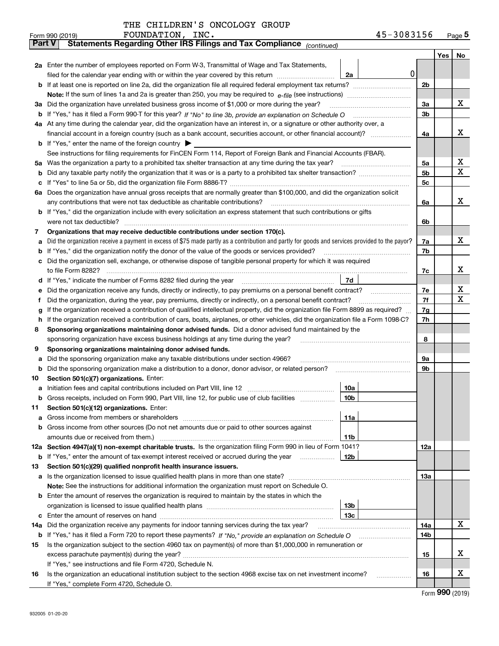|               | FOUNDATION, INC.<br>Form 990 (2019)                                                                                                                                                                                                              |                 | 45-3083156 |            |     | $Page$ <sup>5</sup> |
|---------------|--------------------------------------------------------------------------------------------------------------------------------------------------------------------------------------------------------------------------------------------------|-----------------|------------|------------|-----|---------------------|
| <b>Part V</b> | Statements Regarding Other IRS Filings and Tax Compliance (continued)                                                                                                                                                                            |                 |            |            |     |                     |
|               |                                                                                                                                                                                                                                                  |                 |            |            | Yes | No                  |
|               | 2a Enter the number of employees reported on Form W-3, Transmittal of Wage and Tax Statements,                                                                                                                                                   |                 |            |            |     |                     |
|               | filed for the calendar year ending with or within the year covered by this return                                                                                                                                                                | 2a              | 0          |            |     |                     |
|               |                                                                                                                                                                                                                                                  |                 |            | 2b         |     |                     |
|               |                                                                                                                                                                                                                                                  |                 |            |            |     |                     |
|               | 3a Did the organization have unrelated business gross income of \$1,000 or more during the year?                                                                                                                                                 |                 |            | 3a         |     | х                   |
|               |                                                                                                                                                                                                                                                  |                 |            | 3b         |     |                     |
|               | 4a At any time during the calendar year, did the organization have an interest in, or a signature or other authority over, a                                                                                                                     |                 |            |            |     |                     |
|               |                                                                                                                                                                                                                                                  |                 |            | 4a         |     | x                   |
|               | <b>b</b> If "Yes," enter the name of the foreign country $\blacktriangleright$                                                                                                                                                                   |                 |            |            |     |                     |
|               | See instructions for filing requirements for FinCEN Form 114, Report of Foreign Bank and Financial Accounts (FBAR).                                                                                                                              |                 |            |            |     |                     |
| 5a            | Was the organization a party to a prohibited tax shelter transaction at any time during the tax year?                                                                                                                                            |                 |            | 5a         |     | X                   |
| b             |                                                                                                                                                                                                                                                  |                 |            | 5b         |     | X                   |
| c             |                                                                                                                                                                                                                                                  |                 |            | 5c         |     |                     |
|               | 6a Does the organization have annual gross receipts that are normally greater than \$100,000, and did the organization solicit                                                                                                                   |                 |            |            |     |                     |
|               | any contributions that were not tax deductible as charitable contributions?                                                                                                                                                                      |                 |            | 6a         |     | x                   |
|               | b If "Yes," did the organization include with every solicitation an express statement that such contributions or gifts                                                                                                                           |                 |            |            |     |                     |
|               | were not tax deductible?                                                                                                                                                                                                                         |                 |            | 6b         |     |                     |
| 7             | Organizations that may receive deductible contributions under section 170(c).                                                                                                                                                                    |                 |            |            |     |                     |
| a             | Did the organization receive a payment in excess of \$75 made partly as a contribution and partly for goods and services provided to the payor?                                                                                                  |                 |            | 7a         |     | х                   |
| b             | If "Yes," did the organization notify the donor of the value of the goods or services provided?                                                                                                                                                  |                 |            | 7b         |     |                     |
|               | Did the organization sell, exchange, or otherwise dispose of tangible personal property for which it was required                                                                                                                                |                 |            |            |     | х                   |
|               |                                                                                                                                                                                                                                                  |                 |            | 7c         |     |                     |
| d             |                                                                                                                                                                                                                                                  | 7d              |            |            |     | X                   |
| е             | Did the organization receive any funds, directly or indirectly, to pay premiums on a personal benefit contract?                                                                                                                                  |                 |            | 7e<br>7f   |     | X                   |
| f             | Did the organization, during the year, pay premiums, directly or indirectly, on a personal benefit contract?<br>If the organization received a contribution of qualified intellectual property, did the organization file Form 8899 as required? |                 |            |            |     |                     |
| g<br>h.       | If the organization received a contribution of cars, boats, airplanes, or other vehicles, did the organization file a Form 1098-C?                                                                                                               |                 |            | 7g<br>7h   |     |                     |
| 8             | Sponsoring organizations maintaining donor advised funds. Did a donor advised fund maintained by the                                                                                                                                             |                 |            |            |     |                     |
|               | sponsoring organization have excess business holdings at any time during the year?                                                                                                                                                               |                 |            | 8          |     |                     |
| 9             | Sponsoring organizations maintaining donor advised funds.                                                                                                                                                                                        |                 |            |            |     |                     |
| a             | Did the sponsoring organization make any taxable distributions under section 4966?                                                                                                                                                               |                 |            | 9а         |     |                     |
| b             | Did the sponsoring organization make a distribution to a donor, donor advisor, or related person?                                                                                                                                                |                 |            | 9b         |     |                     |
| 10            | Section 501(c)(7) organizations. Enter:                                                                                                                                                                                                          |                 |            |            |     |                     |
|               |                                                                                                                                                                                                                                                  | 10a             |            |            |     |                     |
|               | Gross receipts, included on Form 990, Part VIII, line 12, for public use of club facilities                                                                                                                                                      | 10b             |            |            |     |                     |
| 11            | Section 501(c)(12) organizations. Enter:                                                                                                                                                                                                         |                 |            |            |     |                     |
| a             | Gross income from members or shareholders                                                                                                                                                                                                        | 11a             |            |            |     |                     |
|               | b Gross income from other sources (Do not net amounts due or paid to other sources against                                                                                                                                                       |                 |            |            |     |                     |
|               |                                                                                                                                                                                                                                                  | 11b             |            |            |     |                     |
|               | 12a Section 4947(a)(1) non-exempt charitable trusts. Is the organization filing Form 990 in lieu of Form 1041?                                                                                                                                   |                 |            | 12a        |     |                     |
|               | <b>b</b> If "Yes," enter the amount of tax-exempt interest received or accrued during the year <i>manument</i>                                                                                                                                   | 12 <sub>b</sub> |            |            |     |                     |
| 13            | Section 501(c)(29) qualified nonprofit health insurance issuers.                                                                                                                                                                                 |                 |            |            |     |                     |
|               | a Is the organization licensed to issue qualified health plans in more than one state?                                                                                                                                                           |                 |            | <b>13a</b> |     |                     |
|               | Note: See the instructions for additional information the organization must report on Schedule O.                                                                                                                                                |                 |            |            |     |                     |
|               | <b>b</b> Enter the amount of reserves the organization is required to maintain by the states in which the                                                                                                                                        |                 |            |            |     |                     |
|               |                                                                                                                                                                                                                                                  | 13 <sub>b</sub> |            |            |     |                     |
|               |                                                                                                                                                                                                                                                  | 13c             |            |            |     |                     |
| 14a           | Did the organization receive any payments for indoor tanning services during the tax year?                                                                                                                                                       |                 |            | 14a        |     | х                   |
|               | <b>b</b> If "Yes," has it filed a Form 720 to report these payments? If "No," provide an explanation on Schedule O                                                                                                                               |                 |            | 14b        |     |                     |
| 15            | Is the organization subject to the section 4960 tax on payment(s) of more than \$1,000,000 in remuneration or                                                                                                                                    |                 |            |            |     |                     |
|               |                                                                                                                                                                                                                                                  |                 |            | 15         |     | X                   |
|               | If "Yes," see instructions and file Form 4720, Schedule N.                                                                                                                                                                                       |                 |            |            |     |                     |
| 16            | Is the organization an educational institution subject to the section 4968 excise tax on net investment income?                                                                                                                                  |                 |            | 16         |     | X                   |
|               | If "Yes," complete Form 4720, Schedule O.                                                                                                                                                                                                        |                 |            |            |     |                     |

Form (2019) **990**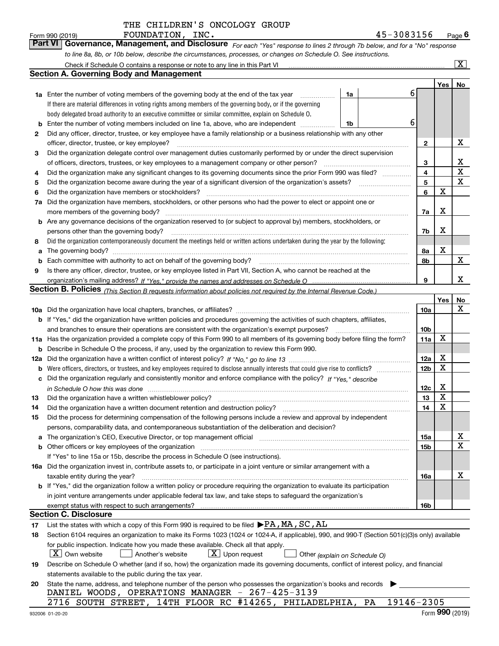*For each "Yes" response to lines 2 through 7b below, and for a "No" response to line 8a, 8b, or 10b below, describe the circumstances, processes, or changes on Schedule O. See instructions.* Form 990 (2019) **FOUNDATION, INC.**<br>**Part VI Governance, Management, and Disclosure** For each "Yes" response to lines 2 through 7b below, and for a "No" response

|     | Check if Schedule O contains a response or note to any line in this Part VI                                                                                                                                                    |    |            |                 |     | X           |  |  |  |  |
|-----|--------------------------------------------------------------------------------------------------------------------------------------------------------------------------------------------------------------------------------|----|------------|-----------------|-----|-------------|--|--|--|--|
|     | Section A. Governing Body and Management                                                                                                                                                                                       |    |            |                 |     |             |  |  |  |  |
|     |                                                                                                                                                                                                                                |    |            |                 | Yes | No          |  |  |  |  |
|     | 1a Enter the number of voting members of the governing body at the end of the tax year                                                                                                                                         | 1a |            | 6               |     |             |  |  |  |  |
|     | If there are material differences in voting rights among members of the governing body, or if the governing                                                                                                                    |    |            |                 |     |             |  |  |  |  |
|     | body delegated broad authority to an executive committee or similar committee, explain on Schedule O.                                                                                                                          |    |            |                 |     |             |  |  |  |  |
| b   | Enter the number of voting members included on line 1a, above, who are independent                                                                                                                                             | 1b |            | 6               |     |             |  |  |  |  |
| 2   | Did any officer, director, trustee, or key employee have a family relationship or a business relationship with any other                                                                                                       |    |            |                 |     |             |  |  |  |  |
|     | officer, director, trustee, or key employee?                                                                                                                                                                                   |    |            | $\mathbf{2}$    |     | х           |  |  |  |  |
| 3   | Did the organization delegate control over management duties customarily performed by or under the direct supervision                                                                                                          |    |            |                 |     |             |  |  |  |  |
|     | of officers, directors, trustees, or key employees to a management company or other person?                                                                                                                                    |    |            | 3               |     | х           |  |  |  |  |
| 4   | Did the organization make any significant changes to its governing documents since the prior Form 990 was filed?                                                                                                               |    |            | 4               |     | $\mathbf X$ |  |  |  |  |
| 5   |                                                                                                                                                                                                                                |    |            |                 |     |             |  |  |  |  |
| 6   | Did the organization have members or stockholders?                                                                                                                                                                             |    |            | 6               | X   |             |  |  |  |  |
| 7a  | Did the organization have members, stockholders, or other persons who had the power to elect or appoint one or                                                                                                                 |    |            |                 |     |             |  |  |  |  |
|     | more members of the governing body?                                                                                                                                                                                            |    |            | 7a              | X   |             |  |  |  |  |
|     | <b>b</b> Are any governance decisions of the organization reserved to (or subject to approval by) members, stockholders, or                                                                                                    |    |            |                 |     |             |  |  |  |  |
|     | persons other than the governing body?                                                                                                                                                                                         |    |            | 7b              | X   |             |  |  |  |  |
| 8   | Did the organization contemporaneously document the meetings held or written actions undertaken during the year by the following:                                                                                              |    |            |                 |     |             |  |  |  |  |
| a   | The governing body?                                                                                                                                                                                                            |    |            | 8a              | X   |             |  |  |  |  |
| b   |                                                                                                                                                                                                                                |    |            | 8b              |     | Χ           |  |  |  |  |
| 9   | Is there any officer, director, trustee, or key employee listed in Part VII, Section A, who cannot be reached at the                                                                                                           |    |            |                 |     |             |  |  |  |  |
|     |                                                                                                                                                                                                                                |    |            | 9               |     | x           |  |  |  |  |
|     | <b>Section B. Policies</b> (This Section B requests information about policies not required by the Internal Revenue Code.)                                                                                                     |    |            |                 |     |             |  |  |  |  |
|     |                                                                                                                                                                                                                                |    |            |                 | Yes | No          |  |  |  |  |
|     |                                                                                                                                                                                                                                |    |            | 10a             |     | x           |  |  |  |  |
|     | <b>b</b> If "Yes," did the organization have written policies and procedures governing the activities of such chapters, affiliates,                                                                                            |    |            |                 |     |             |  |  |  |  |
|     | and branches to ensure their operations are consistent with the organization's exempt purposes?                                                                                                                                |    |            | 10 <sub>b</sub> | X   |             |  |  |  |  |
|     | 11a Has the organization provided a complete copy of this Form 990 to all members of its governing body before filing the form?                                                                                                |    |            |                 |     |             |  |  |  |  |
| b   | Describe in Schedule O the process, if any, used by the organization to review this Form 990.                                                                                                                                  |    |            |                 |     |             |  |  |  |  |
| 12a |                                                                                                                                                                                                                                |    |            |                 |     |             |  |  |  |  |
| b   |                                                                                                                                                                                                                                |    |            | 12 <sub>b</sub> | X   |             |  |  |  |  |
| с   | Did the organization regularly and consistently monitor and enforce compliance with the policy? If "Yes," describe                                                                                                             |    |            |                 |     |             |  |  |  |  |
|     | in Schedule O how this was done measured and contained a state of the state of the state of the state of the s                                                                                                                 |    |            | 12c             | х   |             |  |  |  |  |
| 13  | Did the organization have a written whistleblower policy?                                                                                                                                                                      |    |            | 13              | X   |             |  |  |  |  |
| 14  | Did the organization have a written document retention and destruction policy?                                                                                                                                                 |    |            | 14              | X   |             |  |  |  |  |
| 15  | Did the process for determining compensation of the following persons include a review and approval by independent                                                                                                             |    |            |                 |     |             |  |  |  |  |
|     | persons, comparability data, and contemporaneous substantiation of the deliberation and decision?                                                                                                                              |    |            |                 |     |             |  |  |  |  |
| a   | The organization's CEO, Executive Director, or top management official manufactured content content of the organization's CEO, Executive Director, or top management official manufactured content of the original manufacture |    |            | 15a             |     | х           |  |  |  |  |
|     |                                                                                                                                                                                                                                |    |            | 15 <sub>b</sub> |     | Χ           |  |  |  |  |
|     | If "Yes" to line 15a or 15b, describe the process in Schedule O (see instructions).                                                                                                                                            |    |            |                 |     |             |  |  |  |  |
|     | 16a Did the organization invest in, contribute assets to, or participate in a joint venture or similar arrangement with a                                                                                                      |    |            |                 |     |             |  |  |  |  |
|     | taxable entity during the year?                                                                                                                                                                                                |    |            | 16a             |     | х           |  |  |  |  |
|     | b If "Yes," did the organization follow a written policy or procedure requiring the organization to evaluate its participation                                                                                                 |    |            |                 |     |             |  |  |  |  |
|     | in joint venture arrangements under applicable federal tax law, and take steps to safeguard the organization's                                                                                                                 |    |            |                 |     |             |  |  |  |  |
|     | exempt status with respect to such arrangements?                                                                                                                                                                               |    |            | 16b             |     |             |  |  |  |  |
|     | Section C. Disclosure                                                                                                                                                                                                          |    |            |                 |     |             |  |  |  |  |
| 17  | List the states with which a copy of this Form 990 is required to be filed $\blacktriangleright$ PA, MA, SC, AL                                                                                                                |    |            |                 |     |             |  |  |  |  |
| 18  | Section 6104 requires an organization to make its Forms 1023 (1024 or 1024-A, if applicable), 990, and 990-T (Section 501(c)(3)s only) available                                                                               |    |            |                 |     |             |  |  |  |  |
|     | for public inspection. Indicate how you made these available. Check all that apply.                                                                                                                                            |    |            |                 |     |             |  |  |  |  |
|     | $X$ Own website<br>$\lfloor x \rfloor$ Upon request<br>Another's website<br>Other (explain on Schedule O)                                                                                                                      |    |            |                 |     |             |  |  |  |  |
| 19  | Describe on Schedule O whether (and if so, how) the organization made its governing documents, conflict of interest policy, and financial                                                                                      |    |            |                 |     |             |  |  |  |  |
|     | statements available to the public during the tax year.                                                                                                                                                                        |    |            |                 |     |             |  |  |  |  |
| 20  | State the name, address, and telephone number of the person who possesses the organization's books and records                                                                                                                 |    |            |                 |     |             |  |  |  |  |
|     | DANIEL WOODS, OPERATIONS MANAGER - 267-425-3139                                                                                                                                                                                |    |            |                 |     |             |  |  |  |  |
|     | 2716 SOUTH STREET, 14TH FLOOR RC #14265, PHILADELPHIA, PA                                                                                                                                                                      |    | 19146-2305 |                 |     |             |  |  |  |  |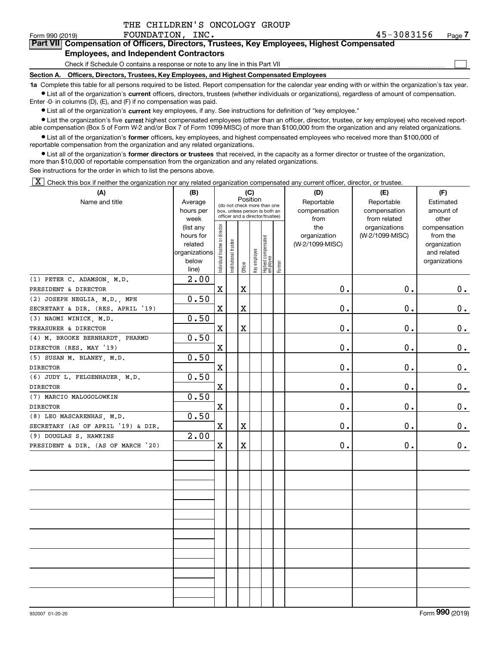|  | THE CHILDREN'S ONCOLOGY GROUP |  |
|--|-------------------------------|--|
|  |                               |  |

 $\mathcal{L}^{\text{max}}$ 

# Form 990 (2019) Page **7Part VII Compensation of Officers, Directors, Trustees, Key Employees, Highest Compensated Employees, and Independent Contractors**

Check if Schedule O contains a response or note to any line in this Part VII

**Section A. Officers, Directors, Trustees, Key Employees, and Highest Compensated Employees**

**1a**  Complete this table for all persons required to be listed. Report compensation for the calendar year ending with or within the organization's tax year. **•** List all of the organization's current officers, directors, trustees (whether individuals or organizations), regardless of amount of compensation.

Enter -0- in columns (D), (E), and (F) if no compensation was paid.

 $\bullet$  List all of the organization's  $\,$ current key employees, if any. See instructions for definition of "key employee."

**•** List the organization's five current highest compensated employees (other than an officer, director, trustee, or key employee) who received reportable compensation (Box 5 of Form W-2 and/or Box 7 of Form 1099-MISC) of more than \$100,000 from the organization and any related organizations.

**•** List all of the organization's former officers, key employees, and highest compensated employees who received more than \$100,000 of reportable compensation from the organization and any related organizations.

**former directors or trustees**  ¥ List all of the organization's that received, in the capacity as a former director or trustee of the organization, more than \$10,000 of reportable compensation from the organization and any related organizations.

See instructions for the order in which to list the persons above.

 $\boxed{\textbf{X}}$  Check this box if neither the organization nor any related organization compensated any current officer, director, or trustee.

| (A)                                | (B)                    |                                         |                                                                  |             | (C)          |                                 |        | (D)                 | (E)                              | (F)                      |  |
|------------------------------------|------------------------|-----------------------------------------|------------------------------------------------------------------|-------------|--------------|---------------------------------|--------|---------------------|----------------------------------|--------------------------|--|
| Name and title                     | Average                | Position<br>(do not check more than one |                                                                  |             |              |                                 |        | Reportable          | Reportable                       | Estimated                |  |
|                                    | hours per              |                                         | box, unless person is both an<br>officer and a director/trustee) |             |              |                                 |        | compensation        | compensation                     | amount of                |  |
|                                    | week                   |                                         |                                                                  |             |              |                                 |        | from                | from related                     | other                    |  |
|                                    | (list any<br>hours for |                                         |                                                                  |             |              |                                 |        | the<br>organization | organizations<br>(W-2/1099-MISC) | compensation<br>from the |  |
|                                    | related                |                                         |                                                                  |             |              |                                 |        | (W-2/1099-MISC)     |                                  | organization             |  |
|                                    | organizations          |                                         |                                                                  |             |              |                                 |        |                     |                                  | and related              |  |
|                                    | below                  |                                         |                                                                  |             |              |                                 |        |                     |                                  | organizations            |  |
|                                    | line)                  | Individual trustee or director          | Institutional trustee                                            | Officer     | Key employee | Highest compensated<br>employee | Former |                     |                                  |                          |  |
| (1) PETER C. ADAMSON, M.D.         | 2.00                   |                                         |                                                                  |             |              |                                 |        |                     |                                  |                          |  |
| PRESIDENT & DIRECTOR               |                        | $\mathbf X$                             |                                                                  | $\mathbf X$ |              |                                 |        | $0$ .               | 0.                               | 0.                       |  |
| (2) JOSEPH NEGLIA, M.D., MPH       | 0.50                   |                                         |                                                                  |             |              |                                 |        |                     |                                  |                          |  |
| SECRETARY & DIR. (RES. APRIL '19)  |                        | $\mathbf X$                             |                                                                  | $\mathbf X$ |              |                                 |        | 0.                  | 0.                               | 0.                       |  |
| (3) NAOMI WINICK, M.D.             | 0.50                   |                                         |                                                                  |             |              |                                 |        |                     |                                  |                          |  |
| TREASURER & DIRECTOR               |                        | $\mathbf X$                             |                                                                  | $\mathbf X$ |              |                                 |        | 0.                  | 0.                               | $\mathbf 0$ .            |  |
| (4) M. BROOKE BERNHARDT, PHARMD    | 0.50                   |                                         |                                                                  |             |              |                                 |        |                     |                                  |                          |  |
| DIRECTOR (RES. MAY '19)            |                        | $\mathbf X$                             |                                                                  |             |              |                                 |        | 0.                  | 0.                               | 0.                       |  |
| (5) SUSAN M. BLANEY, M.D.          | 0.50                   |                                         |                                                                  |             |              |                                 |        |                     |                                  |                          |  |
| <b>DIRECTOR</b>                    |                        | $\mathbf X$                             |                                                                  |             |              |                                 |        | $0$ .               | 0.                               | 0.                       |  |
| (6) JUDY L. FELGENHAUER, M.D.      | 0.50                   |                                         |                                                                  |             |              |                                 |        |                     |                                  |                          |  |
| <b>DIRECTOR</b>                    |                        | $\mathbf x$                             |                                                                  |             |              |                                 |        | 0.                  | 0.                               | 0.                       |  |
| (7) MARCIO MALOGOLOWKIN            | 0.50                   |                                         |                                                                  |             |              |                                 |        |                     |                                  |                          |  |
| <b>DIRECTOR</b>                    |                        | $\mathbf x$                             |                                                                  |             |              |                                 |        | $0$ .               | 0.                               | 0.                       |  |
| (8) LEO MASCARENHAS, M.D.          | 0.50                   |                                         |                                                                  |             |              |                                 |        |                     |                                  |                          |  |
| SECRETARY (AS OF APRIL '19) & DIR. |                        | $\mathbf X$                             |                                                                  | $\mathbf X$ |              |                                 |        | 0.                  | 0.                               | 0.                       |  |
| (9) DOUGLAS S. HAWKINS             | 2.00                   |                                         |                                                                  |             |              |                                 |        |                     |                                  |                          |  |
| PRESIDENT & DIR. (AS OF MARCH '20) |                        | $\mathbf X$                             |                                                                  | $\mathbf X$ |              |                                 |        | 0.                  | 0.                               | 0.                       |  |
|                                    |                        |                                         |                                                                  |             |              |                                 |        |                     |                                  |                          |  |
|                                    |                        |                                         |                                                                  |             |              |                                 |        |                     |                                  |                          |  |
|                                    |                        |                                         |                                                                  |             |              |                                 |        |                     |                                  |                          |  |
|                                    |                        |                                         |                                                                  |             |              |                                 |        |                     |                                  |                          |  |
|                                    |                        |                                         |                                                                  |             |              |                                 |        |                     |                                  |                          |  |
|                                    |                        |                                         |                                                                  |             |              |                                 |        |                     |                                  |                          |  |
|                                    |                        |                                         |                                                                  |             |              |                                 |        |                     |                                  |                          |  |
|                                    |                        |                                         |                                                                  |             |              |                                 |        |                     |                                  |                          |  |
|                                    |                        |                                         |                                                                  |             |              |                                 |        |                     |                                  |                          |  |
|                                    |                        |                                         |                                                                  |             |              |                                 |        |                     |                                  |                          |  |
|                                    |                        |                                         |                                                                  |             |              |                                 |        |                     |                                  |                          |  |
|                                    |                        |                                         |                                                                  |             |              |                                 |        |                     |                                  |                          |  |
|                                    |                        |                                         |                                                                  |             |              |                                 |        |                     |                                  |                          |  |
|                                    |                        |                                         |                                                                  |             |              |                                 |        |                     |                                  |                          |  |
|                                    |                        |                                         |                                                                  |             |              |                                 |        |                     |                                  |                          |  |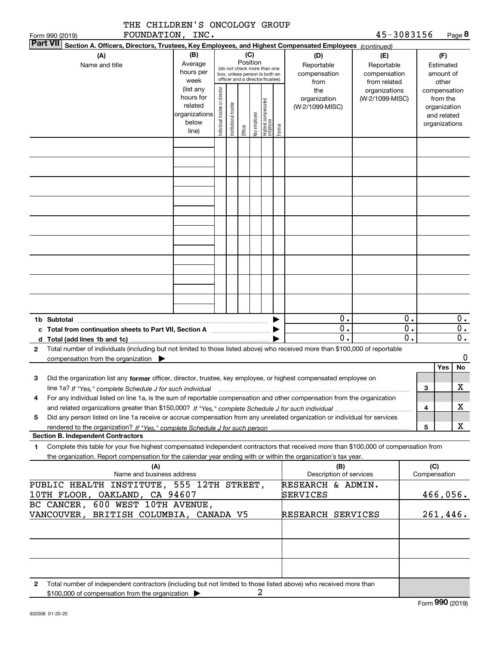| THE CHILDREN'S ONCOLOGY GROUP<br>FOUNDATION, INC.<br>Form 990 (2019)                                                                                                                                                                                              |                                                                      |                                |                       |                                                                                                             |              |                                 |        |                                                     | 45-3083156                                        |                                            |                     |                                                                          | Page 8                                              |
|-------------------------------------------------------------------------------------------------------------------------------------------------------------------------------------------------------------------------------------------------------------------|----------------------------------------------------------------------|--------------------------------|-----------------------|-------------------------------------------------------------------------------------------------------------|--------------|---------------------------------|--------|-----------------------------------------------------|---------------------------------------------------|--------------------------------------------|---------------------|--------------------------------------------------------------------------|-----------------------------------------------------|
| <b>Part VII</b><br>Section A. Officers, Directors, Trustees, Key Employees, and Highest Compensated Employees (continued)                                                                                                                                         |                                                                      |                                |                       |                                                                                                             |              |                                 |        |                                                     |                                                   |                                            |                     |                                                                          |                                                     |
| (A)<br>Name and title                                                                                                                                                                                                                                             | (B)<br>Average<br>hours per<br>week                                  |                                |                       | Position<br>(do not check more than one<br>box, unless person is both an<br>officer and a director/trustee) | (C)          |                                 |        | (D)<br>Reportable<br>compensation<br>from           | (E)<br>Reportable<br>compensation<br>from related |                                            |                     | (F)<br>Estimated<br>amount of<br>other                                   |                                                     |
|                                                                                                                                                                                                                                                                   | (list any<br>hours for<br>related<br>organizations<br>below<br>line) | Individual trustee or director | Institutional trustee | Officer                                                                                                     | Key employee | Highest compensated<br>employee | Former | the<br>organization<br>(W-2/1099-MISC)              | organizations<br>(W-2/1099-MISC)                  |                                            |                     | compensation<br>from the<br>organization<br>and related<br>organizations |                                                     |
|                                                                                                                                                                                                                                                                   |                                                                      |                                |                       |                                                                                                             |              |                                 |        |                                                     |                                                   |                                            |                     |                                                                          |                                                     |
|                                                                                                                                                                                                                                                                   |                                                                      |                                |                       |                                                                                                             |              |                                 |        |                                                     |                                                   |                                            |                     |                                                                          |                                                     |
|                                                                                                                                                                                                                                                                   |                                                                      |                                |                       |                                                                                                             |              |                                 |        |                                                     |                                                   |                                            |                     |                                                                          |                                                     |
|                                                                                                                                                                                                                                                                   |                                                                      |                                |                       |                                                                                                             |              |                                 |        |                                                     |                                                   |                                            |                     |                                                                          |                                                     |
|                                                                                                                                                                                                                                                                   |                                                                      |                                |                       |                                                                                                             |              |                                 |        |                                                     |                                                   |                                            |                     |                                                                          |                                                     |
| 1b Subtotal<br>c Total from continuation sheets to Part VII, Section A [11, 11] [11] Total from continuation sheets to Part VII, Section A                                                                                                                        |                                                                      |                                |                       |                                                                                                             |              |                                 |        | 0.<br>$\overline{0}$ .<br>$\mathbf 0$ .             |                                                   | 0.<br>$\overline{0}$ .<br>$\overline{0}$ . |                     |                                                                          | 0.<br>$\overline{0}$ .<br>$\overline{\mathbf{0}}$ . |
| Total number of individuals (including but not limited to those listed above) who received more than \$100,000 of reportable<br>2<br>compensation from the organization                                                                                           |                                                                      |                                |                       |                                                                                                             |              |                                 |        |                                                     |                                                   |                                            |                     | <b>Yes</b>                                                               | 0<br>No                                             |
| Did the organization list any former officer, director, trustee, key employee, or highest compensated employee on<br>З<br>line 1a? If "Yes," complete Schedule J for such individual manufactured contained and the Yes," complete Schedule J for such individual |                                                                      |                                |                       |                                                                                                             |              |                                 |        |                                                     |                                                   |                                            | 3                   |                                                                          | X                                                   |
| For any individual listed on line 1a, is the sum of reportable compensation and other compensation from the organization<br>4<br>Did any person listed on line 1a receive or accrue compensation from any unrelated organization or individual for services<br>5  |                                                                      |                                |                       |                                                                                                             |              |                                 |        |                                                     |                                                   |                                            | 4                   |                                                                          | x.                                                  |
| <b>Section B. Independent Contractors</b>                                                                                                                                                                                                                         |                                                                      |                                |                       |                                                                                                             |              |                                 |        |                                                     |                                                   |                                            | 5                   |                                                                          | x                                                   |
| Complete this table for your five highest compensated independent contractors that received more than \$100,000 of compensation from<br>1<br>the organization. Report compensation for the calendar year ending with or within the organization's tax year.       |                                                                      |                                |                       |                                                                                                             |              |                                 |        |                                                     |                                                   |                                            |                     |                                                                          |                                                     |
| (A)<br>Name and business address<br>PUBLIC HEALTH INSTITUTE, 555 12TH STREET,                                                                                                                                                                                     |                                                                      |                                |                       |                                                                                                             |              |                                 |        | (B)<br>Description of services<br>RESEARCH & ADMIN. |                                                   |                                            | (C)<br>Compensation |                                                                          |                                                     |
| 10TH FLOOR, OAKLAND, CA 94607<br>BC CANCER, 600 WEST 10TH AVENUE,                                                                                                                                                                                                 |                                                                      |                                |                       |                                                                                                             |              |                                 |        | SERVICES                                            |                                                   |                                            |                     |                                                                          | 466,056.                                            |
| VANCOUVER, BRITISH COLUMBIA, CANADA V5                                                                                                                                                                                                                            |                                                                      |                                |                       |                                                                                                             |              |                                 |        | RESEARCH SERVICES                                   |                                                   |                                            |                     | 261,446.                                                                 |                                                     |
|                                                                                                                                                                                                                                                                   |                                                                      |                                |                       |                                                                                                             |              |                                 |        |                                                     |                                                   |                                            |                     |                                                                          |                                                     |
| Total number of independent contractors (including but not limited to those listed above) who received more than<br>2<br>\$100,000 of compensation from the organization                                                                                          |                                                                      |                                |                       |                                                                                                             |              | 2                               |        |                                                     |                                                   |                                            |                     |                                                                          |                                                     |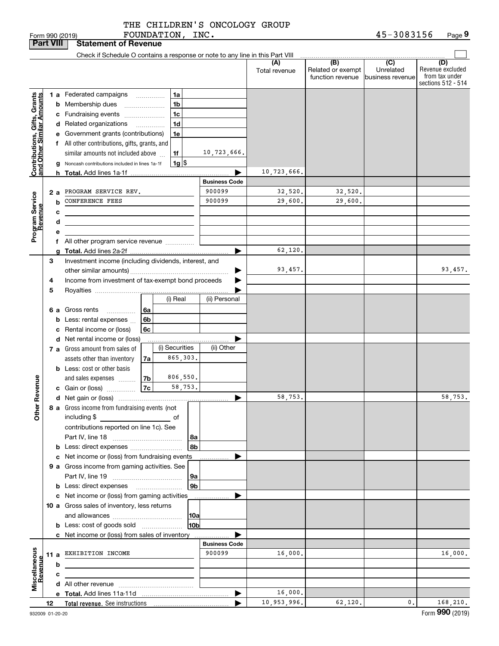FOUNDATION, INC.

|                                                           | <b>Part VIII</b> | <b>Statement of Revenue</b>                                                                                          |                      |                        |                                              |                                                 |                                                                 |
|-----------------------------------------------------------|------------------|----------------------------------------------------------------------------------------------------------------------|----------------------|------------------------|----------------------------------------------|-------------------------------------------------|-----------------------------------------------------------------|
|                                                           |                  | Check if Schedule O contains a response or note to any line in this Part VIII                                        |                      |                        |                                              |                                                 |                                                                 |
|                                                           |                  |                                                                                                                      |                      | (A)<br>Total revenue   | (B)<br>Related or exempt<br>function revenue | $\overline{C}$<br>Unrelated<br>business revenue | (D)<br>Revenue excluded<br>from tax under<br>sections 512 - 514 |
|                                                           |                  | <b>1 a</b> Federated campaigns<br>1a                                                                                 |                      |                        |                                              |                                                 |                                                                 |
| Contributions, Gifts, Grants<br>and Other Similar Amounts |                  | <b>b</b> Membership dues<br>1b                                                                                       |                      |                        |                                              |                                                 |                                                                 |
|                                                           |                  | c Fundraising events<br>1c                                                                                           |                      |                        |                                              |                                                 |                                                                 |
|                                                           |                  | 1d<br>d Related organizations                                                                                        |                      |                        |                                              |                                                 |                                                                 |
|                                                           |                  | e Government grants (contributions)<br>1e                                                                            |                      |                        |                                              |                                                 |                                                                 |
|                                                           |                  | f All other contributions, gifts, grants, and                                                                        |                      |                        |                                              |                                                 |                                                                 |
|                                                           |                  | similar amounts not included above<br>1f                                                                             | 10,723,666.          |                        |                                              |                                                 |                                                                 |
|                                                           |                  | $1g$ $\frac{1}{3}$<br>g Noncash contributions included in lines 1a-1f                                                |                      |                        |                                              |                                                 |                                                                 |
|                                                           |                  |                                                                                                                      |                      | 10,723,666.            |                                              |                                                 |                                                                 |
|                                                           |                  |                                                                                                                      | <b>Business Code</b> |                        |                                              |                                                 |                                                                 |
|                                                           | 2а               | PROGRAM SERVICE REV.                                                                                                 | 900099               | 32,520.                | 32,520.                                      |                                                 |                                                                 |
|                                                           | b                | <b>CONFERENCE FEES</b>                                                                                               | 900099               | 29,600.                | 29,600.                                      |                                                 |                                                                 |
| Program Service<br>Revenue                                | c                |                                                                                                                      |                      |                        |                                              |                                                 |                                                                 |
|                                                           | d                | <u> 1989 - Johann Stein, marwolaethau a bhann an t-Amhair an t-Amhair an t-Amhair an t-Amhair an t-Amhair an t-A</u> |                      |                        |                                              |                                                 |                                                                 |
|                                                           | е                |                                                                                                                      |                      |                        |                                              |                                                 |                                                                 |
|                                                           |                  | f All other program service revenue                                                                                  |                      |                        |                                              |                                                 |                                                                 |
|                                                           |                  |                                                                                                                      | ▶                    | 62,120.                |                                              |                                                 |                                                                 |
|                                                           | 3                | Investment income (including dividends, interest, and                                                                |                      |                        |                                              |                                                 |                                                                 |
|                                                           |                  |                                                                                                                      |                      | 93,457.                |                                              |                                                 | 93,457.                                                         |
|                                                           | 4                | Income from investment of tax-exempt bond proceeds                                                                   |                      |                        |                                              |                                                 |                                                                 |
|                                                           | 5                | (i) Real                                                                                                             | (ii) Personal        |                        |                                              |                                                 |                                                                 |
|                                                           |                  |                                                                                                                      |                      |                        |                                              |                                                 |                                                                 |
|                                                           |                  | 6 a Gross rents<br>6a<br>.<br><b>b</b> Less: rental expenses $\ldots$<br>6b                                          |                      |                        |                                              |                                                 |                                                                 |
|                                                           |                  | c Rental income or (loss)<br>6c                                                                                      |                      |                        |                                              |                                                 |                                                                 |
|                                                           |                  | d Net rental income or (loss)                                                                                        |                      |                        |                                              |                                                 |                                                                 |
|                                                           |                  | (i) Securities<br>7 a Gross amount from sales of                                                                     | (ii) Other           |                        |                                              |                                                 |                                                                 |
|                                                           |                  | 865,303.<br>assets other than inventory<br>7a                                                                        |                      |                        |                                              |                                                 |                                                                 |
|                                                           |                  | <b>b</b> Less: cost or other basis                                                                                   |                      |                        |                                              |                                                 |                                                                 |
|                                                           |                  | 806,550.<br>7b<br>and sales expenses                                                                                 |                      |                        |                                              |                                                 |                                                                 |
| Revenue                                                   |                  | 58,753.<br>7c<br>c Gain or (loss)                                                                                    |                      |                        |                                              |                                                 |                                                                 |
|                                                           |                  |                                                                                                                      | ▶                    | 58,753.                |                                              |                                                 | 58,753.                                                         |
| <b>Othe</b>                                               |                  | 8 a Gross income from fundraising events (not<br>including \$                                                        |                      |                        |                                              |                                                 |                                                                 |
|                                                           |                  | contributions reported on line 1c). See                                                                              |                      |                        |                                              |                                                 |                                                                 |
|                                                           |                  | 8a                                                                                                                   |                      |                        |                                              |                                                 |                                                                 |
|                                                           |                  | 8b<br><b>b</b> Less: direct expenses                                                                                 |                      |                        |                                              |                                                 |                                                                 |
|                                                           |                  | c Net income or (loss) from fundraising events                                                                       |                      |                        |                                              |                                                 |                                                                 |
|                                                           |                  | 9 a Gross income from gaming activities. See                                                                         |                      |                        |                                              |                                                 |                                                                 |
|                                                           |                  | 9a                                                                                                                   |                      |                        |                                              |                                                 |                                                                 |
|                                                           |                  | 9 <sub>b</sub><br><b>b</b> Less: direct expenses <b>manually</b>                                                     |                      |                        |                                              |                                                 |                                                                 |
|                                                           |                  | c Net income or (loss) from gaming activities                                                                        |                      |                        |                                              |                                                 |                                                                 |
|                                                           |                  | 10 a Gross sales of inventory, less returns                                                                          |                      |                        |                                              |                                                 |                                                                 |
|                                                           |                  | 10a                                                                                                                  |                      |                        |                                              |                                                 |                                                                 |
|                                                           |                  | 10 <sub>b</sub><br><b>b</b> Less: cost of goods sold                                                                 |                      |                        |                                              |                                                 |                                                                 |
|                                                           |                  | c Net income or (loss) from sales of inventory                                                                       |                      |                        |                                              |                                                 |                                                                 |
|                                                           |                  |                                                                                                                      | <b>Business Code</b> |                        |                                              |                                                 |                                                                 |
|                                                           |                  | 11 a EXHIBITION INCOME                                                                                               | 900099               | 16,000.                |                                              |                                                 | 16,000.                                                         |
|                                                           | b                |                                                                                                                      |                      |                        |                                              |                                                 |                                                                 |
| Miscellaneous<br>Revenue                                  | c                |                                                                                                                      |                      |                        |                                              |                                                 |                                                                 |
|                                                           |                  |                                                                                                                      |                      |                        |                                              |                                                 |                                                                 |
|                                                           |                  |                                                                                                                      | ▶                    | 16,000.<br>10,953,996. | 62,120.                                      | $\mathbf{0}$ .                                  |                                                                 |
|                                                           | 12               |                                                                                                                      |                      |                        |                                              |                                                 | 168,210.                                                        |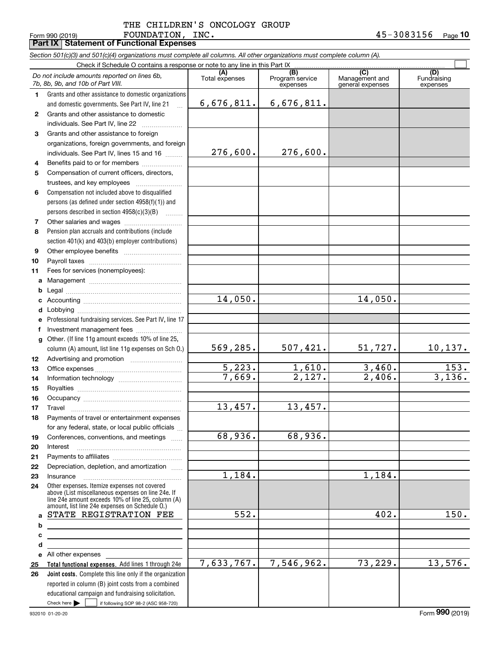#### Form 990 (2019) Page **Part IX Statement of Functional Expenses** FOUNDATION, INC. 45-3083156 THE CHILDREN'S ONCOLOGY GROUP

|                                                                             | Section 501(c)(3) and 501(c)(4) organizations must complete all columns. All other organizations must complete column (A). |                       |                                    |                                           |                                |  |  |  |  |  |
|-----------------------------------------------------------------------------|----------------------------------------------------------------------------------------------------------------------------|-----------------------|------------------------------------|-------------------------------------------|--------------------------------|--|--|--|--|--|
| Check if Schedule O contains a response or note to any line in this Part IX |                                                                                                                            |                       |                                    |                                           |                                |  |  |  |  |  |
|                                                                             | Do not include amounts reported on lines 6b,<br>7b, 8b, 9b, and 10b of Part VIII.                                          | (A)<br>Total expenses | (B)<br>Program service<br>expenses | (C)<br>Management and<br>general expenses | (D)<br>Fundraising<br>expenses |  |  |  |  |  |
| 1.                                                                          | Grants and other assistance to domestic organizations                                                                      |                       |                                    |                                           |                                |  |  |  |  |  |
|                                                                             | and domestic governments. See Part IV, line 21                                                                             | 6,676,811.            | 6,676,811.                         |                                           |                                |  |  |  |  |  |
| $\mathbf{2}$                                                                | Grants and other assistance to domestic                                                                                    |                       |                                    |                                           |                                |  |  |  |  |  |
|                                                                             | individuals. See Part IV, line 22                                                                                          |                       |                                    |                                           |                                |  |  |  |  |  |
| 3                                                                           | Grants and other assistance to foreign                                                                                     |                       |                                    |                                           |                                |  |  |  |  |  |
|                                                                             |                                                                                                                            |                       |                                    |                                           |                                |  |  |  |  |  |
|                                                                             | organizations, foreign governments, and foreign                                                                            |                       |                                    |                                           |                                |  |  |  |  |  |
|                                                                             | individuals. See Part IV, lines 15 and 16                                                                                  | 276,600.              | 276,600.                           |                                           |                                |  |  |  |  |  |
| 4                                                                           | Benefits paid to or for members                                                                                            |                       |                                    |                                           |                                |  |  |  |  |  |
| 5                                                                           | Compensation of current officers, directors,                                                                               |                       |                                    |                                           |                                |  |  |  |  |  |
|                                                                             | trustees, and key employees                                                                                                |                       |                                    |                                           |                                |  |  |  |  |  |
| 6                                                                           | Compensation not included above to disqualified                                                                            |                       |                                    |                                           |                                |  |  |  |  |  |
|                                                                             | persons (as defined under section 4958(f)(1)) and                                                                          |                       |                                    |                                           |                                |  |  |  |  |  |
|                                                                             | persons described in section 4958(c)(3)(B)                                                                                 |                       |                                    |                                           |                                |  |  |  |  |  |
| 7                                                                           |                                                                                                                            |                       |                                    |                                           |                                |  |  |  |  |  |
| 8                                                                           | Pension plan accruals and contributions (include                                                                           |                       |                                    |                                           |                                |  |  |  |  |  |
|                                                                             | section 401(k) and 403(b) employer contributions)                                                                          |                       |                                    |                                           |                                |  |  |  |  |  |
| 9                                                                           |                                                                                                                            |                       |                                    |                                           |                                |  |  |  |  |  |
| 10                                                                          |                                                                                                                            |                       |                                    |                                           |                                |  |  |  |  |  |
| 11                                                                          |                                                                                                                            |                       |                                    |                                           |                                |  |  |  |  |  |
|                                                                             | Fees for services (nonemployees):                                                                                          |                       |                                    |                                           |                                |  |  |  |  |  |
| a                                                                           |                                                                                                                            |                       |                                    |                                           |                                |  |  |  |  |  |
| b                                                                           |                                                                                                                            |                       |                                    |                                           |                                |  |  |  |  |  |
| c                                                                           |                                                                                                                            | 14,050.               |                                    | 14,050.                                   |                                |  |  |  |  |  |
| d                                                                           |                                                                                                                            |                       |                                    |                                           |                                |  |  |  |  |  |
| е                                                                           | Professional fundraising services. See Part IV, line 17                                                                    |                       |                                    |                                           |                                |  |  |  |  |  |
| f                                                                           | Investment management fees                                                                                                 |                       |                                    |                                           |                                |  |  |  |  |  |
| g                                                                           | Other. (If line 11g amount exceeds 10% of line 25,                                                                         |                       |                                    |                                           |                                |  |  |  |  |  |
|                                                                             | column (A) amount, list line 11g expenses on Sch O.)                                                                       | 569,285.              | 507,421.                           | 51,727.                                   | 10,137.                        |  |  |  |  |  |
| 12                                                                          |                                                                                                                            |                       |                                    |                                           |                                |  |  |  |  |  |
| 13                                                                          |                                                                                                                            | $\overline{5,223}$ .  | 1,610.                             | 3,460.                                    | 153.                           |  |  |  |  |  |
| 14                                                                          |                                                                                                                            | 7,669.                | 2,127.                             | 2,406.                                    | 3,136.                         |  |  |  |  |  |
| 15                                                                          |                                                                                                                            |                       |                                    |                                           |                                |  |  |  |  |  |
| 16                                                                          |                                                                                                                            |                       |                                    |                                           |                                |  |  |  |  |  |
| 17                                                                          |                                                                                                                            | 13,457.               | 13,457.                            |                                           |                                |  |  |  |  |  |
| 18                                                                          | Payments of travel or entertainment expenses                                                                               |                       |                                    |                                           |                                |  |  |  |  |  |
|                                                                             | for any federal, state, or local public officials                                                                          |                       |                                    |                                           |                                |  |  |  |  |  |
|                                                                             | Conferences, conventions, and meetings                                                                                     | 68,936.               | 68,936.                            |                                           |                                |  |  |  |  |  |
| 19                                                                          |                                                                                                                            |                       |                                    |                                           |                                |  |  |  |  |  |
| 20                                                                          | Interest                                                                                                                   |                       |                                    |                                           |                                |  |  |  |  |  |
| 21                                                                          |                                                                                                                            |                       |                                    |                                           |                                |  |  |  |  |  |
| 22                                                                          | Depreciation, depletion, and amortization                                                                                  |                       |                                    |                                           |                                |  |  |  |  |  |
| 23                                                                          | Insurance                                                                                                                  | 1,184.                |                                    | 1,184.                                    |                                |  |  |  |  |  |
| 24                                                                          | Other expenses. Itemize expenses not covered<br>above (List miscellaneous expenses on line 24e. If                         |                       |                                    |                                           |                                |  |  |  |  |  |
|                                                                             | line 24e amount exceeds 10% of line 25, column (A)                                                                         |                       |                                    |                                           |                                |  |  |  |  |  |
|                                                                             | amount, list line 24e expenses on Schedule O.)                                                                             |                       |                                    |                                           |                                |  |  |  |  |  |
|                                                                             | STATE REGISTRATION FEE                                                                                                     | 552.                  |                                    | 402.                                      | 150.                           |  |  |  |  |  |
| b                                                                           |                                                                                                                            |                       |                                    |                                           |                                |  |  |  |  |  |
| c                                                                           |                                                                                                                            |                       |                                    |                                           |                                |  |  |  |  |  |
| d                                                                           |                                                                                                                            |                       |                                    |                                           |                                |  |  |  |  |  |
| е                                                                           | All other expenses                                                                                                         |                       |                                    |                                           |                                |  |  |  |  |  |
| 25                                                                          | Total functional expenses. Add lines 1 through 24e                                                                         | 7,633,767.            | 7,546,962.                         | 73,229.                                   | 13,576.                        |  |  |  |  |  |
| 26                                                                          | Joint costs. Complete this line only if the organization                                                                   |                       |                                    |                                           |                                |  |  |  |  |  |
|                                                                             | reported in column (B) joint costs from a combined                                                                         |                       |                                    |                                           |                                |  |  |  |  |  |
|                                                                             | educational campaign and fundraising solicitation.                                                                         |                       |                                    |                                           |                                |  |  |  |  |  |
|                                                                             | Check here $\blacktriangleright$<br>if following SOP 98-2 (ASC 958-720)                                                    |                       |                                    |                                           |                                |  |  |  |  |  |
|                                                                             |                                                                                                                            |                       |                                    |                                           |                                |  |  |  |  |  |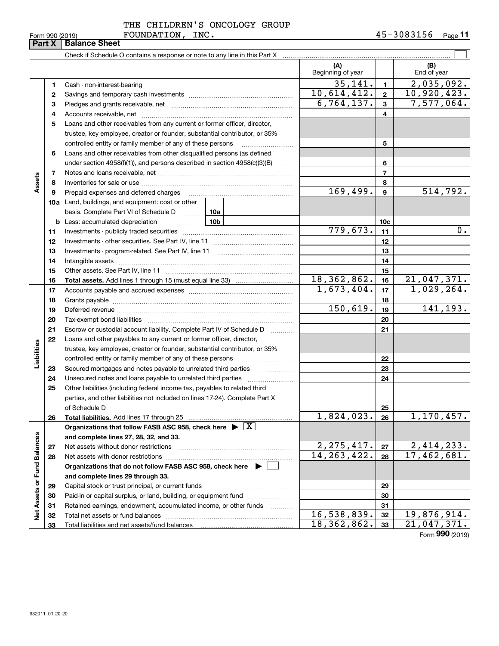|  | Form 990 (2019) |  |
|--|-----------------|--|
|  |                 |  |

# THE CHILDREN'S ONCOLOGY GROUP

|                             | Part X | ורוווו אוס (קו ס⊳נ<br>י איט ד דעשוויט ז<br><b>Balance Sheet</b>                                                                                                                                                                |                     |                                  |                 | <b>OCTCOOL</b><br>rage • • |
|-----------------------------|--------|--------------------------------------------------------------------------------------------------------------------------------------------------------------------------------------------------------------------------------|---------------------|----------------------------------|-----------------|----------------------------|
|                             |        |                                                                                                                                                                                                                                |                     |                                  |                 |                            |
|                             |        |                                                                                                                                                                                                                                |                     | (A)<br>Beginning of year         |                 | (B)<br>End of year         |
|                             | 1      | Cash - non-interest-bearing                                                                                                                                                                                                    |                     | 35,141.                          | $\blacksquare$  | 2,035,092.                 |
|                             | 2      |                                                                                                                                                                                                                                |                     | 10,614,412.                      | $\mathbf{2}$    | 10,920,423.                |
|                             | з      |                                                                                                                                                                                                                                |                     | 6, 764, 137.                     | $\mathbf{3}$    | 7,577,064.                 |
|                             | 4      |                                                                                                                                                                                                                                |                     |                                  | 4               |                            |
|                             | 5      | Loans and other receivables from any current or former officer, director,                                                                                                                                                      |                     |                                  |                 |                            |
|                             |        | trustee, key employee, creator or founder, substantial contributor, or 35%                                                                                                                                                     |                     |                                  |                 |                            |
|                             |        | controlled entity or family member of any of these persons                                                                                                                                                                     |                     |                                  | 5               |                            |
|                             | 6      | Loans and other receivables from other disqualified persons (as defined                                                                                                                                                        |                     |                                  |                 |                            |
|                             |        | under section $4958(f)(1)$ , and persons described in section $4958(c)(3)(B)$                                                                                                                                                  |                     |                                  | 6               |                            |
|                             | 7      |                                                                                                                                                                                                                                |                     |                                  | $\overline{7}$  |                            |
| Assets                      | 8      |                                                                                                                                                                                                                                |                     |                                  | 8               |                            |
|                             | 9      | Prepaid expenses and deferred charges                                                                                                                                                                                          |                     | 169,499.                         | $\mathbf{9}$    | 514, 792.                  |
|                             |        | 10a Land, buildings, and equipment: cost or other                                                                                                                                                                              |                     |                                  |                 |                            |
|                             |        | basis. Complete Part VI of Schedule D  10a                                                                                                                                                                                     |                     |                                  |                 |                            |
|                             |        | <b>b</b> Less: accumulated depreciation<br>. 1                                                                                                                                                                                 | 10 <sub>b</sub>     |                                  | 10 <sub>c</sub> |                            |
|                             | 11     |                                                                                                                                                                                                                                |                     | 779,673.                         | 11              | 0.                         |
|                             | 12     |                                                                                                                                                                                                                                |                     | 12                               |                 |                            |
|                             | 13     |                                                                                                                                                                                                                                |                     |                                  | 13              |                            |
|                             | 14     |                                                                                                                                                                                                                                |                     |                                  | 14              |                            |
|                             | 15     |                                                                                                                                                                                                                                |                     |                                  | 15              |                            |
|                             | 16     |                                                                                                                                                                                                                                |                     | 18, 362, 862.                    | 16              | 21,047,371.                |
|                             | 17     |                                                                                                                                                                                                                                | 1,673,404.          | 17                               | 1,029,264.      |                            |
|                             | 18     |                                                                                                                                                                                                                                |                     |                                  | 18              |                            |
|                             | 19     | Deferred revenue manual contracts and contracts are contracted and contract and contract are contracted and contract are contracted and contract are contracted and contract are contracted and contract are contracted and co |                     | 150,619.                         | 19              | 141, 193.                  |
|                             | 20     |                                                                                                                                                                                                                                |                     |                                  | 20              |                            |
|                             | 21     | Escrow or custodial account liability. Complete Part IV of Schedule D                                                                                                                                                          | 1.1.1.1.1.1.1.1.1.1 |                                  | 21              |                            |
|                             | 22     | Loans and other payables to any current or former officer, director,                                                                                                                                                           |                     |                                  |                 |                            |
| Liabilities                 |        | trustee, key employee, creator or founder, substantial contributor, or 35%                                                                                                                                                     |                     |                                  |                 |                            |
|                             |        | controlled entity or family member of any of these persons                                                                                                                                                                     |                     |                                  | 22              |                            |
|                             | 23     | Secured mortgages and notes payable to unrelated third parties                                                                                                                                                                 |                     |                                  | 23              |                            |
|                             | 24     | Unsecured notes and loans payable to unrelated third parties                                                                                                                                                                   |                     |                                  | 24              |                            |
|                             | 25     | Other liabilities (including federal income tax, payables to related third                                                                                                                                                     |                     |                                  |                 |                            |
|                             |        | parties, and other liabilities not included on lines 17-24). Complete Part X<br>of Schedule D                                                                                                                                  |                     |                                  | 25              |                            |
|                             | 26     | Total liabilities. Add lines 17 through 25                                                                                                                                                                                     |                     | 1,824,023.                       | 26              | 1,170,457.                 |
|                             |        | Organizations that follow FASB ASC 958, check here $\blacktriangleright \boxed{X}$                                                                                                                                             |                     |                                  |                 |                            |
|                             |        | and complete lines 27, 28, 32, and 33.                                                                                                                                                                                         |                     |                                  |                 |                            |
|                             | 27     | Net assets without donor restrictions                                                                                                                                                                                          |                     |                                  | 27              |                            |
|                             | 28     | Net assets with donor restrictions                                                                                                                                                                                             |                     | $2, 275, 417$ .<br>14, 263, 422. | 28              | 2,414,233.<br>17,462,681.  |
|                             |        | Organizations that do not follow FASB ASC 958, check here $\blacktriangleright$                                                                                                                                                |                     |                                  |                 |                            |
|                             |        | and complete lines 29 through 33.                                                                                                                                                                                              |                     |                                  |                 |                            |
|                             | 29     |                                                                                                                                                                                                                                |                     |                                  | 29              |                            |
|                             | 30     | Paid-in or capital surplus, or land, building, or equipment fund                                                                                                                                                               |                     |                                  | 30              |                            |
|                             | 31     | Retained earnings, endowment, accumulated income, or other funds                                                                                                                                                               | .                   |                                  | 31              |                            |
| Net Assets or Fund Balances | 32     |                                                                                                                                                                                                                                |                     | 16,538,839.                      | 32              | 19,876,914.                |
|                             | 33     |                                                                                                                                                                                                                                |                     | 18, 362, 862.                    | 33              | 21,047,371.                |
|                             |        |                                                                                                                                                                                                                                |                     |                                  |                 | Form 990 (2019)            |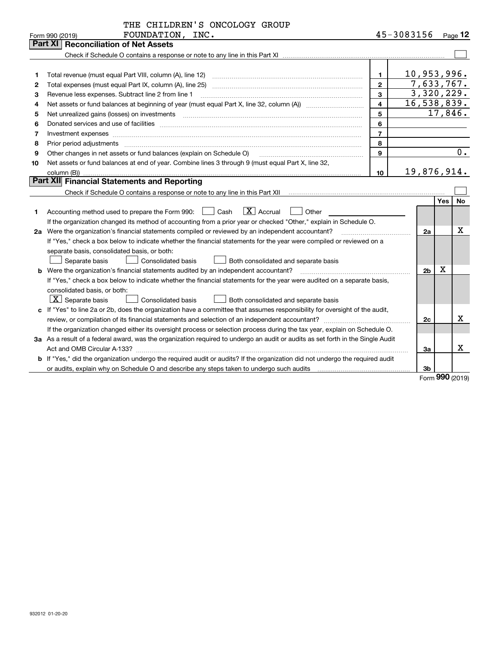|    | THE CHILDREN'S ONCOLOGY GROUP                                                                                                                                                                                                  |                         |            |                |            |                     |
|----|--------------------------------------------------------------------------------------------------------------------------------------------------------------------------------------------------------------------------------|-------------------------|------------|----------------|------------|---------------------|
|    | FOUNDATION, INC.<br>Form 990 (2019)                                                                                                                                                                                            |                         | 45-3083156 |                |            | $_{\text{Page}}$ 12 |
|    | <b>Reconciliation of Net Assets</b><br>Part XI                                                                                                                                                                                 |                         |            |                |            |                     |
|    |                                                                                                                                                                                                                                |                         |            |                |            |                     |
|    |                                                                                                                                                                                                                                |                         |            |                |            |                     |
| 1  |                                                                                                                                                                                                                                | $\mathbf{1}$            |            | 10,953,996.    |            |                     |
| 2  |                                                                                                                                                                                                                                | $\overline{2}$          |            | 7,633,767.     |            |                     |
| 3  | Revenue less expenses. Subtract line 2 from line 1                                                                                                                                                                             | 3                       |            | 3,320,229.     |            |                     |
| 4  |                                                                                                                                                                                                                                | $\overline{\mathbf{4}}$ |            | 16,538,839.    |            |                     |
| 5  | Net unrealized gains (losses) on investments [11] matter contracts and the state of the state of the state of the state of the state of the state of the state of the state of the state of the state of the state of the stat | 5                       |            |                |            | 17,846.             |
| 6  |                                                                                                                                                                                                                                | 6                       |            |                |            |                     |
| 7  | Investment expenses www.communication.com/www.communication.com/www.communication.com/www.communication.com/ww                                                                                                                 | $\overline{7}$          |            |                |            |                     |
| 8  | Prior period adjustments                                                                                                                                                                                                       | 8                       |            |                |            |                     |
| 9  | Other changes in net assets or fund balances (explain on Schedule O)                                                                                                                                                           | 9                       |            |                |            | 0.                  |
| 10 | Net assets or fund balances at end of year. Combine lines 3 through 9 (must equal Part X, line 32,                                                                                                                             |                         |            |                |            |                     |
|    | column (B))                                                                                                                                                                                                                    | 10                      |            | 19,876,914.    |            |                     |
|    | Part XII Financial Statements and Reporting                                                                                                                                                                                    |                         |            |                |            |                     |
|    |                                                                                                                                                                                                                                |                         |            |                |            |                     |
|    |                                                                                                                                                                                                                                |                         |            |                | <b>Yes</b> | <b>No</b>           |
| 1  | $\boxed{\mathbf{X}}$ Accrual<br>Accounting method used to prepare the Form 990: <u>II</u> Cash<br>Other                                                                                                                        |                         |            |                |            |                     |
|    | If the organization changed its method of accounting from a prior year or checked "Other," explain in Schedule O.                                                                                                              |                         |            |                |            |                     |
|    | 2a Were the organization's financial statements compiled or reviewed by an independent accountant?                                                                                                                             |                         |            | 2a             |            | x                   |
|    | If "Yes," check a box below to indicate whether the financial statements for the year were compiled or reviewed on a                                                                                                           |                         |            |                |            |                     |
|    | separate basis, consolidated basis, or both:                                                                                                                                                                                   |                         |            |                |            |                     |
|    | Separate basis<br><b>Consolidated basis</b><br>Both consolidated and separate basis                                                                                                                                            |                         |            |                |            |                     |
|    | b Were the organization's financial statements audited by an independent accountant?                                                                                                                                           |                         |            | 2 <sub>b</sub> | Х          |                     |
|    | If "Yes," check a box below to indicate whether the financial statements for the year were audited on a separate basis,                                                                                                        |                         |            |                |            |                     |
|    | consolidated basis, or both:                                                                                                                                                                                                   |                         |            |                |            |                     |
|    | $\lfloor x \rfloor$ Separate basis<br>Consolidated basis<br>Both consolidated and separate basis                                                                                                                               |                         |            |                |            |                     |
|    | c If "Yes" to line 2a or 2b, does the organization have a committee that assumes responsibility for oversight of the audit,                                                                                                    |                         |            |                |            |                     |
|    |                                                                                                                                                                                                                                |                         |            | 2c             |            | x                   |
|    | If the organization changed either its oversight process or selection process during the tax year, explain on Schedule O.                                                                                                      |                         |            |                |            |                     |
|    | 3a As a result of a federal award, was the organization required to undergo an audit or audits as set forth in the Single Audit                                                                                                |                         |            |                |            |                     |
|    |                                                                                                                                                                                                                                |                         |            | 3a             |            | x                   |
|    | b If "Yes," did the organization undergo the required audit or audits? If the organization did not undergo the required audit                                                                                                  |                         |            |                |            |                     |
|    |                                                                                                                                                                                                                                |                         |            | 3 <sub>b</sub> |            |                     |

Form (2019) **990**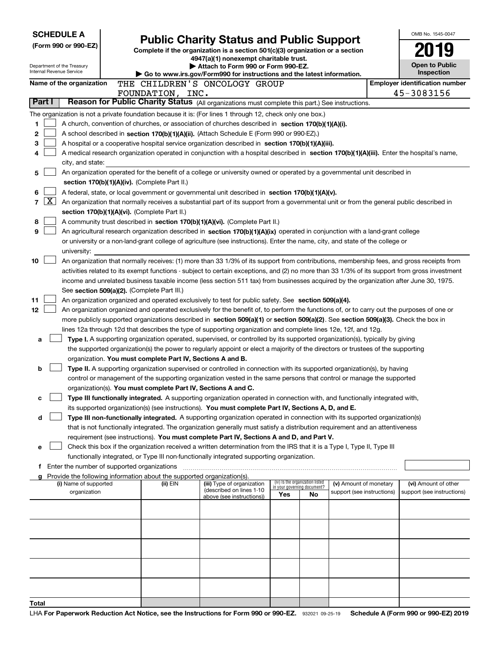| <b>SCHEDULE A</b>    |              |                                                                                                                                  |  |                                                                                    |                                                                                                                                               | OMB No. 1545-0047                  |                                 |                            |                                       |
|----------------------|--------------|----------------------------------------------------------------------------------------------------------------------------------|--|------------------------------------------------------------------------------------|-----------------------------------------------------------------------------------------------------------------------------------------------|------------------------------------|---------------------------------|----------------------------|---------------------------------------|
| (Form 990 or 990-EZ) |              | <b>Public Charity Status and Public Support</b><br>Complete if the organization is a section 501(c)(3) organization or a section |  |                                                                                    |                                                                                                                                               |                                    | 2019                            |                            |                                       |
|                      |              |                                                                                                                                  |  |                                                                                    |                                                                                                                                               |                                    |                                 |                            |                                       |
|                      |              | Department of the Treasury                                                                                                       |  | 4947(a)(1) nonexempt charitable trust.<br>Attach to Form 990 or Form 990-EZ.       |                                                                                                                                               |                                    | Open to Public                  |                            |                                       |
|                      |              | Internal Revenue Service                                                                                                         |  |                                                                                    | $\blacktriangleright$ Go to www.irs.gov/Form990 for instructions and the latest information.                                                  |                                    |                                 |                            | <b>Inspection</b>                     |
|                      |              | Name of the organization                                                                                                         |  |                                                                                    | THE CHILDREN'S ONCOLOGY GROUP                                                                                                                 |                                    |                                 |                            | <b>Employer identification number</b> |
|                      |              |                                                                                                                                  |  | FOUNDATION, INC.                                                                   |                                                                                                                                               |                                    |                                 |                            | 45-3083156                            |
|                      | Part I       |                                                                                                                                  |  |                                                                                    | Reason for Public Charity Status (All organizations must complete this part.) See instructions.                                               |                                    |                                 |                            |                                       |
|                      |              |                                                                                                                                  |  |                                                                                    | The organization is not a private foundation because it is: (For lines 1 through 12, check only one box.)                                     |                                    |                                 |                            |                                       |
| 1                    |              |                                                                                                                                  |  |                                                                                    | A church, convention of churches, or association of churches described in section 170(b)(1)(A)(i).                                            |                                    |                                 |                            |                                       |
| 2                    |              |                                                                                                                                  |  |                                                                                    | A school described in section 170(b)(1)(A)(ii). (Attach Schedule E (Form 990 or 990-EZ).)                                                     |                                    |                                 |                            |                                       |
| 3                    |              |                                                                                                                                  |  |                                                                                    | A hospital or a cooperative hospital service organization described in section 170(b)(1)(A)(iii).                                             |                                    |                                 |                            |                                       |
|                      |              |                                                                                                                                  |  |                                                                                    | A medical research organization operated in conjunction with a hospital described in section 170(b)(1)(A)(iii). Enter the hospital's name,    |                                    |                                 |                            |                                       |
|                      |              | city, and state:                                                                                                                 |  |                                                                                    |                                                                                                                                               |                                    |                                 |                            |                                       |
| 5                    |              |                                                                                                                                  |  |                                                                                    | An organization operated for the benefit of a college or university owned or operated by a governmental unit described in                     |                                    |                                 |                            |                                       |
|                      |              |                                                                                                                                  |  | section 170(b)(1)(A)(iv). (Complete Part II.)                                      |                                                                                                                                               |                                    |                                 |                            |                                       |
| 6                    |              |                                                                                                                                  |  |                                                                                    | A federal, state, or local government or governmental unit described in section 170(b)(1)(A)(v).                                              |                                    |                                 |                            |                                       |
| 7                    | $\mathbf{X}$ |                                                                                                                                  |  |                                                                                    | An organization that normally receives a substantial part of its support from a governmental unit or from the general public described in     |                                    |                                 |                            |                                       |
|                      |              |                                                                                                                                  |  | section 170(b)(1)(A)(vi). (Complete Part II.)                                      |                                                                                                                                               |                                    |                                 |                            |                                       |
| 8                    |              |                                                                                                                                  |  |                                                                                    | A community trust described in section 170(b)(1)(A)(vi). (Complete Part II.)                                                                  |                                    |                                 |                            |                                       |
| 9                    |              |                                                                                                                                  |  |                                                                                    | An agricultural research organization described in section 170(b)(1)(A)(ix) operated in conjunction with a land-grant college                 |                                    |                                 |                            |                                       |
|                      |              |                                                                                                                                  |  |                                                                                    | or university or a non-land-grant college of agriculture (see instructions). Enter the name, city, and state of the college or                |                                    |                                 |                            |                                       |
|                      |              | university:                                                                                                                      |  |                                                                                    |                                                                                                                                               |                                    |                                 |                            |                                       |
| 10                   |              |                                                                                                                                  |  |                                                                                    | An organization that normally receives: (1) more than 33 1/3% of its support from contributions, membership fees, and gross receipts from     |                                    |                                 |                            |                                       |
|                      |              |                                                                                                                                  |  |                                                                                    | activities related to its exempt functions - subject to certain exceptions, and (2) no more than 33 1/3% of its support from gross investment |                                    |                                 |                            |                                       |
|                      |              |                                                                                                                                  |  |                                                                                    | income and unrelated business taxable income (less section 511 tax) from businesses acquired by the organization after June 30, 1975.         |                                    |                                 |                            |                                       |
|                      |              |                                                                                                                                  |  | See section 509(a)(2). (Complete Part III.)                                        |                                                                                                                                               |                                    |                                 |                            |                                       |
| 11                   |              |                                                                                                                                  |  |                                                                                    | An organization organized and operated exclusively to test for public safety. See section 509(a)(4).                                          |                                    |                                 |                            |                                       |
| 12                   |              |                                                                                                                                  |  |                                                                                    | An organization organized and operated exclusively for the benefit of, to perform the functions of, or to carry out the purposes of one or    |                                    |                                 |                            |                                       |
|                      |              |                                                                                                                                  |  |                                                                                    | more publicly supported organizations described in section 509(a)(1) or section 509(a)(2). See section 509(a)(3). Check the box in            |                                    |                                 |                            |                                       |
|                      |              |                                                                                                                                  |  |                                                                                    | lines 12a through 12d that describes the type of supporting organization and complete lines 12e, 12f, and 12g.                                |                                    |                                 |                            |                                       |
| а                    |              |                                                                                                                                  |  |                                                                                    | Type I. A supporting organization operated, supervised, or controlled by its supported organization(s), typically by giving                   |                                    |                                 |                            |                                       |
|                      |              |                                                                                                                                  |  |                                                                                    | the supported organization(s) the power to regularly appoint or elect a majority of the directors or trustees of the supporting               |                                    |                                 |                            |                                       |
|                      |              |                                                                                                                                  |  | organization. You must complete Part IV, Sections A and B.                         |                                                                                                                                               |                                    |                                 |                            |                                       |
| b                    |              |                                                                                                                                  |  |                                                                                    | Type II. A supporting organization supervised or controlled in connection with its supported organization(s), by having                       |                                    |                                 |                            |                                       |
|                      |              |                                                                                                                                  |  |                                                                                    | control or management of the supporting organization vested in the same persons that control or manage the supported                          |                                    |                                 |                            |                                       |
|                      |              |                                                                                                                                  |  | organization(s). You must complete Part IV, Sections A and C.                      |                                                                                                                                               |                                    |                                 |                            |                                       |
| с                    |              |                                                                                                                                  |  |                                                                                    | Type III functionally integrated. A supporting organization operated in connection with, and functionally integrated with,                    |                                    |                                 |                            |                                       |
|                      |              |                                                                                                                                  |  |                                                                                    | its supported organization(s) (see instructions). You must complete Part IV, Sections A, D, and E.                                            |                                    |                                 |                            |                                       |
| d                    |              |                                                                                                                                  |  |                                                                                    | Type III non-functionally integrated. A supporting organization operated in connection with its supported organization(s)                     |                                    |                                 |                            |                                       |
|                      |              |                                                                                                                                  |  |                                                                                    | that is not functionally integrated. The organization generally must satisfy a distribution requirement and an attentiveness                  |                                    |                                 |                            |                                       |
|                      |              |                                                                                                                                  |  |                                                                                    | requirement (see instructions). You must complete Part IV, Sections A and D, and Part V.                                                      |                                    |                                 |                            |                                       |
| е                    |              |                                                                                                                                  |  |                                                                                    | Check this box if the organization received a written determination from the IRS that it is a Type I, Type II, Type III                       |                                    |                                 |                            |                                       |
|                      |              |                                                                                                                                  |  |                                                                                    | functionally integrated, or Type III non-functionally integrated supporting organization.                                                     |                                    |                                 |                            |                                       |
| f.                   |              | Enter the number of supported organizations                                                                                      |  |                                                                                    |                                                                                                                                               |                                    |                                 |                            |                                       |
|                      |              | (i) Name of supported                                                                                                            |  | Provide the following information about the supported organization(s).<br>(ii) EIN | (iii) Type of organization                                                                                                                    |                                    | (iv) Is the organization listed | (v) Amount of monetary     | (vi) Amount of other                  |
|                      |              | organization                                                                                                                     |  |                                                                                    | (described on lines 1-10<br>above (see instructions))                                                                                         | in your governing document?<br>Yes | No                              | support (see instructions) | support (see instructions)            |
|                      |              |                                                                                                                                  |  |                                                                                    |                                                                                                                                               |                                    |                                 |                            |                                       |
|                      |              |                                                                                                                                  |  |                                                                                    |                                                                                                                                               |                                    |                                 |                            |                                       |
|                      |              |                                                                                                                                  |  |                                                                                    |                                                                                                                                               |                                    |                                 |                            |                                       |
|                      |              |                                                                                                                                  |  |                                                                                    |                                                                                                                                               |                                    |                                 |                            |                                       |
|                      |              |                                                                                                                                  |  |                                                                                    |                                                                                                                                               |                                    |                                 |                            |                                       |
|                      |              |                                                                                                                                  |  |                                                                                    |                                                                                                                                               |                                    |                                 |                            |                                       |
|                      |              |                                                                                                                                  |  |                                                                                    |                                                                                                                                               |                                    |                                 |                            |                                       |
|                      |              |                                                                                                                                  |  |                                                                                    |                                                                                                                                               |                                    |                                 |                            |                                       |
|                      |              |                                                                                                                                  |  |                                                                                    |                                                                                                                                               |                                    |                                 |                            |                                       |
|                      |              |                                                                                                                                  |  |                                                                                    |                                                                                                                                               |                                    |                                 |                            |                                       |
| Total                |              |                                                                                                                                  |  |                                                                                    |                                                                                                                                               |                                    |                                 |                            |                                       |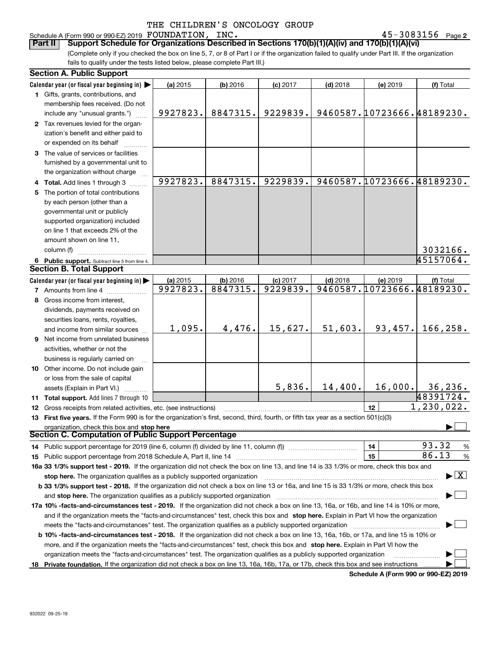#### Schedule A (Form 990 or 990-EZ) 2019 Page FOUNDATION, INC. 45-3083156

**2**

(Complete only if you checked the box on line 5, 7, or 8 of Part I or if the organization failed to qualify under Part III. If the organization fails to qualify under the tests listed below, please complete Part III.) **Part II Support Schedule for Organizations Described in Sections 170(b)(1)(A)(iv) and 170(b)(1)(A)(vi)** 

| <b>Section A. Public Support</b>                                                                                                               |          |            |            |            |                            |                                          |
|------------------------------------------------------------------------------------------------------------------------------------------------|----------|------------|------------|------------|----------------------------|------------------------------------------|
| Calendar year (or fiscal year beginning in)                                                                                                    | (a) 2015 | $(b)$ 2016 | $(c)$ 2017 | $(d)$ 2018 | (e) 2019                   | (f) Total                                |
| 1 Gifts, grants, contributions, and                                                                                                            |          |            |            |            |                            |                                          |
| membership fees received. (Do not                                                                                                              |          |            |            |            |                            |                                          |
| include any "unusual grants.")                                                                                                                 | 9927823. | 8847315.   | 9229839.   |            |                            | 9460587.10723666.48189230.               |
| 2 Tax revenues levied for the organ-                                                                                                           |          |            |            |            |                            |                                          |
| ization's benefit and either paid to                                                                                                           |          |            |            |            |                            |                                          |
| or expended on its behalf                                                                                                                      |          |            |            |            |                            |                                          |
| 3 The value of services or facilities                                                                                                          |          |            |            |            |                            |                                          |
| furnished by a governmental unit to                                                                                                            |          |            |            |            |                            |                                          |
| the organization without charge                                                                                                                |          |            |            |            |                            |                                          |
| 4 Total. Add lines 1 through 3                                                                                                                 | 9927823. | 8847315.   | 9229839.   |            |                            | 9460587.10723666.48189230.               |
| 5 The portion of total contributions                                                                                                           |          |            |            |            |                            |                                          |
| by each person (other than a                                                                                                                   |          |            |            |            |                            |                                          |
| governmental unit or publicly                                                                                                                  |          |            |            |            |                            |                                          |
| supported organization) included                                                                                                               |          |            |            |            |                            |                                          |
| on line 1 that exceeds 2% of the                                                                                                               |          |            |            |            |                            |                                          |
| amount shown on line 11,                                                                                                                       |          |            |            |            |                            |                                          |
| column (f)                                                                                                                                     |          |            |            |            |                            | 3032166.                                 |
| 6 Public support. Subtract line 5 from line 4.                                                                                                 |          |            |            |            |                            | 45157064.                                |
| <b>Section B. Total Support</b>                                                                                                                |          |            |            |            |                            |                                          |
| Calendar year (or fiscal year beginning in)                                                                                                    | (a) 2015 | (b) 2016   | $(c)$ 2017 | $(d)$ 2018 | (e) 2019                   | (f) Total                                |
| <b>7</b> Amounts from line 4                                                                                                                   | 9927823. | 8847315.   | 9229839.   |            | 9460587.10723666.48189230. |                                          |
| 8 Gross income from interest,                                                                                                                  |          |            |            |            |                            |                                          |
| dividends, payments received on                                                                                                                |          |            |            |            |                            |                                          |
| securities loans, rents, royalties,                                                                                                            |          |            |            |            |                            |                                          |
| and income from similar sources                                                                                                                | 1,095.   | 4,476.     | 15,627.    | 51,603.    | 93,457.                    | 166, 258.                                |
| 9 Net income from unrelated business                                                                                                           |          |            |            |            |                            |                                          |
| activities, whether or not the                                                                                                                 |          |            |            |            |                            |                                          |
| business is regularly carried on                                                                                                               |          |            |            |            |                            |                                          |
| 10 Other income. Do not include gain                                                                                                           |          |            |            |            |                            |                                          |
| or loss from the sale of capital                                                                                                               |          |            |            |            |                            |                                          |
| assets (Explain in Part VI.)                                                                                                                   |          |            | 5,836.     | 14,400.    | 16,000.                    | 36, 236.                                 |
| 11 Total support. Add lines 7 through 10                                                                                                       |          |            |            |            |                            | 48391724.                                |
| 12 Gross receipts from related activities, etc. (see instructions)                                                                             |          |            |            |            | 12                         | 1,230,022.                               |
| 13 First five years. If the Form 990 is for the organization's first, second, third, fourth, or fifth tax year as a section 501(c)(3)          |          |            |            |            |                            |                                          |
| organization, check this box and stop here                                                                                                     |          |            |            |            |                            |                                          |
| Section C. Computation of Public Support Percentage                                                                                            |          |            |            |            |                            |                                          |
| 14 Public support percentage for 2019 (line 6, column (f) divided by line 11, column (f) <i>mummention</i>                                     |          |            |            |            | 14                         | 93.32<br>%                               |
|                                                                                                                                                |          |            |            |            | 15                         | 86.13<br>%                               |
| 16a 33 1/3% support test - 2019. If the organization did not check the box on line 13, and line 14 is 33 1/3% or more, check this box and      |          |            |            |            |                            |                                          |
| stop here. The organization qualifies as a publicly supported organization                                                                     |          |            |            |            |                            | $\blacktriangleright$ $\boxed{\text{X}}$ |
| b 33 1/3% support test - 2018. If the organization did not check a box on line 13 or 16a, and line 15 is 33 1/3% or more, check this box       |          |            |            |            |                            |                                          |
| and stop here. The organization qualifies as a publicly supported organization                                                                 |          |            |            |            |                            |                                          |
| 17a 10% -facts-and-circumstances test - 2019. If the organization did not check a box on line 13, 16a, or 16b, and line 14 is 10% or more,     |          |            |            |            |                            |                                          |
| and if the organization meets the "facts-and-circumstances" test, check this box and stop here. Explain in Part VI how the organization        |          |            |            |            |                            |                                          |
| meets the "facts-and-circumstances" test. The organization qualifies as a publicly supported organization                                      |          |            |            |            |                            |                                          |
| <b>b 10% -facts-and-circumstances test - 2018.</b> If the organization did not check a box on line 13, 16a, 16b, or 17a, and line 15 is 10% or |          |            |            |            |                            |                                          |
| more, and if the organization meets the "facts-and-circumstances" test, check this box and stop here. Explain in Part VI how the               |          |            |            |            |                            |                                          |
| organization meets the "facts-and-circumstances" test. The organization qualifies as a publicly supported organization                         |          |            |            |            |                            |                                          |
| 18 Private foundation. If the organization did not check a box on line 13, 16a, 16b, 17a, or 17b, check this box and see instructions          |          |            |            |            |                            |                                          |

**Schedule A (Form 990 or 990-EZ) 2019**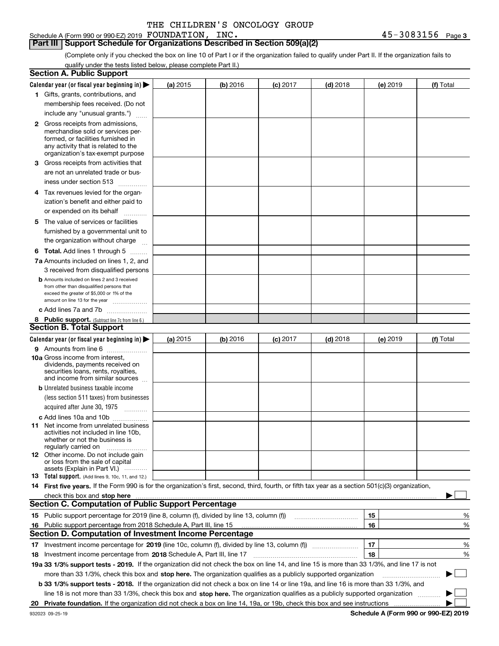**Part III Support Schedule for Organizations Described in Section 509(a)(2)** 

(Complete only if you checked the box on line 10 of Part I or if the organization failed to qualify under Part II. If the organization fails to qualify under the tests listed below, please complete Part II.)

|    | <b>Section A. Public Support</b>                                                                                                                    |            |          |            |            |          |             |
|----|-----------------------------------------------------------------------------------------------------------------------------------------------------|------------|----------|------------|------------|----------|-------------|
|    | Calendar year (or fiscal year beginning in) $\blacktriangleright$                                                                                   | (a) 2015   | (b) 2016 | $(c)$ 2017 | $(d)$ 2018 | (e) 2019 | (f) Total   |
|    | 1 Gifts, grants, contributions, and                                                                                                                 |            |          |            |            |          |             |
|    | membership fees received. (Do not                                                                                                                   |            |          |            |            |          |             |
|    | include any "unusual grants.")                                                                                                                      |            |          |            |            |          |             |
|    | <b>2</b> Gross receipts from admissions,                                                                                                            |            |          |            |            |          |             |
|    | merchandise sold or services per-                                                                                                                   |            |          |            |            |          |             |
|    | formed, or facilities furnished in                                                                                                                  |            |          |            |            |          |             |
|    | any activity that is related to the<br>organization's tax-exempt purpose                                                                            |            |          |            |            |          |             |
|    | 3 Gross receipts from activities that                                                                                                               |            |          |            |            |          |             |
|    | are not an unrelated trade or bus-                                                                                                                  |            |          |            |            |          |             |
|    | iness under section 513                                                                                                                             |            |          |            |            |          |             |
|    | 4 Tax revenues levied for the organ-                                                                                                                |            |          |            |            |          |             |
|    | ization's benefit and either paid to                                                                                                                |            |          |            |            |          |             |
|    | or expended on its behalf                                                                                                                           |            |          |            |            |          |             |
|    | .                                                                                                                                                   |            |          |            |            |          |             |
|    | 5 The value of services or facilities                                                                                                               |            |          |            |            |          |             |
|    | furnished by a governmental unit to                                                                                                                 |            |          |            |            |          |             |
|    | the organization without charge                                                                                                                     |            |          |            |            |          |             |
|    | <b>6 Total.</b> Add lines 1 through 5                                                                                                               |            |          |            |            |          |             |
|    | 7a Amounts included on lines 1, 2, and                                                                                                              |            |          |            |            |          |             |
|    | 3 received from disqualified persons                                                                                                                |            |          |            |            |          |             |
|    | <b>b</b> Amounts included on lines 2 and 3 received<br>from other than disqualified persons that                                                    |            |          |            |            |          |             |
|    | exceed the greater of \$5,000 or 1% of the                                                                                                          |            |          |            |            |          |             |
|    | amount on line 13 for the year                                                                                                                      |            |          |            |            |          |             |
|    | c Add lines 7a and 7b                                                                                                                               |            |          |            |            |          |             |
|    | 8 Public support. (Subtract line 7c from line 6.)                                                                                                   |            |          |            |            |          |             |
|    | <b>Section B. Total Support</b>                                                                                                                     |            |          |            |            |          |             |
|    | Calendar year (or fiscal year beginning in) $\blacktriangleright$                                                                                   | (a) $2015$ | (b) 2016 | $(c)$ 2017 | $(d)$ 2018 | (e) 2019 | (f) Total   |
|    | 9 Amounts from line 6                                                                                                                               |            |          |            |            |          |             |
|    | <b>10a</b> Gross income from interest,<br>dividends, payments received on                                                                           |            |          |            |            |          |             |
|    | securities loans, rents, royalties,                                                                                                                 |            |          |            |            |          |             |
|    | and income from similar sources                                                                                                                     |            |          |            |            |          |             |
|    | <b>b</b> Unrelated business taxable income                                                                                                          |            |          |            |            |          |             |
|    | (less section 511 taxes) from businesses                                                                                                            |            |          |            |            |          |             |
|    | acquired after June 30, 1975                                                                                                                        |            |          |            |            |          |             |
|    | c Add lines 10a and 10b                                                                                                                             |            |          |            |            |          |             |
|    | 11 Net income from unrelated business                                                                                                               |            |          |            |            |          |             |
|    | activities not included in line 10b,<br>whether or not the business is                                                                              |            |          |            |            |          |             |
|    | regularly carried on                                                                                                                                |            |          |            |            |          |             |
|    | <b>12</b> Other income. Do not include gain                                                                                                         |            |          |            |            |          |             |
|    | or loss from the sale of capital<br>assets (Explain in Part VI.)                                                                                    |            |          |            |            |          |             |
|    | 13 Total support. (Add lines 9, 10c, 11, and 12.)                                                                                                   |            |          |            |            |          |             |
|    | 14 First five years. If the Form 990 is for the organization's first, second, third, fourth, or fifth tax year as a section 501(c)(3) organization, |            |          |            |            |          |             |
|    | check this box and stop here <i>macuum macuum macuum macuum macuum macuum macuum macuum macuum</i>                                                  |            |          |            |            |          |             |
|    | <b>Section C. Computation of Public Support Percentage</b>                                                                                          |            |          |            |            |          |             |
|    | 15 Public support percentage for 2019 (line 8, column (f), divided by line 13, column (f))                                                          |            |          |            |            | 15       | %           |
| 16 | Public support percentage from 2018 Schedule A, Part III, line 15                                                                                   |            |          |            |            | 16       | %           |
|    | <b>Section D. Computation of Investment Income Percentage</b>                                                                                       |            |          |            |            |          |             |
|    | 17 Investment income percentage for 2019 (line 10c, column (f), divided by line 13, column (f))                                                     |            |          |            |            | 17       | %           |
|    | 18 Investment income percentage from 2018 Schedule A, Part III, line 17                                                                             |            |          |            |            | 18       | %           |
|    | 19a 33 1/3% support tests - 2019. If the organization did not check the box on line 14, and line 15 is more than 33 1/3%, and line 17 is not        |            |          |            |            |          |             |
|    | more than 33 1/3%, check this box and stop here. The organization qualifies as a publicly supported organization                                    |            |          |            |            |          | $\sim$<br>▶ |
|    | b 33 1/3% support tests - 2018. If the organization did not check a box on line 14 or line 19a, and line 16 is more than 33 1/3%, and               |            |          |            |            |          |             |
|    | line 18 is not more than 33 1/3%, check this box and stop here. The organization qualifies as a publicly supported organization                     |            |          |            |            |          |             |
|    |                                                                                                                                                     |            |          |            |            |          |             |
| 20 |                                                                                                                                                     |            |          |            |            |          |             |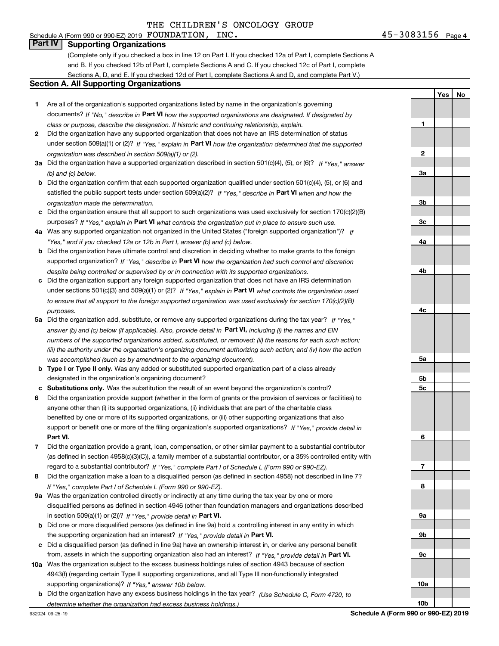#### Schedule A (Form 990 or 990-EZ) 2019 Page FOUNDATION, INC. 45-3083156 **Part IV Supporting Organizations**

(Complete only if you checked a box in line 12 on Part I. If you checked 12a of Part I, complete Sections A and B. If you checked 12b of Part I, complete Sections A and C. If you checked 12c of Part I, complete Sections A, D, and E. If you checked 12d of Part I, complete Sections A and D, and complete Part V.)

#### **Section A. All Supporting Organizations**

- **1** Are all of the organization's supported organizations listed by name in the organization's governing documents? If "No," describe in **Part VI** how the supported organizations are designated. If designated by *class or purpose, describe the designation. If historic and continuing relationship, explain.*
- **2** Did the organization have any supported organization that does not have an IRS determination of status under section 509(a)(1) or (2)? If "Yes," explain in Part VI how the organization determined that the supported *organization was described in section 509(a)(1) or (2).*
- **3a** Did the organization have a supported organization described in section 501(c)(4), (5), or (6)? If "Yes," answer *(b) and (c) below.*
- **b** Did the organization confirm that each supported organization qualified under section 501(c)(4), (5), or (6) and satisfied the public support tests under section 509(a)(2)? If "Yes," describe in **Part VI** when and how the *organization made the determination.*
- **c**Did the organization ensure that all support to such organizations was used exclusively for section 170(c)(2)(B) purposes? If "Yes," explain in **Part VI** what controls the organization put in place to ensure such use.
- **4a***If* Was any supported organization not organized in the United States ("foreign supported organization")? *"Yes," and if you checked 12a or 12b in Part I, answer (b) and (c) below.*
- **b** Did the organization have ultimate control and discretion in deciding whether to make grants to the foreign supported organization? If "Yes," describe in **Part VI** how the organization had such control and discretion *despite being controlled or supervised by or in connection with its supported organizations.*
- **c** Did the organization support any foreign supported organization that does not have an IRS determination under sections 501(c)(3) and 509(a)(1) or (2)? If "Yes," explain in **Part VI** what controls the organization used *to ensure that all support to the foreign supported organization was used exclusively for section 170(c)(2)(B) purposes.*
- **5a***If "Yes,"* Did the organization add, substitute, or remove any supported organizations during the tax year? answer (b) and (c) below (if applicable). Also, provide detail in **Part VI,** including (i) the names and EIN *numbers of the supported organizations added, substituted, or removed; (ii) the reasons for each such action; (iii) the authority under the organization's organizing document authorizing such action; and (iv) how the action was accomplished (such as by amendment to the organizing document).*
- **b** Type I or Type II only. Was any added or substituted supported organization part of a class already designated in the organization's organizing document?
- **cSubstitutions only.**  Was the substitution the result of an event beyond the organization's control?
- **6** Did the organization provide support (whether in the form of grants or the provision of services or facilities) to **Part VI.** *If "Yes," provide detail in* support or benefit one or more of the filing organization's supported organizations? anyone other than (i) its supported organizations, (ii) individuals that are part of the charitable class benefited by one or more of its supported organizations, or (iii) other supporting organizations that also
- **7**Did the organization provide a grant, loan, compensation, or other similar payment to a substantial contributor *If "Yes," complete Part I of Schedule L (Form 990 or 990-EZ).* regard to a substantial contributor? (as defined in section 4958(c)(3)(C)), a family member of a substantial contributor, or a 35% controlled entity with
- **8** Did the organization make a loan to a disqualified person (as defined in section 4958) not described in line 7? *If "Yes," complete Part I of Schedule L (Form 990 or 990-EZ).*
- **9a** Was the organization controlled directly or indirectly at any time during the tax year by one or more in section 509(a)(1) or (2))? If "Yes," *provide detail in* <code>Part VI.</code> disqualified persons as defined in section 4946 (other than foundation managers and organizations described
- **b** Did one or more disqualified persons (as defined in line 9a) hold a controlling interest in any entity in which the supporting organization had an interest? If "Yes," provide detail in P**art VI**.
- **c**Did a disqualified person (as defined in line 9a) have an ownership interest in, or derive any personal benefit from, assets in which the supporting organization also had an interest? If "Yes," provide detail in P**art VI.**
- **10a** Was the organization subject to the excess business holdings rules of section 4943 because of section supporting organizations)? If "Yes," answer 10b below. 4943(f) (regarding certain Type II supporting organizations, and all Type III non-functionally integrated
- **b** Did the organization have any excess business holdings in the tax year? (Use Schedule C, Form 4720, to *determine whether the organization had excess business holdings.)*

**23a3b3c4a4b4c5a5b5c6789a 9b9c10a**

**10b**

**1**

**Yes**

**No**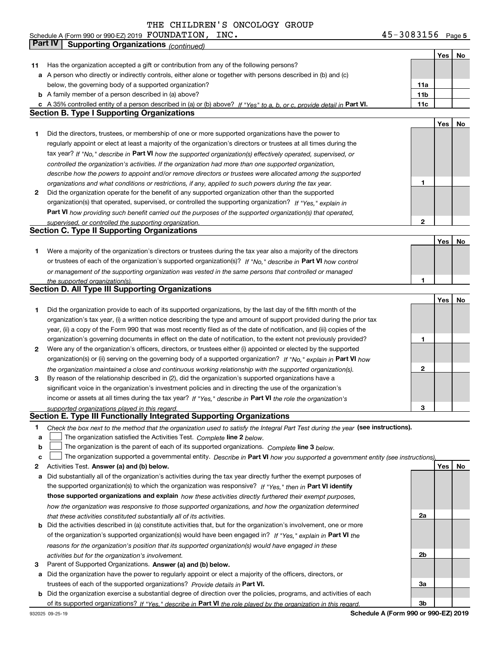**5** Schedule A (Form 990 or 990-EZ) 2019 Page FOUNDATION, INC. 45-3083156

|        | <b>Part IV</b><br><b>Supporting Organizations (continued)</b>                                                                                                                 |                 |                  |    |
|--------|-------------------------------------------------------------------------------------------------------------------------------------------------------------------------------|-----------------|------------------|----|
|        |                                                                                                                                                                               |                 | Yes              | No |
| 11     | Has the organization accepted a gift or contribution from any of the following persons?                                                                                       |                 |                  |    |
|        | a A person who directly or indirectly controls, either alone or together with persons described in (b) and (c)                                                                |                 |                  |    |
|        | below, the governing body of a supported organization?                                                                                                                        | 11a             |                  |    |
|        | <b>b</b> A family member of a person described in (a) above?                                                                                                                  | 11 <sub>b</sub> |                  |    |
|        | c A 35% controlled entity of a person described in (a) or (b) above? If "Yes" to a, b, or c, provide detail in Part VI.                                                       | 11c             |                  |    |
|        | <b>Section B. Type I Supporting Organizations</b>                                                                                                                             |                 |                  |    |
|        |                                                                                                                                                                               |                 | Yes              | No |
| 1      | Did the directors, trustees, or membership of one or more supported organizations have the power to                                                                           |                 |                  |    |
|        | regularly appoint or elect at least a majority of the organization's directors or trustees at all times during the                                                            |                 |                  |    |
|        | tax year? If "No," describe in Part VI how the supported organization(s) effectively operated, supervised, or                                                                 |                 |                  |    |
|        | controlled the organization's activities. If the organization had more than one supported organization,                                                                       |                 |                  |    |
|        | describe how the powers to appoint and/or remove directors or trustees were allocated among the supported                                                                     |                 |                  |    |
|        | organizations and what conditions or restrictions, if any, applied to such powers during the tax year.                                                                        | 1               |                  |    |
| 2      | Did the organization operate for the benefit of any supported organization other than the supported                                                                           |                 |                  |    |
|        | organization(s) that operated, supervised, or controlled the supporting organization? If "Yes," explain in                                                                    |                 |                  |    |
|        | Part VI how providing such benefit carried out the purposes of the supported organization(s) that operated,                                                                   |                 |                  |    |
|        | supervised, or controlled the supporting organization.<br><b>Section C. Type II Supporting Organizations</b>                                                                  | 2               |                  |    |
|        |                                                                                                                                                                               |                 | Yes              | No |
| 1      | Were a majority of the organization's directors or trustees during the tax year also a majority of the directors                                                              |                 |                  |    |
|        | or trustees of each of the organization's supported organization(s)? If "No," describe in Part VI how control                                                                 |                 |                  |    |
|        | or management of the supporting organization was vested in the same persons that controlled or managed                                                                        |                 |                  |    |
|        | the supported organization(s).                                                                                                                                                | 1               |                  |    |
|        | <b>Section D. All Type III Supporting Organizations</b>                                                                                                                       |                 |                  |    |
|        |                                                                                                                                                                               |                 | Yes              | No |
| 1      | Did the organization provide to each of its supported organizations, by the last day of the fifth month of the                                                                |                 |                  |    |
|        | organization's tax year, (i) a written notice describing the type and amount of support provided during the prior tax                                                         |                 |                  |    |
|        | year, (ii) a copy of the Form 990 that was most recently filed as of the date of notification, and (iii) copies of the                                                        |                 |                  |    |
|        | organization's governing documents in effect on the date of notification, to the extent not previously provided?                                                              | 1               |                  |    |
| 2      | Were any of the organization's officers, directors, or trustees either (i) appointed or elected by the supported                                                              |                 |                  |    |
|        | organization(s) or (ii) serving on the governing body of a supported organization? If "No," explain in Part VI how                                                            |                 |                  |    |
|        | the organization maintained a close and continuous working relationship with the supported organization(s).                                                                   | 2               |                  |    |
| 3      | By reason of the relationship described in (2), did the organization's supported organizations have a                                                                         |                 |                  |    |
|        | significant voice in the organization's investment policies and in directing the use of the organization's                                                                    |                 |                  |    |
|        | income or assets at all times during the tax year? If "Yes," describe in Part VI the role the organization's                                                                  |                 |                  |    |
|        | supported organizations played in this regard.                                                                                                                                | 3               |                  |    |
|        | Section E. Type III Functionally Integrated Supporting Organizations                                                                                                          |                 |                  |    |
| 1      | Check the box next to the method that the organization used to satisfy the Integral Part Test during the year (see instructions).                                             |                 |                  |    |
| a      | The organization satisfied the Activities Test. Complete line 2 below.                                                                                                        |                 |                  |    |
| b      | The organization is the parent of each of its supported organizations. Complete line 3 below.                                                                                 |                 |                  |    |
| с      | The organization supported a governmental entity. Describe in Part VI how you supported a government entity (see instructions),<br>Activities Test. Answer (a) and (b) below. |                 | Yes <sub>1</sub> | No |
| 2<br>a | Did substantially all of the organization's activities during the tax year directly further the exempt purposes of                                                            |                 |                  |    |
|        | the supported organization(s) to which the organization was responsive? If "Yes," then in Part VI identify                                                                    |                 |                  |    |
|        | those supported organizations and explain how these activities directly furthered their exempt purposes,                                                                      |                 |                  |    |
|        | how the organization was responsive to those supported organizations, and how the organization determined                                                                     |                 |                  |    |
|        | that these activities constituted substantially all of its activities.                                                                                                        | 2a              |                  |    |
|        | <b>b</b> Did the activities described in (a) constitute activities that, but for the organization's involvement, one or more                                                  |                 |                  |    |
|        | of the organization's supported organization(s) would have been engaged in? If "Yes," explain in Part VI the                                                                  |                 |                  |    |
|        | reasons for the organization's position that its supported organization(s) would have engaged in these                                                                        |                 |                  |    |
|        | activities but for the organization's involvement.                                                                                                                            | 2b              |                  |    |
| з      | Parent of Supported Organizations. Answer (a) and (b) below.                                                                                                                  |                 |                  |    |
| a      | Did the organization have the power to regularly appoint or elect a majority of the officers, directors, or                                                                   |                 |                  |    |
|        | trustees of each of the supported organizations? Provide details in Part VI.                                                                                                  | За              |                  |    |
| b      | Did the organization exercise a substantial degree of direction over the policies, programs, and activities of each                                                           |                 |                  |    |
|        | of its supported organizations? If "Yes." describe in Part VI the role played by the organization in this regard.                                                             | 3b              |                  |    |

**Schedule A (Form 990 or 990-EZ) 2019**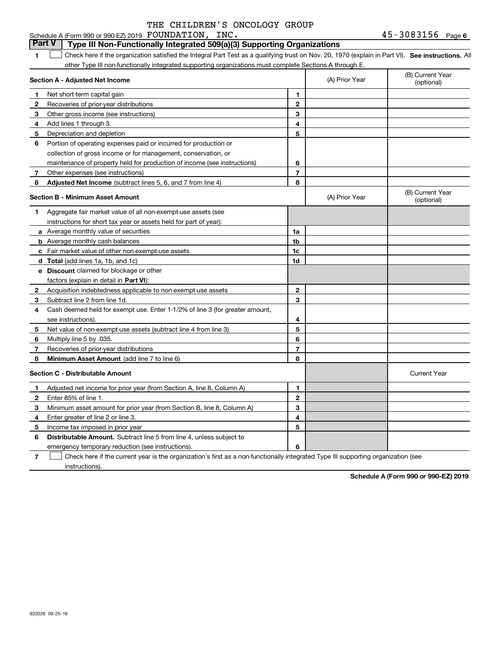#### **1SEP 10. See instructions.** All antegral Part Test as a qualifying trust on Nov. 20, 1970 (explain in Part VI). See instructions. All **Section A - Adjusted Net Income 123** Other gross income (see instructions) **4**Add lines 1 through 3. **56** Portion of operating expenses paid or incurred for production or **7**Other expenses (see instructions) **8** Adjusted Net Income (subtract lines 5, 6, and 7 from line 4) **8 8 1234567Section B - Minimum Asset Amount 1**Aggregate fair market value of all non-exempt-use assets (see **2**Acquisition indebtedness applicable to non-exempt-use assets **3** Subtract line 2 from line 1d. **4**Cash deemed held for exempt use. Enter 1-1/2% of line 3 (for greater amount, **5** Net value of non-exempt-use assets (subtract line 4 from line 3) **678a** Average monthly value of securities **b** Average monthly cash balances **c**Fair market value of other non-exempt-use assets **dTotal**  (add lines 1a, 1b, and 1c) **eDiscount** claimed for blockage or other **1a1b1c1d2345678**factors (explain in detail in **Part VI**): **Minimum Asset Amount**  (add line 7 to line 6) **Section C - Distributable Amount 123456123456Distributable Amount.** Subtract line 5 from line 4, unless subject to other Type III non-functionally integrated supporting organizations must complete Sections A through E. (B) Current Year (optional)(A) Prior Year Net short-term capital gain Recoveries of prior-year distributions Depreciation and depletion collection of gross income or for management, conservation, or maintenance of property held for production of income (see instructions) (B) Current Year (optional)(A) Prior Year instructions for short tax year or assets held for part of year): see instructions). Multiply line 5 by .035. Recoveries of prior-year distributions Current Year Adjusted net income for prior year (from Section A, line 8, Column A) Enter 85% of line 1. Minimum asset amount for prior year (from Section B, line 8, Column A) Enter greater of line 2 or line 3. Income tax imposed in prior year emergency temporary reduction (see instructions). **Part V Type III Non-Functionally Integrated 509(a)(3) Supporting Organizations**   $\mathcal{L}^{\text{max}}$

**7**Check here if the current year is the organization's first as a non-functionally integrated Type III supporting organization (see instructions). $\mathcal{L}^{\text{max}}$ 

**Schedule A (Form 990 or 990-EZ) 2019**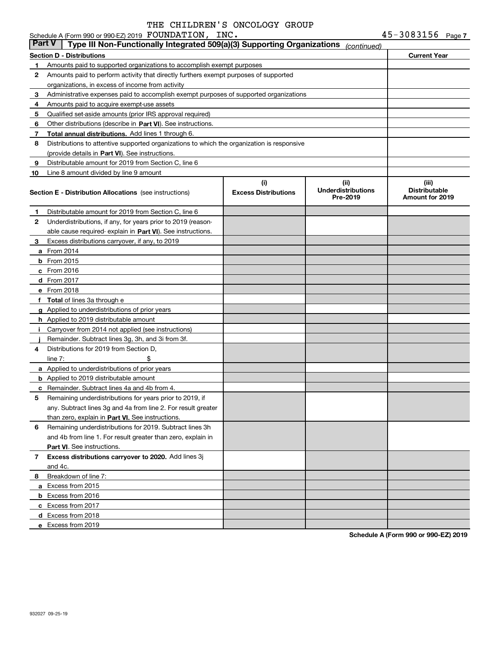#### **Section D - Distributions Current Year 1**Amounts paid to supported organizations to accomplish exempt purposes **2345** Qualified set-aside amounts (prior IRS approval required) **678910**Other distributions (describe in Part VI). See instructions. **Total annual distributions.** Add lines 1 through 6. (provide details in Part VI). See instructions. **(i)Excess Distributions (ii) UnderdistributionsPre-2019(iii) Distributable Amount for 2019 Section E - Distribution Allocations**  (see instructions) **12**Underdistributions, if any, for years prior to 2019 (reason-**3**Excess distributions carryover, if any, to 2019 **4**Distributions for 2019 from Section D, **5** Remaining underdistributions for years prior to 2019, if **6** Remaining underdistributions for 2019. Subtract lines 3h **7Excess distributions carryover to 2020.**  Add lines 3j **8**Breakdown of line 7: able cause required- explain in Part VI). See instructions. **a** From 2014 **b** From 2015 **c**From 2016 **d**From 2017 **e** From 2018 **f Total**  of lines 3a through e **g**Applied to underdistributions of prior years **h** Applied to 2019 distributable amount **ij** Remainder. Subtract lines 3g, 3h, and 3i from 3f. **a** Applied to underdistributions of prior years **b** Applied to 2019 distributable amount **c** Remainder. Subtract lines 4a and 4b from 4. than zero, explain in Part VI. See instructions. **Part VI** . See instructions. **a** Excess from 2015 **b** Excess from 2016 **c**Excess from 2017 **d**Excess from 2018 **e** Excess from 2019 Schedule A (Form 990 or 990-EZ) 2019 Page FOUNDATION, INC. 45-3083156 Amounts paid to perform activity that directly furthers exempt purposes of supported organizations, in excess of income from activity Administrative expenses paid to accomplish exempt purposes of supported organizations Amounts paid to acquire exempt-use assets Distributions to attentive supported organizations to which the organization is responsive Distributable amount for 2019 from Section C, line 6 Line 8 amount divided by line 9 amount Distributable amount for 2019 from Section C, line 6 Carryover from 2014 not applied (see instructions)  $line 7:$   $\frac{1}{2}$ any. Subtract lines 3g and 4a from line 2. For result greater and 4b from line 1. For result greater than zero, explain in and 4c. **Part V Type III Non-Functionally Integrated 509(a)(3) Supporting Organizations** *(continued)*

**Schedule A (Form 990 or 990-EZ) 2019**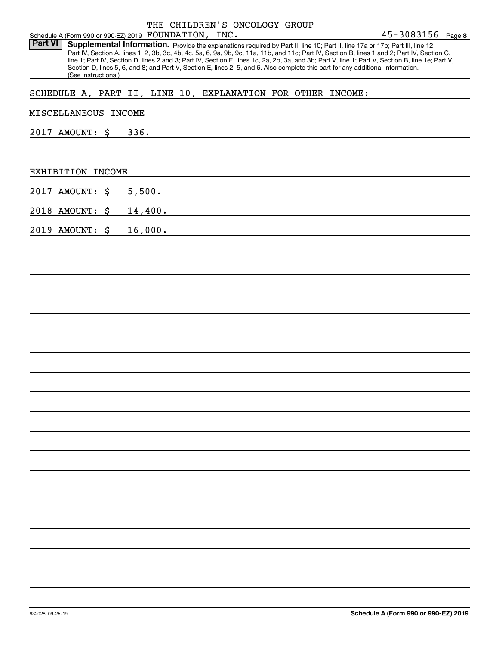## Schedule A (Form 990 or 990-EZ) 2019 Page FOUNDATION, INC. THE CHILDREN'S ONCOLOGY GROUP

Part VI | Supplemental Information. Provide the explanations required by Part II, line 10; Part II, line 17a or 17b; Part III, line 12; Part IV, Section A, lines 1, 2, 3b, 3c, 4b, 4c, 5a, 6, 9a, 9b, 9c, 11a, 11b, and 11c; Part IV, Section B, lines 1 and 2; Part IV, Section C, line 1; Part IV, Section D, lines 2 and 3; Part IV, Section E, lines 1c, 2a, 2b, 3a, and 3b; Part V, line 1; Part V, Section B, line 1e; Part V, Section D, lines 5, 6, and 8; and Part V, Section E, lines 2, 5, and 6. Also complete this part for any additional information. (See instructions.)

# SCHEDULE A, PART II, LINE 10, EXPLANATION FOR OTHER INCOME:

#### MISCELLANEOUS INCOME

2017 AMOUNT: \$ 336.

#### EXHIBITION INCOME

2017 AMOUNT: \$ 5,500.

2018 AMOUNT: \$ 14,400.

2019 AMOUNT: \$ 16,000.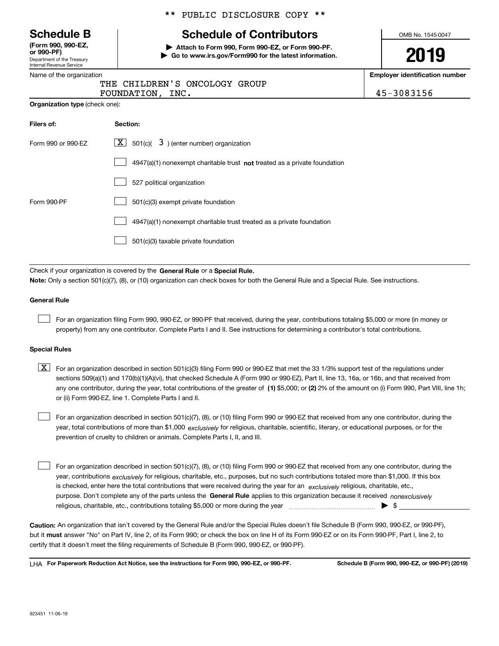Department of the Treasury Internal Revenue Service **(Form 990, 990-EZ, or 990-PF)**

|  | Name of the organizatior |
|--|--------------------------|

#### \*\* PUBLIC DISCLOSURE COPY \*\*

# **Schedule B Schedule of Contributors**

**| Attach to Form 990, Form 990-EZ, or Form 990-PF. | Go to www.irs.gov/Form990 for the latest information.** OMB No. 1545-0047

# **2019**

**Employer identification number**

| Name of the organization              | <b>Employer identification</b>                                                     |            |  |
|---------------------------------------|------------------------------------------------------------------------------------|------------|--|
|                                       | THE CHILDREN'S ONCOLOGY GROUP                                                      |            |  |
|                                       | FOUNDATION, INC.                                                                   | 45-3083156 |  |
| <b>Organization type</b> (check one): |                                                                                    |            |  |
|                                       |                                                                                    |            |  |
| Filers of:                            | Section:                                                                           |            |  |
| Form 990 or 990-EZ                    | $\lfloor \mathbf{X} \rfloor$ 501(c)( 3) (enter number) organization                |            |  |
|                                       | $4947(a)(1)$ nonexempt charitable trust <b>not</b> treated as a private foundation |            |  |
|                                       | 527 political organization                                                         |            |  |

4947(a)(1) nonexempt charitable trust treated as a private foundation  $\mathcal{L}^{\text{max}}$ 

501(c)(3) taxable private foundation  $\mathcal{L}^{\text{max}}$ 

Form 990-PF 501(c)(3) exempt private foundation

 $\mathcal{L}^{\text{max}}$ 

Check if your organization is covered by the **General Rule** or a **Special Rule. Note:**  Only a section 501(c)(7), (8), or (10) organization can check boxes for both the General Rule and a Special Rule. See instructions.

#### **General Rule**

For an organization filing Form 990, 990-EZ, or 990-PF that received, during the year, contributions totaling \$5,000 or more (in money or property) from any one contributor. Complete Parts I and II. See instructions for determining a contributor's total contributions.

#### **Special Rules**

any one contributor, during the year, total contributions of the greater of  $\,$  (1) \$5,000; or **(2)** 2% of the amount on (i) Form 990, Part VIII, line 1h;  $\boxed{\textbf{X}}$  For an organization described in section 501(c)(3) filing Form 990 or 990-EZ that met the 33 1/3% support test of the regulations under sections 509(a)(1) and 170(b)(1)(A)(vi), that checked Schedule A (Form 990 or 990-EZ), Part II, line 13, 16a, or 16b, and that received from or (ii) Form 990-EZ, line 1. Complete Parts I and II.

year, total contributions of more than \$1,000 *exclusively* for religious, charitable, scientific, literary, or educational purposes, or for the For an organization described in section 501(c)(7), (8), or (10) filing Form 990 or 990-EZ that received from any one contributor, during the prevention of cruelty to children or animals. Complete Parts I, II, and III.  $\mathcal{L}^{\text{max}}$ 

purpose. Don't complete any of the parts unless the **General Rule** applies to this organization because it received *nonexclusively* year, contributions <sub>exclusively</sub> for religious, charitable, etc., purposes, but no such contributions totaled more than \$1,000. If this box is checked, enter here the total contributions that were received during the year for an *exclusively* religious, charitable, etc., For an organization described in section 501(c)(7), (8), or (10) filing Form 990 or 990-EZ that received from any one contributor, during the religious, charitable, etc., contributions totaling \$5,000 or more during the year  $\Box$ — $\Box$  =  $\Box$  $\mathcal{L}^{\text{max}}$ 

**Caution:**  An organization that isn't covered by the General Rule and/or the Special Rules doesn't file Schedule B (Form 990, 990-EZ, or 990-PF),  **must** but it answer "No" on Part IV, line 2, of its Form 990; or check the box on line H of its Form 990-EZ or on its Form 990-PF, Part I, line 2, to certify that it doesn't meet the filing requirements of Schedule B (Form 990, 990-EZ, or 990-PF).

**For Paperwork Reduction Act Notice, see the instructions for Form 990, 990-EZ, or 990-PF. Schedule B (Form 990, 990-EZ, or 990-PF) (2019)** LHA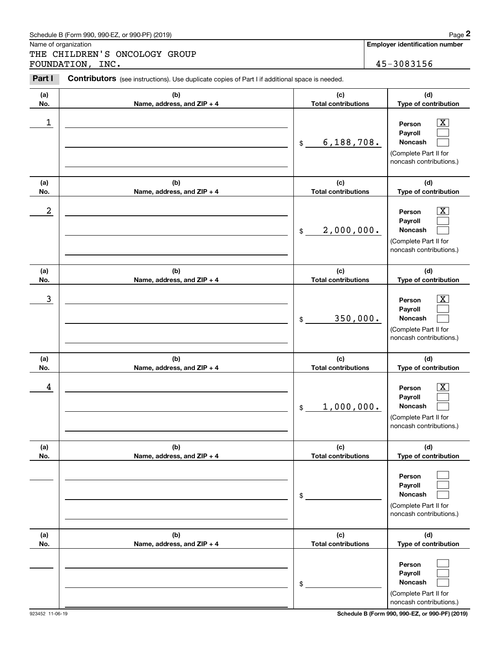|            | Schedule B (Form 990, 990-EZ, or 990-PF) (2019)                                                                    |                                   | Page 2                                                                                                      |
|------------|--------------------------------------------------------------------------------------------------------------------|-----------------------------------|-------------------------------------------------------------------------------------------------------------|
|            | Name of organization<br>THE CHILDREN'S ONCOLOGY GROUP                                                              |                                   | <b>Employer identification number</b>                                                                       |
| Part I     | FOUNDATION, INC.<br>Contributors (see instructions). Use duplicate copies of Part I if additional space is needed. |                                   | 45-3083156                                                                                                  |
| (a)<br>No. | (b)<br>Name, address, and ZIP + 4                                                                                  | (c)<br><b>Total contributions</b> | (d)<br>Type of contribution                                                                                 |
| 1          |                                                                                                                    | 6,188,708.<br>$\$\$               | $\overline{\mathbf{X}}$<br>Person<br>Payroll<br>Noncash<br>(Complete Part II for<br>noncash contributions.) |
| (a)<br>No. | (b)<br>Name, address, and ZIP + 4                                                                                  | (c)<br><b>Total contributions</b> | (d)<br>Type of contribution                                                                                 |
| 2          |                                                                                                                    | 2,000,000.<br>\$                  | $\overline{\mathbf{X}}$<br>Person<br>Payroll<br>Noncash<br>(Complete Part II for<br>noncash contributions.) |
| (a)<br>No. | (b)<br>Name, address, and ZIP + 4                                                                                  | (c)<br><b>Total contributions</b> | (d)<br>Type of contribution                                                                                 |
| 3          |                                                                                                                    | 350,000.<br>\$                    | $\overline{\mathbf{X}}$<br>Person<br>Payroll<br>Noncash<br>(Complete Part II for<br>noncash contributions.) |
| (a)<br>No. | (b)<br>Name, address, and ZIP + 4                                                                                  | (c)<br><b>Total contributions</b> | (d)<br>Type of contribution                                                                                 |
| 4          |                                                                                                                    | 1,000,000.<br>\$                  | $\overline{\mathbf{X}}$<br>Person<br>Payroll<br>Noncash<br>(Complete Part II for<br>noncash contributions.) |
| (a)<br>No. | (b)<br>Name, address, and ZIP + 4                                                                                  | (c)<br><b>Total contributions</b> | (d)<br>Type of contribution                                                                                 |
|            |                                                                                                                    | \$                                | Person<br>Payroll<br><b>Noncash</b><br>(Complete Part II for<br>noncash contributions.)                     |
| (a)<br>No. | (b)<br>Name, address, and ZIP + 4                                                                                  | (c)<br><b>Total contributions</b> | (d)<br>Type of contribution                                                                                 |
|            |                                                                                                                    | \$                                | Person<br>Payroll<br>Noncash<br>(Complete Part II for<br>noncash contributions.)                            |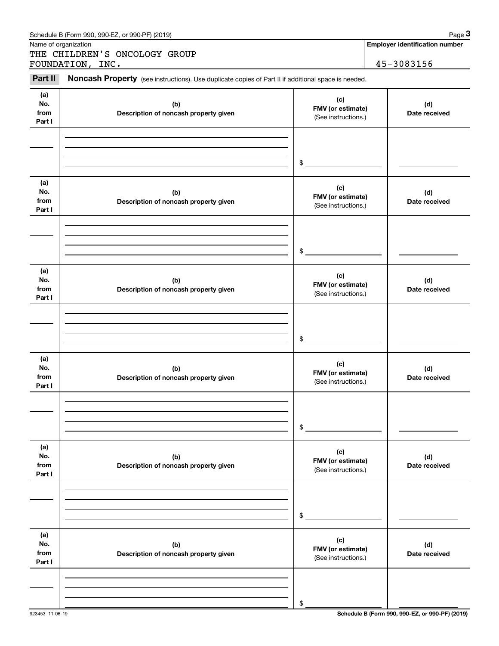| Name of organization         | Schedule B (Form 990, 990-EZ, or 990-PF) (2019)                                                     |                                                 | Page 3<br><b>Employer identification number</b> |
|------------------------------|-----------------------------------------------------------------------------------------------------|-------------------------------------------------|-------------------------------------------------|
|                              | THE CHILDREN'S ONCOLOGY GROUP<br>FOUNDATION, INC.                                                   |                                                 | 45-3083156                                      |
| Part II                      | Noncash Property (see instructions). Use duplicate copies of Part II if additional space is needed. |                                                 |                                                 |
| (a)<br>No.<br>from<br>Part I | (b)<br>Description of noncash property given                                                        | (c)<br>FMV (or estimate)<br>(See instructions.) | (d)<br>Date received                            |
|                              |                                                                                                     | \$                                              |                                                 |
| (a)<br>No.<br>from<br>Part I | (b)<br>Description of noncash property given                                                        | (c)<br>FMV (or estimate)<br>(See instructions.) | (d)<br>Date received                            |
|                              |                                                                                                     | \$                                              |                                                 |
| (a)<br>No.<br>from<br>Part I | (b)<br>Description of noncash property given                                                        | (c)<br>FMV (or estimate)<br>(See instructions.) | (d)<br>Date received                            |
|                              |                                                                                                     | \$                                              |                                                 |
| (a)<br>No.<br>from<br>Part I | (b)<br>Description of noncash property given                                                        | (c)<br>FMV (or estimate)<br>(See instructions.) | (d)<br>Date received                            |
|                              |                                                                                                     | \$                                              |                                                 |
| (a)<br>No.<br>from<br>Part I | (b)<br>Description of noncash property given                                                        | (c)<br>FMV (or estimate)<br>(See instructions.) | (d)<br>Date received                            |
|                              |                                                                                                     | \$                                              |                                                 |
| (a)<br>No.<br>from<br>Part I | (b)<br>Description of noncash property given                                                        | (c)<br>FMV (or estimate)<br>(See instructions.) | (d)<br>Date received                            |
|                              |                                                                                                     | \$                                              |                                                 |

Schedule B (Form 990, 990-EZ, or 990-PF) (2019) Page 3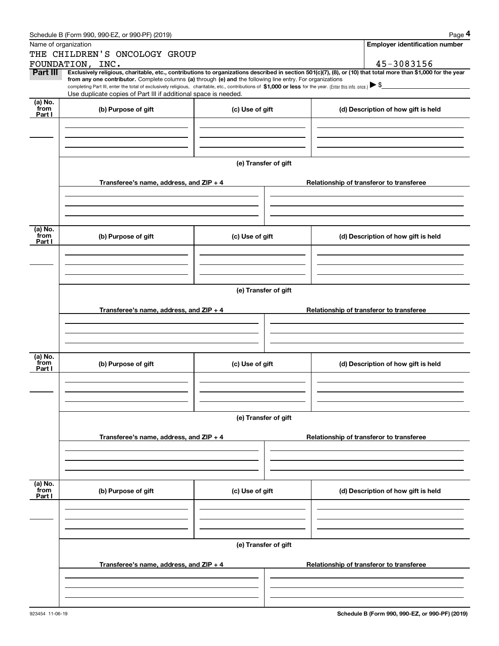|                 | Schedule B (Form 990, 990-EZ, or 990-PF) (2019)                                                                                                                                                                                                                                                                                                                                                                                                                   |                      |  |                                          | Page 4                                   |  |  |  |  |
|-----------------|-------------------------------------------------------------------------------------------------------------------------------------------------------------------------------------------------------------------------------------------------------------------------------------------------------------------------------------------------------------------------------------------------------------------------------------------------------------------|----------------------|--|------------------------------------------|------------------------------------------|--|--|--|--|
|                 | Name of organization                                                                                                                                                                                                                                                                                                                                                                                                                                              |                      |  |                                          | <b>Employer identification number</b>    |  |  |  |  |
|                 | THE CHILDREN'S ONCOLOGY GROUP                                                                                                                                                                                                                                                                                                                                                                                                                                     |                      |  |                                          |                                          |  |  |  |  |
|                 | FOUNDATION, INC.                                                                                                                                                                                                                                                                                                                                                                                                                                                  |                      |  |                                          | 45-3083156                               |  |  |  |  |
| Part III        | Exclusively religious, charitable, etc., contributions to organizations described in section 501(c)(7), (8), or (10) that total more than \$1,000 for the year<br>from any one contributor. Complete columns (a) through (e) and the following line entry. For organizations<br>completing Part III, enter the total of exclusively religious, charitable, etc., contributions of \$1,000 or less for the year. (Enter this info. once.) $\blacktriangleright$ \$ |                      |  |                                          |                                          |  |  |  |  |
|                 | Use duplicate copies of Part III if additional space is needed.                                                                                                                                                                                                                                                                                                                                                                                                   |                      |  |                                          |                                          |  |  |  |  |
| (a) No.         |                                                                                                                                                                                                                                                                                                                                                                                                                                                                   |                      |  |                                          |                                          |  |  |  |  |
| from<br>Part I  | (b) Purpose of gift                                                                                                                                                                                                                                                                                                                                                                                                                                               | (c) Use of gift      |  |                                          | (d) Description of how gift is held      |  |  |  |  |
|                 |                                                                                                                                                                                                                                                                                                                                                                                                                                                                   |                      |  |                                          |                                          |  |  |  |  |
|                 |                                                                                                                                                                                                                                                                                                                                                                                                                                                                   |                      |  |                                          |                                          |  |  |  |  |
|                 |                                                                                                                                                                                                                                                                                                                                                                                                                                                                   |                      |  |                                          |                                          |  |  |  |  |
|                 |                                                                                                                                                                                                                                                                                                                                                                                                                                                                   |                      |  |                                          |                                          |  |  |  |  |
|                 |                                                                                                                                                                                                                                                                                                                                                                                                                                                                   | (e) Transfer of gift |  |                                          |                                          |  |  |  |  |
|                 |                                                                                                                                                                                                                                                                                                                                                                                                                                                                   |                      |  |                                          |                                          |  |  |  |  |
|                 | Transferee's name, address, and ZIP + 4                                                                                                                                                                                                                                                                                                                                                                                                                           |                      |  |                                          | Relationship of transferor to transferee |  |  |  |  |
|                 |                                                                                                                                                                                                                                                                                                                                                                                                                                                                   |                      |  |                                          |                                          |  |  |  |  |
|                 |                                                                                                                                                                                                                                                                                                                                                                                                                                                                   |                      |  |                                          |                                          |  |  |  |  |
|                 |                                                                                                                                                                                                                                                                                                                                                                                                                                                                   |                      |  |                                          |                                          |  |  |  |  |
| (a) No.         |                                                                                                                                                                                                                                                                                                                                                                                                                                                                   |                      |  |                                          |                                          |  |  |  |  |
| from<br>Part I  | (b) Purpose of gift                                                                                                                                                                                                                                                                                                                                                                                                                                               | (c) Use of gift      |  |                                          | (d) Description of how gift is held      |  |  |  |  |
|                 |                                                                                                                                                                                                                                                                                                                                                                                                                                                                   |                      |  |                                          |                                          |  |  |  |  |
|                 |                                                                                                                                                                                                                                                                                                                                                                                                                                                                   |                      |  |                                          |                                          |  |  |  |  |
|                 |                                                                                                                                                                                                                                                                                                                                                                                                                                                                   |                      |  |                                          |                                          |  |  |  |  |
|                 |                                                                                                                                                                                                                                                                                                                                                                                                                                                                   |                      |  |                                          |                                          |  |  |  |  |
|                 | (e) Transfer of gift                                                                                                                                                                                                                                                                                                                                                                                                                                              |                      |  |                                          |                                          |  |  |  |  |
|                 |                                                                                                                                                                                                                                                                                                                                                                                                                                                                   |                      |  |                                          |                                          |  |  |  |  |
|                 | Transferee's name, address, and ZIP + 4                                                                                                                                                                                                                                                                                                                                                                                                                           |                      |  | Relationship of transferor to transferee |                                          |  |  |  |  |
|                 |                                                                                                                                                                                                                                                                                                                                                                                                                                                                   |                      |  |                                          |                                          |  |  |  |  |
|                 |                                                                                                                                                                                                                                                                                                                                                                                                                                                                   |                      |  |                                          |                                          |  |  |  |  |
|                 |                                                                                                                                                                                                                                                                                                                                                                                                                                                                   |                      |  |                                          |                                          |  |  |  |  |
| (a) No.         |                                                                                                                                                                                                                                                                                                                                                                                                                                                                   |                      |  |                                          |                                          |  |  |  |  |
| from<br>Part I  | (b) Purpose of gift                                                                                                                                                                                                                                                                                                                                                                                                                                               | (c) Use of gift      |  |                                          | (d) Description of how gift is held      |  |  |  |  |
|                 |                                                                                                                                                                                                                                                                                                                                                                                                                                                                   |                      |  |                                          |                                          |  |  |  |  |
|                 |                                                                                                                                                                                                                                                                                                                                                                                                                                                                   |                      |  |                                          |                                          |  |  |  |  |
|                 |                                                                                                                                                                                                                                                                                                                                                                                                                                                                   |                      |  |                                          |                                          |  |  |  |  |
|                 |                                                                                                                                                                                                                                                                                                                                                                                                                                                                   |                      |  |                                          |                                          |  |  |  |  |
|                 |                                                                                                                                                                                                                                                                                                                                                                                                                                                                   | (e) Transfer of gift |  |                                          |                                          |  |  |  |  |
|                 | Transferee's name, address, and ZIP + 4                                                                                                                                                                                                                                                                                                                                                                                                                           |                      |  |                                          | Relationship of transferor to transferee |  |  |  |  |
|                 |                                                                                                                                                                                                                                                                                                                                                                                                                                                                   |                      |  |                                          |                                          |  |  |  |  |
|                 |                                                                                                                                                                                                                                                                                                                                                                                                                                                                   |                      |  |                                          |                                          |  |  |  |  |
|                 |                                                                                                                                                                                                                                                                                                                                                                                                                                                                   |                      |  |                                          |                                          |  |  |  |  |
|                 |                                                                                                                                                                                                                                                                                                                                                                                                                                                                   |                      |  |                                          |                                          |  |  |  |  |
| (a) No.<br>from | (b) Purpose of gift                                                                                                                                                                                                                                                                                                                                                                                                                                               | (c) Use of gift      |  |                                          | (d) Description of how gift is held      |  |  |  |  |
| Part I          |                                                                                                                                                                                                                                                                                                                                                                                                                                                                   |                      |  |                                          |                                          |  |  |  |  |
|                 |                                                                                                                                                                                                                                                                                                                                                                                                                                                                   |                      |  |                                          |                                          |  |  |  |  |
|                 |                                                                                                                                                                                                                                                                                                                                                                                                                                                                   |                      |  |                                          |                                          |  |  |  |  |
|                 |                                                                                                                                                                                                                                                                                                                                                                                                                                                                   |                      |  |                                          |                                          |  |  |  |  |
|                 |                                                                                                                                                                                                                                                                                                                                                                                                                                                                   | (e) Transfer of gift |  |                                          |                                          |  |  |  |  |
|                 |                                                                                                                                                                                                                                                                                                                                                                                                                                                                   |                      |  |                                          |                                          |  |  |  |  |
|                 | Transferee's name, address, and ZIP + 4                                                                                                                                                                                                                                                                                                                                                                                                                           |                      |  |                                          | Relationship of transferor to transferee |  |  |  |  |
|                 |                                                                                                                                                                                                                                                                                                                                                                                                                                                                   |                      |  |                                          |                                          |  |  |  |  |
|                 |                                                                                                                                                                                                                                                                                                                                                                                                                                                                   |                      |  |                                          |                                          |  |  |  |  |
|                 |                                                                                                                                                                                                                                                                                                                                                                                                                                                                   |                      |  |                                          |                                          |  |  |  |  |
|                 |                                                                                                                                                                                                                                                                                                                                                                                                                                                                   |                      |  |                                          |                                          |  |  |  |  |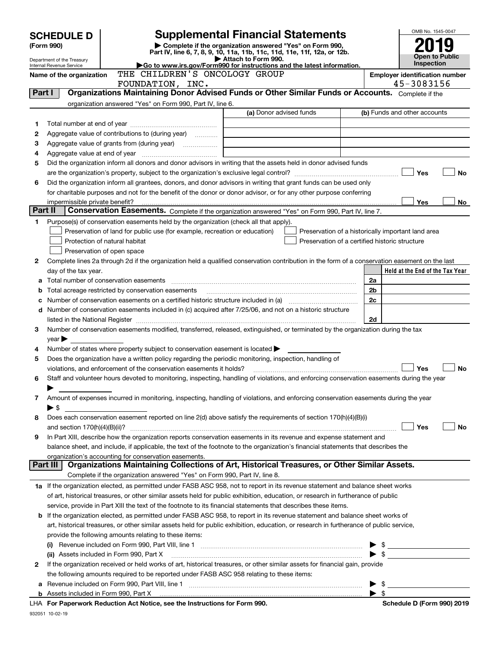|         | <b>SCHEDULE D</b>                                      |                                                                                                                                                | <b>Supplemental Financial Statements</b>                                                      |                |                         | OMB No. 1545-0047                                  |
|---------|--------------------------------------------------------|------------------------------------------------------------------------------------------------------------------------------------------------|-----------------------------------------------------------------------------------------------|----------------|-------------------------|----------------------------------------------------|
|         | (Form 990)                                             |                                                                                                                                                | Complete if the organization answered "Yes" on Form 990,                                      |                |                         |                                                    |
|         |                                                        | Part IV, line 6, 7, 8, 9, 10, 11a, 11b, 11c, 11d, 11e, 11f, 12a, or 12b.                                                                       |                                                                                               | Open to Public |                         |                                                    |
|         | Department of the Treasury<br>Internal Revenue Service |                                                                                                                                                | Attach to Form 990.<br>Go to www.irs.gov/Form990 for instructions and the latest information. |                |                         | <b>Inspection</b>                                  |
|         | Name of the organization                               | THE CHILDREN'S ONCOLOGY GROUP                                                                                                                  |                                                                                               |                |                         | <b>Employer identification number</b>              |
|         |                                                        | FOUNDATION, INC.                                                                                                                               |                                                                                               |                |                         | 45-3083156                                         |
| Part I  |                                                        | Organizations Maintaining Donor Advised Funds or Other Similar Funds or Accounts. Complete if the                                              |                                                                                               |                |                         |                                                    |
|         |                                                        | organization answered "Yes" on Form 990, Part IV, line 6.                                                                                      |                                                                                               |                |                         |                                                    |
|         |                                                        |                                                                                                                                                | (a) Donor advised funds                                                                       |                |                         | (b) Funds and other accounts                       |
| 1       |                                                        |                                                                                                                                                |                                                                                               |                |                         |                                                    |
| 2       |                                                        | Aggregate value of contributions to (during year)                                                                                              |                                                                                               |                |                         |                                                    |
| З       |                                                        |                                                                                                                                                |                                                                                               |                |                         |                                                    |
| 4       |                                                        |                                                                                                                                                |                                                                                               |                |                         |                                                    |
| 5       |                                                        | Did the organization inform all donors and donor advisors in writing that the assets held in donor advised funds                               |                                                                                               |                |                         |                                                    |
|         |                                                        |                                                                                                                                                |                                                                                               |                |                         | Yes<br>No                                          |
| 6       |                                                        | Did the organization inform all grantees, donors, and donor advisors in writing that grant funds can be used only                              |                                                                                               |                |                         |                                                    |
|         |                                                        | for charitable purposes and not for the benefit of the donor or donor advisor, or for any other purpose conferring                             |                                                                                               |                |                         | Yes<br>No.                                         |
| Part II | impermissible private benefit?                         | Conservation Easements. Complete if the organization answered "Yes" on Form 990, Part IV, line 7.                                              |                                                                                               |                |                         |                                                    |
| 1       |                                                        | Purpose(s) of conservation easements held by the organization (check all that apply).                                                          |                                                                                               |                |                         |                                                    |
|         |                                                        | Preservation of land for public use (for example, recreation or education)                                                                     |                                                                                               |                |                         | Preservation of a historically important land area |
|         |                                                        | Protection of natural habitat                                                                                                                  | Preservation of a certified historic structure                                                |                |                         |                                                    |
|         |                                                        | Preservation of open space                                                                                                                     |                                                                                               |                |                         |                                                    |
| 2       |                                                        | Complete lines 2a through 2d if the organization held a qualified conservation contribution in the form of a conservation easement on the last |                                                                                               |                |                         |                                                    |
|         | day of the tax year.                                   |                                                                                                                                                |                                                                                               |                |                         | Held at the End of the Tax Year                    |
| a       |                                                        |                                                                                                                                                |                                                                                               |                | 2a                      |                                                    |
| b       |                                                        | Total acreage restricted by conservation easements                                                                                             |                                                                                               |                | 2b                      |                                                    |
| с       |                                                        | Number of conservation easements on a certified historic structure included in (a) manufacture included in (a)                                 |                                                                                               |                | 2 <sub>c</sub>          |                                                    |
| d       |                                                        | Number of conservation easements included in (c) acquired after 7/25/06, and not on a historic structure                                       |                                                                                               |                |                         |                                                    |
|         |                                                        |                                                                                                                                                |                                                                                               |                | 2d                      |                                                    |
| 3       |                                                        | Number of conservation easements modified, transferred, released, extinguished, or terminated by the organization during the tax               |                                                                                               |                |                         |                                                    |
|         | year                                                   |                                                                                                                                                |                                                                                               |                |                         |                                                    |
| 4       |                                                        | Number of states where property subject to conservation easement is located                                                                    |                                                                                               |                |                         |                                                    |
| 5       |                                                        | Does the organization have a written policy regarding the periodic monitoring, inspection, handling of                                         |                                                                                               |                |                         |                                                    |
|         |                                                        | violations, and enforcement of the conservation easements it holds?                                                                            |                                                                                               |                |                         | Yes<br>No                                          |
| 6       |                                                        | Staff and volunteer hours devoted to monitoring, inspecting, handling of violations, and enforcing conservation easements during the year      |                                                                                               |                |                         |                                                    |
|         |                                                        |                                                                                                                                                |                                                                                               |                |                         |                                                    |
| 7       |                                                        | Amount of expenses incurred in monitoring, inspecting, handling of violations, and enforcing conservation easements during the year            |                                                                                               |                |                         |                                                    |
|         | $\blacktriangleright$ \$                               |                                                                                                                                                |                                                                                               |                |                         |                                                    |
| 8       |                                                        | Does each conservation easement reported on line 2(d) above satisfy the requirements of section 170(h)(4)(B)(i)                                |                                                                                               |                |                         | Yes<br>No                                          |
| 9       |                                                        | In Part XIII, describe how the organization reports conservation easements in its revenue and expense statement and                            |                                                                                               |                |                         |                                                    |
|         |                                                        | balance sheet, and include, if applicable, the text of the footnote to the organization's financial statements that describes the              |                                                                                               |                |                         |                                                    |
|         |                                                        | organization's accounting for conservation easements.                                                                                          |                                                                                               |                |                         |                                                    |
|         | Part III                                               | Organizations Maintaining Collections of Art, Historical Treasures, or Other Similar Assets.                                                   |                                                                                               |                |                         |                                                    |
|         |                                                        | Complete if the organization answered "Yes" on Form 990, Part IV, line 8.                                                                      |                                                                                               |                |                         |                                                    |
|         |                                                        | 1a If the organization elected, as permitted under FASB ASC 958, not to report in its revenue statement and balance sheet works                |                                                                                               |                |                         |                                                    |
|         |                                                        | of art, historical treasures, or other similar assets held for public exhibition, education, or research in furtherance of public              |                                                                                               |                |                         |                                                    |
|         |                                                        | service, provide in Part XIII the text of the footnote to its financial statements that describes these items.                                 |                                                                                               |                |                         |                                                    |
| b       |                                                        | If the organization elected, as permitted under FASB ASC 958, to report in its revenue statement and balance sheet works of                    |                                                                                               |                |                         |                                                    |
|         |                                                        | art, historical treasures, or other similar assets held for public exhibition, education, or research in furtherance of public service,        |                                                                                               |                |                         |                                                    |
|         |                                                        | provide the following amounts relating to these items:                                                                                         |                                                                                               |                |                         |                                                    |
|         |                                                        |                                                                                                                                                |                                                                                               |                |                         | $\triangleright$ \$                                |
|         |                                                        | (ii) Assets included in Form 990, Part X                                                                                                       |                                                                                               |                |                         |                                                    |
| 2       |                                                        | If the organization received or held works of art, historical treasures, or other similar assets for financial gain, provide                   |                                                                                               |                |                         |                                                    |
|         |                                                        | the following amounts required to be reported under FASB ASC 958 relating to these items:                                                      |                                                                                               |                |                         |                                                    |
| а       |                                                        |                                                                                                                                                |                                                                                               |                |                         | $\mathfrak{S}$                                     |
|         |                                                        |                                                                                                                                                |                                                                                               |                | $\blacktriangleright$ s |                                                    |
|         |                                                        | LHA For Paperwork Reduction Act Notice, see the Instructions for Form 990.                                                                     |                                                                                               |                |                         | Schedule D (Form 990) 2019                         |

932051 10-02-19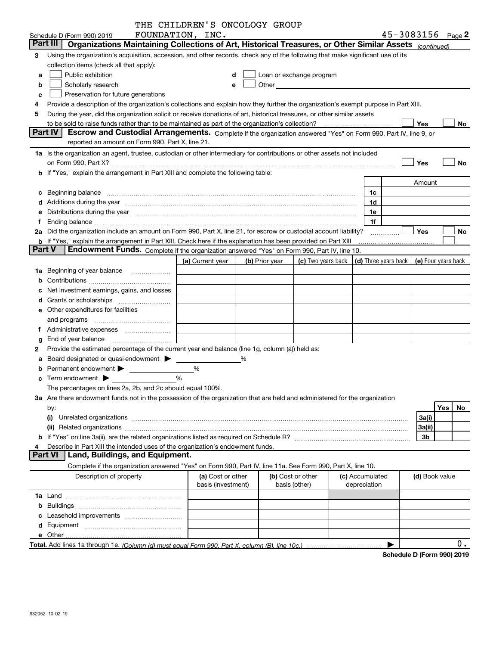|               |                                                                                                                                                                                                                                | THE CHILDREN'S ONCOLOGY GROUP           |                |                                                                                                                                                                                                                               |                                 |                                            |
|---------------|--------------------------------------------------------------------------------------------------------------------------------------------------------------------------------------------------------------------------------|-----------------------------------------|----------------|-------------------------------------------------------------------------------------------------------------------------------------------------------------------------------------------------------------------------------|---------------------------------|--------------------------------------------|
|               | Schedule D (Form 990) 2019                                                                                                                                                                                                     | FOUNDATION, INC.                        |                |                                                                                                                                                                                                                               |                                 | $45 - 3083156$ Page 2                      |
|               | Part III<br>Organizations Maintaining Collections of Art, Historical Treasures, or Other Similar Assets (continued)                                                                                                            |                                         |                |                                                                                                                                                                                                                               |                                 |                                            |
| 3             | Using the organization's acquisition, accession, and other records, check any of the following that make significant use of its                                                                                                |                                         |                |                                                                                                                                                                                                                               |                                 |                                            |
|               | collection items (check all that apply):                                                                                                                                                                                       |                                         |                |                                                                                                                                                                                                                               |                                 |                                            |
| a             | Public exhibition                                                                                                                                                                                                              |                                         |                | Loan or exchange program                                                                                                                                                                                                      |                                 |                                            |
| b             | Scholarly research                                                                                                                                                                                                             |                                         |                | Other and the contract of the contract of the contract of the contract of the contract of the contract of the contract of the contract of the contract of the contract of the contract of the contract of the contract of the |                                 |                                            |
| c             | Preservation for future generations                                                                                                                                                                                            |                                         |                |                                                                                                                                                                                                                               |                                 |                                            |
|               | Provide a description of the organization's collections and explain how they further the organization's exempt purpose in Part XIII.                                                                                           |                                         |                |                                                                                                                                                                                                                               |                                 |                                            |
| 5             | During the year, did the organization solicit or receive donations of art, historical treasures, or other similar assets                                                                                                       |                                         |                |                                                                                                                                                                                                                               |                                 |                                            |
|               |                                                                                                                                                                                                                                |                                         |                |                                                                                                                                                                                                                               |                                 | Yes<br>No                                  |
|               | <b>Part IV</b><br>Escrow and Custodial Arrangements. Complete if the organization answered "Yes" on Form 990, Part IV, line 9, or                                                                                              |                                         |                |                                                                                                                                                                                                                               |                                 |                                            |
|               | reported an amount on Form 990, Part X, line 21.                                                                                                                                                                               |                                         |                |                                                                                                                                                                                                                               |                                 |                                            |
|               | 1a Is the organization an agent, trustee, custodian or other intermediary for contributions or other assets not included                                                                                                       |                                         |                |                                                                                                                                                                                                                               |                                 |                                            |
|               | on Form 990, Part X? [11] matter contracts and contracts and contracts are contracted as a form 990, Part X?                                                                                                                   |                                         |                |                                                                                                                                                                                                                               |                                 | Yes<br>No                                  |
|               | <b>b</b> If "Yes," explain the arrangement in Part XIII and complete the following table:                                                                                                                                      |                                         |                |                                                                                                                                                                                                                               |                                 |                                            |
|               |                                                                                                                                                                                                                                |                                         |                |                                                                                                                                                                                                                               |                                 | Amount                                     |
|               | c Beginning balance measurements and the state of the state of the state of the state of the state of the state of the state of the state of the state of the state of the state of the state of the state of the state of the |                                         |                |                                                                                                                                                                                                                               | 1c                              |                                            |
|               | d Additions during the year measurements are also contained a state of the year measurement of the year measurement of the state of the state of the state of the state of the state of the state of the state of the state of |                                         |                |                                                                                                                                                                                                                               | 1d                              |                                            |
|               | e Distributions during the year manufactured and continuum and contact the year manufactured and contact the year manufactured and contact the year manufactured and contact the year manufactured and contact the year manufa |                                         |                |                                                                                                                                                                                                                               | 1e                              |                                            |
| Ť.            |                                                                                                                                                                                                                                |                                         |                |                                                                                                                                                                                                                               | 1f                              |                                            |
|               | 2a Did the organization include an amount on Form 990, Part X, line 21, for escrow or custodial account liability?                                                                                                             |                                         |                |                                                                                                                                                                                                                               |                                 | <b>Yes</b><br>No                           |
|               | <b>b</b> If "Yes," explain the arrangement in Part XIII. Check here if the explanation has been provided on Part XIII                                                                                                          |                                         |                |                                                                                                                                                                                                                               |                                 |                                            |
| <b>Part V</b> | Endowment Funds. Complete if the organization answered "Yes" on Form 990, Part IV, line 10.                                                                                                                                    |                                         |                |                                                                                                                                                                                                                               |                                 |                                            |
|               |                                                                                                                                                                                                                                | (a) Current year                        | (b) Prior year | (c) Two years back                                                                                                                                                                                                            |                                 | (d) Three years back   (e) Four years back |
|               |                                                                                                                                                                                                                                |                                         |                |                                                                                                                                                                                                                               |                                 |                                            |
|               |                                                                                                                                                                                                                                |                                         |                |                                                                                                                                                                                                                               |                                 |                                            |
|               | c Net investment earnings, gains, and losses                                                                                                                                                                                   |                                         |                |                                                                                                                                                                                                                               |                                 |                                            |
|               | d Grants or scholarships <i></i>                                                                                                                                                                                               |                                         |                |                                                                                                                                                                                                                               |                                 |                                            |
|               | e Other expenditures for facilities                                                                                                                                                                                            |                                         |                |                                                                                                                                                                                                                               |                                 |                                            |
|               | and programs                                                                                                                                                                                                                   |                                         |                |                                                                                                                                                                                                                               |                                 |                                            |
|               | f Administrative expenses <i></i>                                                                                                                                                                                              |                                         |                |                                                                                                                                                                                                                               |                                 |                                            |
|               | <b>g</b> End of year balance $\ldots$                                                                                                                                                                                          |                                         |                |                                                                                                                                                                                                                               |                                 |                                            |
| 2             | Provide the estimated percentage of the current year end balance (line 1g, column (a)) held as:                                                                                                                                |                                         |                |                                                                                                                                                                                                                               |                                 |                                            |
|               | a Board designated or quasi-endowment >                                                                                                                                                                                        |                                         | %              |                                                                                                                                                                                                                               |                                 |                                            |
|               |                                                                                                                                                                                                                                | %                                       |                |                                                                                                                                                                                                                               |                                 |                                            |
|               | $\mathbf c$ Term endowment $\blacktriangleright$                                                                                                                                                                               | %                                       |                |                                                                                                                                                                                                                               |                                 |                                            |
|               | The percentages on lines 2a, 2b, and 2c should equal 100%.                                                                                                                                                                     |                                         |                |                                                                                                                                                                                                                               |                                 |                                            |
|               | 3a Are there endowment funds not in the possession of the organization that are held and administered for the organization                                                                                                     |                                         |                |                                                                                                                                                                                                                               |                                 |                                            |
|               | by:                                                                                                                                                                                                                            |                                         |                |                                                                                                                                                                                                                               |                                 | Yes<br>No                                  |
|               | (i)                                                                                                                                                                                                                            |                                         |                |                                                                                                                                                                                                                               |                                 | 3a(i)                                      |
|               |                                                                                                                                                                                                                                |                                         |                |                                                                                                                                                                                                                               |                                 | 3a(ii)                                     |
|               |                                                                                                                                                                                                                                |                                         |                |                                                                                                                                                                                                                               |                                 | 3b                                         |
|               | Describe in Part XIII the intended uses of the organization's endowment funds.                                                                                                                                                 |                                         |                |                                                                                                                                                                                                                               |                                 |                                            |
|               | Land, Buildings, and Equipment.<br><b>Part VI</b>                                                                                                                                                                              |                                         |                |                                                                                                                                                                                                                               |                                 |                                            |
|               | Complete if the organization answered "Yes" on Form 990, Part IV, line 11a. See Form 990, Part X, line 10.                                                                                                                     |                                         |                |                                                                                                                                                                                                                               |                                 |                                            |
|               | Description of property                                                                                                                                                                                                        | (a) Cost or other<br>basis (investment) |                | (b) Cost or other<br>basis (other)                                                                                                                                                                                            | (c) Accumulated<br>depreciation | (d) Book value                             |
|               |                                                                                                                                                                                                                                |                                         |                |                                                                                                                                                                                                                               |                                 |                                            |
|               |                                                                                                                                                                                                                                |                                         |                |                                                                                                                                                                                                                               |                                 |                                            |
|               |                                                                                                                                                                                                                                |                                         |                |                                                                                                                                                                                                                               |                                 |                                            |
|               |                                                                                                                                                                                                                                |                                         |                |                                                                                                                                                                                                                               |                                 |                                            |
|               |                                                                                                                                                                                                                                |                                         |                |                                                                                                                                                                                                                               |                                 |                                            |
|               |                                                                                                                                                                                                                                |                                         |                |                                                                                                                                                                                                                               |                                 | $0$ .                                      |
|               |                                                                                                                                                                                                                                |                                         |                |                                                                                                                                                                                                                               |                                 |                                            |

**Schedule D (Form 990) 2019**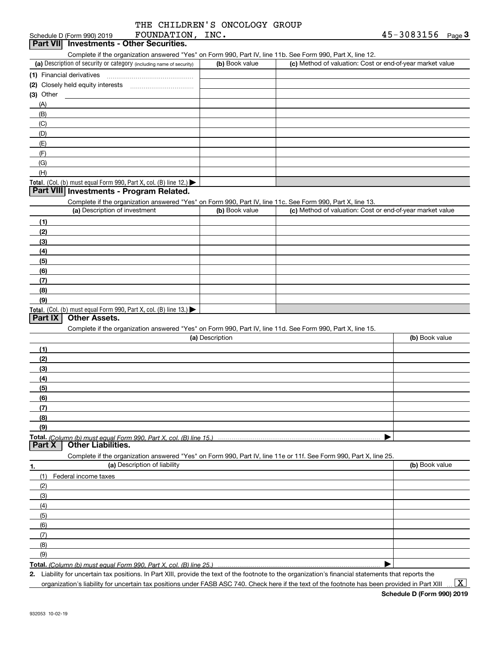|             | THE CHILDREN'S ONCOLOGY GROUP |  |
|-------------|-------------------------------|--|
| ___________ |                               |  |

| FOUNDATION,<br>Schedule D (Form 990) 2019                                                                                                         | INC.            |                                                           | $45 - 3083156$ Page 3 |
|---------------------------------------------------------------------------------------------------------------------------------------------------|-----------------|-----------------------------------------------------------|-----------------------|
| Part VII Investments - Other Securities.                                                                                                          |                 |                                                           |                       |
| Complete if the organization answered "Yes" on Form 990, Part IV, line 11b. See Form 990, Part X, line 12.                                        |                 |                                                           |                       |
| (a) Description of security or category (including name of security)                                                                              | (b) Book value  | (c) Method of valuation: Cost or end-of-year market value |                       |
|                                                                                                                                                   |                 |                                                           |                       |
|                                                                                                                                                   |                 |                                                           |                       |
| (3) Other<br><u> 1989 - Johann Barnett, fransk politiker (</u>                                                                                    |                 |                                                           |                       |
| (A)                                                                                                                                               |                 |                                                           |                       |
| (B)                                                                                                                                               |                 |                                                           |                       |
| (C)                                                                                                                                               |                 |                                                           |                       |
| (D)                                                                                                                                               |                 |                                                           |                       |
| (E)                                                                                                                                               |                 |                                                           |                       |
| (F)                                                                                                                                               |                 |                                                           |                       |
| (G)                                                                                                                                               |                 |                                                           |                       |
| (H)                                                                                                                                               |                 |                                                           |                       |
| Total. (Col. (b) must equal Form 990, Part X, col. (B) line 12.)                                                                                  |                 |                                                           |                       |
| Part VIII Investments - Program Related.                                                                                                          |                 |                                                           |                       |
| Complete if the organization answered "Yes" on Form 990, Part IV, line 11c. See Form 990, Part X, line 13.                                        |                 |                                                           |                       |
| (a) Description of investment                                                                                                                     | (b) Book value  | (c) Method of valuation: Cost or end-of-year market value |                       |
| (1)                                                                                                                                               |                 |                                                           |                       |
| (2)                                                                                                                                               |                 |                                                           |                       |
|                                                                                                                                                   |                 |                                                           |                       |
| (3)                                                                                                                                               |                 |                                                           |                       |
| (4)                                                                                                                                               |                 |                                                           |                       |
| (5)                                                                                                                                               |                 |                                                           |                       |
| (6)                                                                                                                                               |                 |                                                           |                       |
| (7)                                                                                                                                               |                 |                                                           |                       |
| (8)                                                                                                                                               |                 |                                                           |                       |
| (9)                                                                                                                                               |                 |                                                           |                       |
| Total. (Col. (b) must equal Form 990, Part X, col. (B) line 13.)                                                                                  |                 |                                                           |                       |
| Part IX<br><b>Other Assets.</b>                                                                                                                   |                 |                                                           |                       |
| Complete if the organization answered "Yes" on Form 990, Part IV, line 11d. See Form 990, Part X, line 15.                                        |                 |                                                           |                       |
|                                                                                                                                                   | (a) Description |                                                           | (b) Book value        |
| (1)                                                                                                                                               |                 |                                                           |                       |
| (2)                                                                                                                                               |                 |                                                           |                       |
| (3)                                                                                                                                               |                 |                                                           |                       |
| (4)                                                                                                                                               |                 |                                                           |                       |
| (5)                                                                                                                                               |                 |                                                           |                       |
| (6)                                                                                                                                               |                 |                                                           |                       |
| (7)                                                                                                                                               |                 |                                                           |                       |
| (8)                                                                                                                                               |                 |                                                           |                       |
| (9)                                                                                                                                               |                 |                                                           |                       |
|                                                                                                                                                   |                 |                                                           |                       |
| Total. (Column (b) must equal Form 990. Part X, col. (B) line 15.)<br>Part X<br><b>Other Liabilities.</b>                                         |                 |                                                           |                       |
|                                                                                                                                                   |                 |                                                           |                       |
| Complete if the organization answered "Yes" on Form 990, Part IV, line 11e or 11f. See Form 990, Part X, line 25.<br>(a) Description of liability |                 |                                                           | (b) Book value        |
| 1.                                                                                                                                                |                 |                                                           |                       |
| (1)<br>Federal income taxes                                                                                                                       |                 |                                                           |                       |
| (2)                                                                                                                                               |                 |                                                           |                       |
| (3)                                                                                                                                               |                 |                                                           |                       |
| (4)                                                                                                                                               |                 |                                                           |                       |
| (5)                                                                                                                                               |                 |                                                           |                       |
| (6)                                                                                                                                               |                 |                                                           |                       |
| (7)                                                                                                                                               |                 |                                                           |                       |
|                                                                                                                                                   |                 |                                                           |                       |
|                                                                                                                                                   |                 |                                                           |                       |
| (8)<br>(9)                                                                                                                                        |                 |                                                           |                       |

**2.** Liability for uncertain tax positions. In Part XIII, provide the text of the footnote to the organization's financial statements that reports the

organization's liability for uncertain tax positions under FASB ASC 740. Check here if the text of the footnote has been provided in Part XIII

 $\vert$  X  $\vert$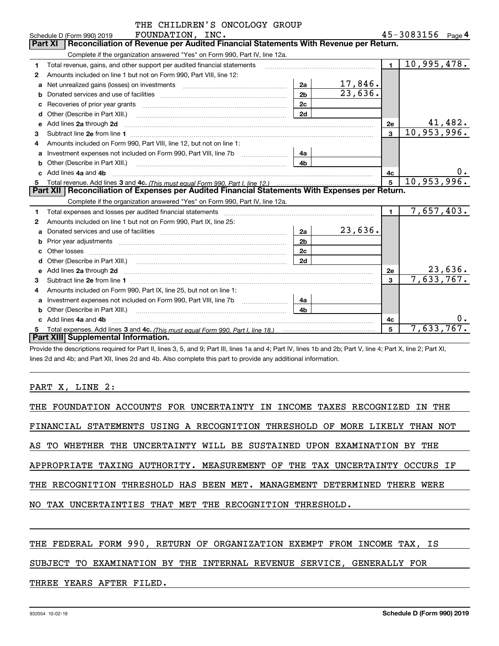|   | THE CHILDREN'S ONCOLOGY GROUP                                                                                                                                                                                                       |                |             |                   |             |
|---|-------------------------------------------------------------------------------------------------------------------------------------------------------------------------------------------------------------------------------------|----------------|-------------|-------------------|-------------|
|   | FOUNDATION, INC.<br>Schedule D (Form 990) 2019                                                                                                                                                                                      |                |             | 45-3083156 Page 4 |             |
|   | Reconciliation of Revenue per Audited Financial Statements With Revenue per Return.<br>Part XI                                                                                                                                      |                |             |                   |             |
|   | Complete if the organization answered "Yes" on Form 990, Part IV, line 12a.                                                                                                                                                         |                |             |                   |             |
| 1 | Total revenue, gains, and other support per audited financial statements                                                                                                                                                            |                |             | $\blacksquare$    | 10,995,478. |
| 2 | Amounts included on line 1 but not on Form 990, Part VIII, line 12:                                                                                                                                                                 |                |             |                   |             |
| a | Net unrealized gains (losses) on investments [11] matter contracts and the unrealized gains (losses) on investments                                                                                                                 | 2a             | 17,846.     |                   |             |
| b |                                                                                                                                                                                                                                     | 2 <sub>b</sub> | 23,636.     |                   |             |
|   |                                                                                                                                                                                                                                     | 2c             |             |                   |             |
| d |                                                                                                                                                                                                                                     | 2d             |             |                   |             |
| e | Add lines 2a through 2d                                                                                                                                                                                                             |                |             | <b>2e</b>         | 41,482.     |
| 3 |                                                                                                                                                                                                                                     |                |             | 3                 | 10,953,996. |
| 4 | Amounts included on Form 990, Part VIII, line 12, but not on line 1:                                                                                                                                                                |                |             |                   |             |
| a | Investment expenses not included on Form 990, Part VIII, line 7b [11, 111, 111, 111]                                                                                                                                                | 4a             |             |                   |             |
| b | Other (Describe in Part XIII.) <b>Construction Contract Construction</b> Construction Construction Construction Const                                                                                                               | 4b             |             |                   |             |
|   | c Add lines 4a and 4b                                                                                                                                                                                                               | 4c             | υ.          |                   |             |
|   |                                                                                                                                                                                                                                     | 5              | 10,953,996. |                   |             |
|   | Part XII   Reconciliation of Expenses per Audited Financial Statements With Expenses per Return.                                                                                                                                    |                |             |                   |             |
|   | Complete if the organization answered "Yes" on Form 990, Part IV, line 12a.                                                                                                                                                         |                |             |                   |             |
| 1 | Total expenses and losses per audited financial statements                                                                                                                                                                          |                |             | $\blacksquare$    | 7,657,403.  |
| 2 | Amounts included on line 1 but not on Form 990, Part IX, line 25:                                                                                                                                                                   |                |             |                   |             |
| a |                                                                                                                                                                                                                                     | 2a             | 23,636.     |                   |             |
| b |                                                                                                                                                                                                                                     | 2 <sub>b</sub> |             |                   |             |
|   | Other losses                                                                                                                                                                                                                        | 2c             |             |                   |             |
|   | Other (Describe in Part XIII.) (COLORGIAN CONTEXT)                                                                                                                                                                                  | 2d             |             |                   |             |
| e | Add lines 2a through 2d <b>contained a contained a contained a contained a</b> contained a contained a contained a contained a contained a contained a contained a contained a contained a contained a contained a contained a cont |                |             | <b>2e</b>         | 23,636.     |
| З |                                                                                                                                                                                                                                     |                |             | 3                 | 7,633,767.  |
| 4 | Amounts included on Form 990, Part IX, line 25, but not on line 1:                                                                                                                                                                  |                |             |                   |             |
| a |                                                                                                                                                                                                                                     | 4a             |             |                   |             |
| b |                                                                                                                                                                                                                                     | 4b             |             |                   |             |
|   | Add lines 4a and 4b                                                                                                                                                                                                                 |                |             | 4c                | υ.          |
|   |                                                                                                                                                                                                                                     |                |             | 5                 | 7,633,767.  |
|   | Part XIII Supplemental Information.                                                                                                                                                                                                 |                |             |                   |             |

Provide the descriptions required for Part II, lines 3, 5, and 9; Part III, lines 1a and 4; Part IV, lines 1b and 2b; Part V, line 4; Part X, line 2; Part XI, lines 2d and 4b; and Part XII, lines 2d and 4b. Also complete this part to provide any additional information.

#### PART X, LINE 2:

|  |  | THE FOUNDATION ACCOUNTS FOR UNCERTAINTY IN INCOME TAXES RECOGNIZED IN THE  |  |  |  |
|--|--|----------------------------------------------------------------------------|--|--|--|
|  |  | FINANCIAL STATEMENTS USING A RECOGNITION THRESHOLD OF MORE LIKELY THAN NOT |  |  |  |
|  |  | AS TO WHETHER THE UNCERTAINTY WILL BE SUSTAINED UPON EXAMINATION BY THE    |  |  |  |
|  |  | APPROPRIATE TAXING AUTHORITY. MEASUREMENT OF THE TAX UNCERTAINTY OCCURS IF |  |  |  |
|  |  | THE RECOGNITION THRESHOLD HAS BEEN MET. MANAGEMENT DETERMINED THERE WERE   |  |  |  |
|  |  | NO TAX UNCERTAINTIES THAT MET THE RECOGNITION THRESHOLD.                   |  |  |  |
|  |  |                                                                            |  |  |  |

THE FEDERAL FORM 990, RETURN OF ORGANIZATION EXEMPT FROM INCOME TAX, IS

# SUBJECT TO EXAMINATION BY THE INTERNAL REVENUE SERVICE, GENERALLY FOR

#### THREE YEARS AFTER FILED.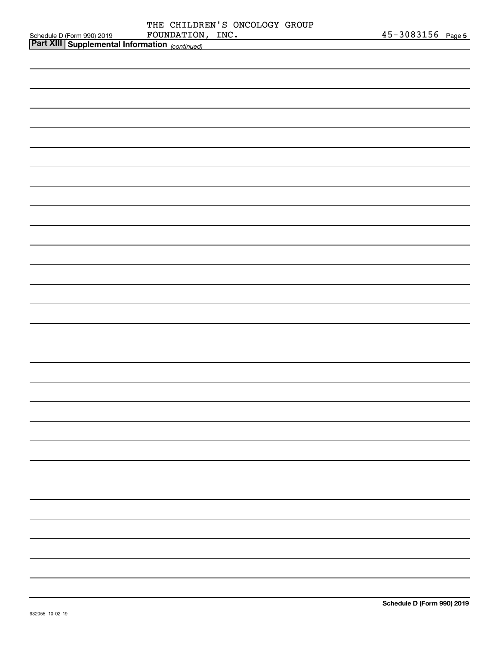| FOUNDATION, INC.                                                                                 | <u>45-3083156 Page 5</u> |
|--------------------------------------------------------------------------------------------------|--------------------------|
| Schedule D (Form 990) 2019 FOUNDATION<br><b>Part XIII   Supplemental Information</b> (continued) |                          |
|                                                                                                  |                          |
|                                                                                                  |                          |
|                                                                                                  |                          |
|                                                                                                  |                          |
|                                                                                                  |                          |
|                                                                                                  |                          |
|                                                                                                  |                          |
|                                                                                                  |                          |
|                                                                                                  |                          |
|                                                                                                  |                          |
|                                                                                                  |                          |
|                                                                                                  |                          |
|                                                                                                  |                          |
|                                                                                                  |                          |
|                                                                                                  |                          |
|                                                                                                  |                          |
|                                                                                                  |                          |
|                                                                                                  |                          |
|                                                                                                  |                          |
|                                                                                                  |                          |
|                                                                                                  |                          |
|                                                                                                  |                          |
|                                                                                                  |                          |
|                                                                                                  |                          |
|                                                                                                  |                          |
|                                                                                                  |                          |
|                                                                                                  |                          |
|                                                                                                  |                          |
|                                                                                                  |                          |
|                                                                                                  |                          |
|                                                                                                  |                          |
|                                                                                                  |                          |
|                                                                                                  |                          |
|                                                                                                  |                          |
|                                                                                                  |                          |
|                                                                                                  |                          |
|                                                                                                  |                          |
|                                                                                                  |                          |
|                                                                                                  |                          |
|                                                                                                  |                          |
|                                                                                                  |                          |
|                                                                                                  |                          |
|                                                                                                  |                          |
|                                                                                                  |                          |
|                                                                                                  |                          |
|                                                                                                  |                          |
|                                                                                                  |                          |
|                                                                                                  |                          |
|                                                                                                  |                          |
|                                                                                                  |                          |
|                                                                                                  |                          |
|                                                                                                  |                          |
|                                                                                                  |                          |
|                                                                                                  |                          |
|                                                                                                  |                          |
|                                                                                                  |                          |
|                                                                                                  |                          |
|                                                                                                  |                          |
|                                                                                                  |                          |
|                                                                                                  |                          |
|                                                                                                  |                          |
|                                                                                                  |                          |
|                                                                                                  |                          |
|                                                                                                  |                          |
|                                                                                                  |                          |
|                                                                                                  |                          |
|                                                                                                  |                          |
|                                                                                                  |                          |
|                                                                                                  |                          |
|                                                                                                  |                          |
|                                                                                                  |                          |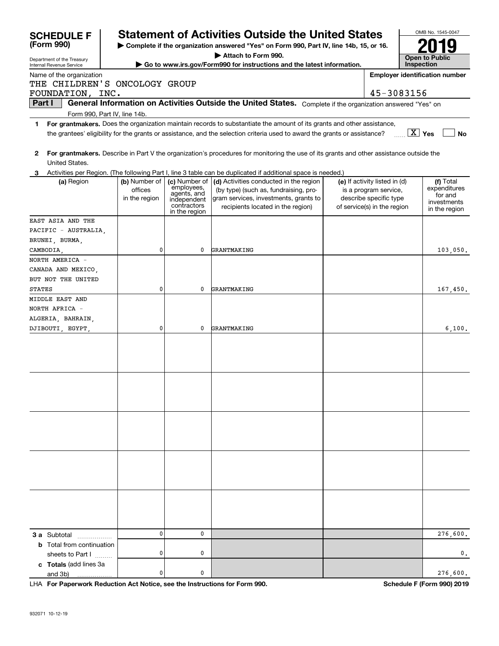| <b>SCHEDULE F</b>                                         |               |                              | <b>Statement of Activities Outside the United States</b>                                                                                |                               |                        | OMB No. 1545-0047                     |  |
|-----------------------------------------------------------|---------------|------------------------------|-----------------------------------------------------------------------------------------------------------------------------------------|-------------------------------|------------------------|---------------------------------------|--|
| (Form 990)                                                |               |                              | Complete if the organization answered "Yes" on Form 990, Part IV, line 14b, 15, or 16.                                                  |                               |                        |                                       |  |
|                                                           |               |                              | Attach to Form 990.                                                                                                                     |                               |                        |                                       |  |
| Department of the Treasury<br>Internal Revenue Service    |               |                              | Go to www.irs.gov/Form990 for instructions and the latest information.                                                                  |                               | Inspection             | <b>Open to Public</b>                 |  |
| Name of the organization<br>THE CHILDREN'S ONCOLOGY GROUP |               |                              |                                                                                                                                         |                               |                        | <b>Employer identification number</b> |  |
| FOUNDATION, INC.<br>Part I                                |               |                              | General Information on Activities Outside the United States. Complete if the organization answered "Yes" on                             | 45-3083156                    |                        |                                       |  |
|                                                           |               |                              |                                                                                                                                         |                               |                        |                                       |  |
| Form 990, Part IV, line 14b.<br>$\mathbf 1$               |               |                              | For grantmakers. Does the organization maintain records to substantiate the amount of its grants and other assistance,                  |                               |                        |                                       |  |
|                                                           |               |                              | the grantees' eligibility for the grants or assistance, and the selection criteria used to award the grants or assistance?              |                               | $\boxed{\text{X}}$ Yes | No                                    |  |
| $\mathbf{2}$<br>United States.                            |               |                              | For grantmakers. Describe in Part V the organization's procedures for monitoring the use of its grants and other assistance outside the |                               |                        |                                       |  |
|                                                           |               |                              | Activities per Region. (The following Part I, line 3 table can be duplicated if additional space is needed.)                            |                               |                        |                                       |  |
| (a) Region                                                | (b) Number of | (c) Number of                | (d) Activities conducted in the region                                                                                                  | (e) If activity listed in (d) |                        | (f) Total                             |  |
|                                                           | offices       | employees,<br>agents, and    | (by type) (such as, fundraising, pro-                                                                                                   | is a program service,         |                        | expenditures<br>for and               |  |
|                                                           | in the region | independent                  | gram services, investments, grants to                                                                                                   | describe specific type        |                        | investments                           |  |
|                                                           |               | contractors<br>in the region | recipients located in the region)                                                                                                       | of service(s) in the region   |                        | in the region                         |  |
| EAST ASIA AND THE                                         |               |                              |                                                                                                                                         |                               |                        |                                       |  |
| PACIFIC - AUSTRALIA,                                      |               |                              |                                                                                                                                         |                               |                        |                                       |  |
| BRUNEI, BURMA,                                            |               |                              |                                                                                                                                         |                               |                        |                                       |  |
| CAMBODIA,                                                 | 0             | 0                            | GRANTMAKING                                                                                                                             |                               |                        | 103,050.                              |  |
| NORTH AMERICA -                                           |               |                              |                                                                                                                                         |                               |                        |                                       |  |
| CANADA AND MEXICO,                                        |               |                              |                                                                                                                                         |                               |                        |                                       |  |
| BUT NOT THE UNITED                                        |               |                              |                                                                                                                                         |                               |                        |                                       |  |
| <b>STATES</b>                                             | 0             | 0                            | GRANTMAKING                                                                                                                             |                               |                        | 167,450.                              |  |
| MIDDLE EAST AND                                           |               |                              |                                                                                                                                         |                               |                        |                                       |  |
| NORTH AFRICA -                                            |               |                              |                                                                                                                                         |                               |                        |                                       |  |
|                                                           |               |                              |                                                                                                                                         |                               |                        |                                       |  |
| ALGERIA, BAHRAIN,                                         |               |                              |                                                                                                                                         |                               |                        |                                       |  |
| DJIBOUTI, EGYPT,                                          | 0             | $^{\circ}$                   | GRANTMAKING                                                                                                                             |                               |                        | 6,100.                                |  |
|                                                           |               |                              |                                                                                                                                         |                               |                        |                                       |  |
|                                                           |               |                              |                                                                                                                                         |                               |                        |                                       |  |
|                                                           |               |                              |                                                                                                                                         |                               |                        |                                       |  |
|                                                           |               |                              |                                                                                                                                         |                               |                        |                                       |  |
|                                                           |               |                              |                                                                                                                                         |                               |                        |                                       |  |
|                                                           |               |                              |                                                                                                                                         |                               |                        |                                       |  |
|                                                           |               |                              |                                                                                                                                         |                               |                        |                                       |  |
|                                                           |               |                              |                                                                                                                                         |                               |                        |                                       |  |
|                                                           |               |                              |                                                                                                                                         |                               |                        |                                       |  |
|                                                           |               |                              |                                                                                                                                         |                               |                        |                                       |  |
|                                                           |               |                              |                                                                                                                                         |                               |                        |                                       |  |
|                                                           |               |                              |                                                                                                                                         |                               |                        |                                       |  |
|                                                           |               |                              |                                                                                                                                         |                               |                        |                                       |  |
|                                                           |               |                              |                                                                                                                                         |                               |                        |                                       |  |
|                                                           |               |                              |                                                                                                                                         |                               |                        |                                       |  |
|                                                           |               |                              |                                                                                                                                         |                               |                        |                                       |  |
|                                                           |               |                              |                                                                                                                                         |                               |                        |                                       |  |
|                                                           |               |                              |                                                                                                                                         |                               |                        |                                       |  |
|                                                           |               |                              |                                                                                                                                         |                               |                        |                                       |  |
|                                                           |               |                              |                                                                                                                                         |                               |                        |                                       |  |
| <b>3 a</b> Subtotal                                       | 0             | 0                            |                                                                                                                                         |                               |                        | 276,600.                              |  |
| <b>b</b> Total from continuation                          |               |                              |                                                                                                                                         |                               |                        |                                       |  |
| sheets to Part I                                          | 0             | 0                            |                                                                                                                                         |                               |                        | $\mathbf{0}$ .                        |  |
| c Totals (add lines 3a                                    |               |                              |                                                                                                                                         |                               |                        |                                       |  |
| and 3b)                                                   | 0             | 0                            |                                                                                                                                         |                               |                        | 276,600.                              |  |

**For Paperwork Reduction Act Notice, see the Instructions for Form 990. Schedule F (Form 990) 2019** LHA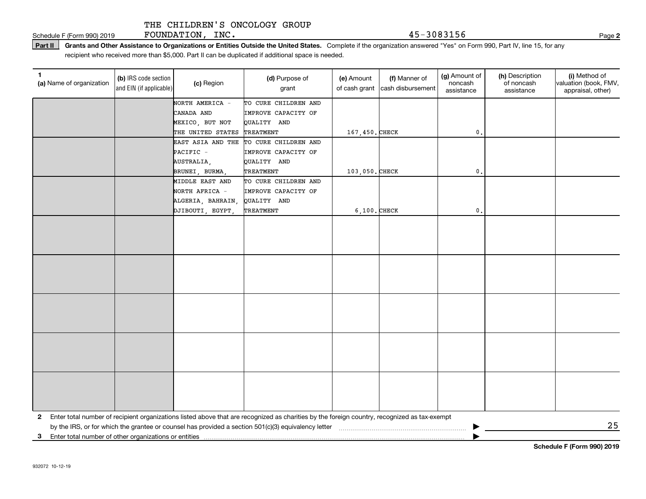Schedule F (Form 990) 2019  ${\bf FOUNDATION}$  ,  ${\bf INC.}$   ${\bf A5-3083156}$  . And the state of the state of the state of the state of the state of the state of the state of the state of the state of the state of the state of the s

Part II | Grants and Other Assistance to Organizations or Entities Outside the United States. Complete if the organization answered "Yes" on Form 990, Part IV, line 15, for any recipient who received more than \$5,000. Part II can be duplicated if additional space is needed.

| 1<br>(a) Name of organization                              | (b) IRS code section<br>and EIN (if applicable) | (c) Region        | (d) Purpose of<br>grant                                                                                                                      | (e) Amount<br>of cash grant | (f) Manner of<br>cash disbursement | (g) Amount of<br>noncash<br>assistance | (h) Description<br>of noncash<br>assistance | (i) Method of<br>valuation (book, FMV,<br>appraisal, other) |
|------------------------------------------------------------|-------------------------------------------------|-------------------|----------------------------------------------------------------------------------------------------------------------------------------------|-----------------------------|------------------------------------|----------------------------------------|---------------------------------------------|-------------------------------------------------------------|
|                                                            |                                                 | NORTH AMERICA -   | TO CURE CHILDREN AND                                                                                                                         |                             |                                    |                                        |                                             |                                                             |
|                                                            |                                                 | CANADA AND        | IMPROVE CAPACITY OF                                                                                                                          |                             |                                    |                                        |                                             |                                                             |
|                                                            |                                                 | MEXICO, BUT NOT   | QUALITY AND                                                                                                                                  |                             |                                    |                                        |                                             |                                                             |
|                                                            |                                                 | THE UNITED STATES | TREATMENT                                                                                                                                    | 167,450. CHECK              |                                    | $\mathbf{0}$ .                         |                                             |                                                             |
|                                                            |                                                 | EAST ASIA AND THE | TO CURE CHILDREN AND                                                                                                                         |                             |                                    |                                        |                                             |                                                             |
|                                                            |                                                 | PACIFIC -         | IMPROVE CAPACITY OF                                                                                                                          |                             |                                    |                                        |                                             |                                                             |
|                                                            |                                                 | AUSTRALIA,        | QUALITY AND                                                                                                                                  |                             |                                    |                                        |                                             |                                                             |
|                                                            |                                                 | BRUNEI, BURMA,    | TREATMENT                                                                                                                                    | 103,050. CHECK              |                                    | $\mathbf{0}$ .                         |                                             |                                                             |
|                                                            |                                                 | MIDDLE EAST AND   | TO CURE CHILDREN AND                                                                                                                         |                             |                                    |                                        |                                             |                                                             |
|                                                            |                                                 | NORTH AFRICA -    | IMPROVE CAPACITY OF                                                                                                                          |                             |                                    |                                        |                                             |                                                             |
|                                                            |                                                 | ALGERIA, BAHRAIN, | QUALITY AND                                                                                                                                  |                             |                                    |                                        |                                             |                                                             |
|                                                            |                                                 | DJIBOUTI, EGYPT,  | TREATMENT                                                                                                                                    | $6,100$ . CHECK             |                                    | $\mathfrak o$ .                        |                                             |                                                             |
|                                                            |                                                 |                   |                                                                                                                                              |                             |                                    |                                        |                                             |                                                             |
|                                                            |                                                 |                   |                                                                                                                                              |                             |                                    |                                        |                                             |                                                             |
|                                                            |                                                 |                   |                                                                                                                                              |                             |                                    |                                        |                                             |                                                             |
|                                                            |                                                 |                   |                                                                                                                                              |                             |                                    |                                        |                                             |                                                             |
|                                                            |                                                 |                   |                                                                                                                                              |                             |                                    |                                        |                                             |                                                             |
|                                                            |                                                 |                   |                                                                                                                                              |                             |                                    |                                        |                                             |                                                             |
|                                                            |                                                 |                   |                                                                                                                                              |                             |                                    |                                        |                                             |                                                             |
|                                                            |                                                 |                   |                                                                                                                                              |                             |                                    |                                        |                                             |                                                             |
|                                                            |                                                 |                   |                                                                                                                                              |                             |                                    |                                        |                                             |                                                             |
|                                                            |                                                 |                   |                                                                                                                                              |                             |                                    |                                        |                                             |                                                             |
|                                                            |                                                 |                   |                                                                                                                                              |                             |                                    |                                        |                                             |                                                             |
|                                                            |                                                 |                   |                                                                                                                                              |                             |                                    |                                        |                                             |                                                             |
|                                                            |                                                 |                   |                                                                                                                                              |                             |                                    |                                        |                                             |                                                             |
|                                                            |                                                 |                   |                                                                                                                                              |                             |                                    |                                        |                                             |                                                             |
|                                                            |                                                 |                   |                                                                                                                                              |                             |                                    |                                        |                                             |                                                             |
|                                                            |                                                 |                   |                                                                                                                                              |                             |                                    |                                        |                                             |                                                             |
|                                                            |                                                 |                   |                                                                                                                                              |                             |                                    |                                        |                                             |                                                             |
|                                                            |                                                 |                   |                                                                                                                                              |                             |                                    |                                        |                                             |                                                             |
|                                                            |                                                 |                   |                                                                                                                                              |                             |                                    |                                        |                                             |                                                             |
|                                                            |                                                 |                   |                                                                                                                                              |                             |                                    |                                        |                                             |                                                             |
| $\mathbf{2}$                                               |                                                 |                   | Enter total number of recipient organizations listed above that are recognized as charities by the foreign country, recognized as tax-exempt |                             |                                    |                                        |                                             |                                                             |
|                                                            |                                                 |                   |                                                                                                                                              |                             |                                    |                                        |                                             | 25                                                          |
| Enter total number of other organizations or entities<br>3 |                                                 |                   |                                                                                                                                              |                             |                                    |                                        |                                             |                                                             |

**2**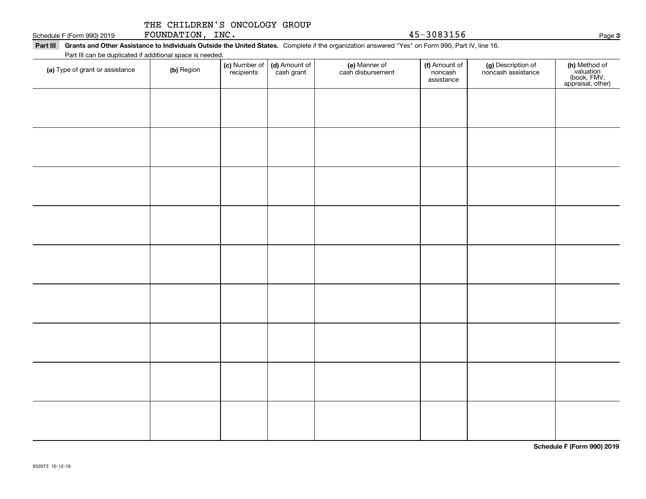| THE CHILDREN'S ONCOLOGY GROUP |  |
|-------------------------------|--|
|                               |  |

Schedule F (Form 990) 2019  ${\bf FOUNDATION}$  ,  ${\bf INC.}$   ${\bf A5-3083156}$  . And the state of the state of the state of the state of the state of the state of the state of the state of the state of the state of the state of the s

Part III Grants and Other Assistance to Individuals Outside the United States. Complete if the organization answered "Yes" on Form 990, Part IV, line 16. Part III can be duplicated if additional space is needed.

# **(c)** Number of **| (d)** Amount of **| (e)** Manner of **| (f)** Amount of **| (g)** Description of **| (h) (a)** Type of grant or assistance  $\qquad$  **(b)** Region (c) Number of *recipients* (d) Amount of cash grant (e) Manner of cash disbursement (f) Amount of noncash assistancenoncash assistance **(h)** Method of<br>valuation<br>(book, FMV,<br>appraisal, other)

**Schedule F (Form 990) 2019**

Page 3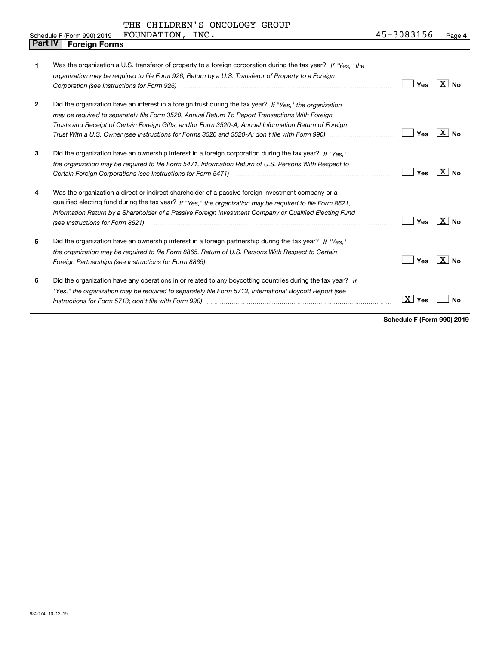|         | FOUNDATION, INC.<br>Schedule F (Form 990) 2019                                                                 | 45-3083156 | Page 4         |
|---------|----------------------------------------------------------------------------------------------------------------|------------|----------------|
| Part IV | <b>Foreign Forms</b>                                                                                           |            |                |
|         |                                                                                                                |            |                |
| 1       | Was the organization a U.S. transferor of property to a foreign corporation during the tax year? If "Yes," the |            |                |
|         | organization may be required to file Form 926, Return by a U.S. Transferor of Property to a Foreign            |            |                |
|         |                                                                                                                | Yes        | $X \mid No$    |
| 2       | Did the organization have an interest in a foreign trust during the tax year? If "Yes." the organization       |            |                |
|         | may be required to separately file Form 3520, Annual Return To Report Transactions With Foreign                |            |                |
|         | Trusts and Receipt of Certain Foreign Gifts, and/or Form 3520-A, Annual Information Return of Foreign          |            |                |
|         |                                                                                                                | Yes        | $X _{N_Q}$     |
| 3       | Did the organization have an ownership interest in a foreign corporation during the tax year? If "Yes."        |            |                |
|         | the organization may be required to file Form 5471, Information Return of U.S. Persons With Respect to         |            |                |
|         |                                                                                                                | Yes        | $X \mid No$    |
| 4       | Was the organization a direct or indirect shareholder of a passive foreign investment company or a             |            |                |
|         | qualified electing fund during the tax year? If "Yes," the organization may be required to file Form 8621,     |            |                |
|         | Information Return by a Shareholder of a Passive Foreign Investment Company or Qualified Electing Fund         |            |                |
|         | (see Instructions for Form 8621)                                                                               | Yes        | $X \mid N_{0}$ |
| 5       | Did the organization have an ownership interest in a foreign partnership during the tax year? If "Yes."        |            |                |
|         | the organization may be required to file Form 8865, Return of U.S. Persons With Respect to Certain             |            |                |
|         |                                                                                                                | Yes        | $X \mid No$    |
| 6       | Did the organization have any operations in or related to any boycotting countries during the tax year? If     |            |                |
|         | "Yes," the organization may be reguired to separately file Form 5713, International Boycott Report (see        |            |                |
|         |                                                                                                                | X  <br>Yes | No             |
|         |                                                                                                                |            |                |

**Schedule F (Form 990) 2019**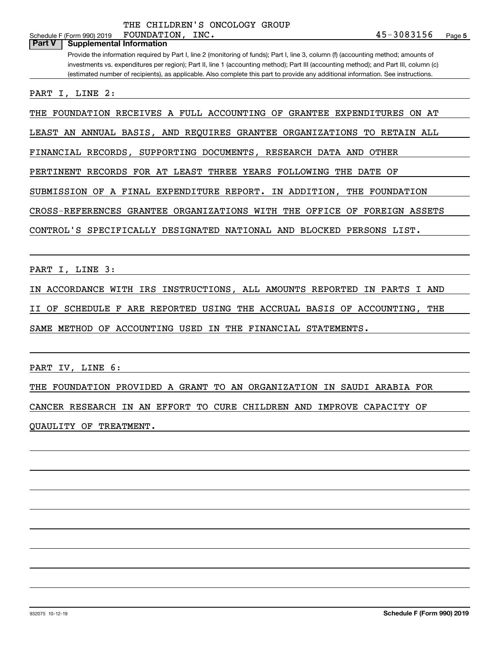Schedule F (Form 990) 2019 FOUNDATION, INC.  $45-3083156$ **Part V Supplemental Information** FOUNDATION,

Provide the information required by Part I, line 2 (monitoring of funds); Part I, line 3, column (f) (accounting method; amounts of investments vs. expenditures per region); Part II, line 1 (accounting method); Part III (accounting method); and Part III, column (c) (estimated number of recipients), as applicable. Also complete this part to provide any additional information. See instructions.

PART I, LINE 2:

THE FOUNDATION RECEIVES A FULL ACCOUNTING OF GRANTEE EXPENDITURES ON AT

LEAST AN ANNUAL BASIS, AND REQUIRES GRANTEE ORGANIZATIONS TO RETAIN ALL

FINANCIAL RECORDS, SUPPORTING DOCUMENTS, RESEARCH DATA AND OTHER

PERTINENT RECORDS FOR AT LEAST THREE YEARS FOLLOWING THE DATE OF

SUBMISSION OF A FINAL EXPENDITURE REPORT. IN ADDITION, THE FOUNDATION

CROSS-REFERENCES GRANTEE ORGANIZATIONS WITH THE OFFICE OF FOREIGN ASSETS

CONTROL'S SPECIFICALLY DESIGNATED NATIONAL AND BLOCKED PERSONS LIST.

PART I, LINE 3:

IN ACCORDANCE WITH IRS INSTRUCTIONS, ALL AMOUNTS REPORTED IN PARTS I AND

II OF SCHEDULE F ARE REPORTED USING THE ACCRUAL BASIS OF ACCOUNTING, THE

SAME METHOD OF ACCOUNTING USED IN THE FINANCIAL STATEMENTS.

PART IV, LINE 6:

THE FOUNDATION PROVIDED A GRANT TO AN ORGANIZATION IN SAUDI ARABIA FOR CANCER RESEARCH IN AN EFFORT TO CURE CHILDREN AND IMPROVE CAPACITY OF QUAULITY OF TREATMENT.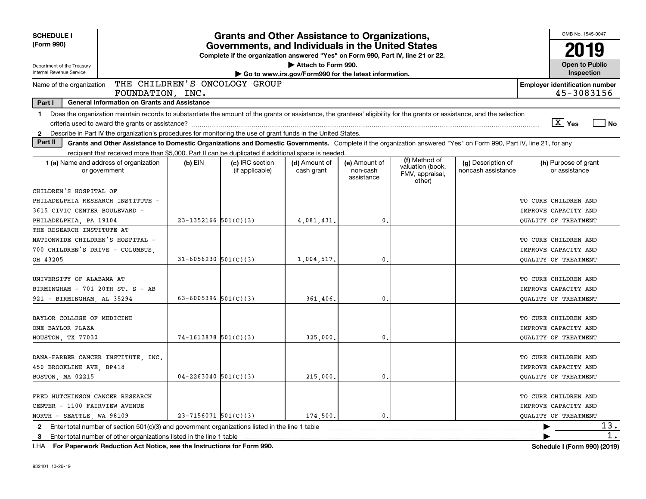| <b>SCHEDULE I</b><br><b>Grants and Other Assistance to Organizations,</b>                                                                                                     |                                                                                                                                       |                                    |                             |                                         |                                                                |                                          | OMB No. 1545-0047 |                                                     |  |
|-------------------------------------------------------------------------------------------------------------------------------------------------------------------------------|---------------------------------------------------------------------------------------------------------------------------------------|------------------------------------|-----------------------------|-----------------------------------------|----------------------------------------------------------------|------------------------------------------|-------------------|-----------------------------------------------------|--|
| (Form 990)                                                                                                                                                                    | Governments, and Individuals in the United States<br>Complete if the organization answered "Yes" on Form 990, Part IV, line 21 or 22. |                                    |                             |                                         |                                                                |                                          |                   | 2019                                                |  |
| Attach to Form 990.<br>Department of the Treasury<br>Internal Revenue Service<br>Go to www.irs.gov/Form990 for the latest information.                                        |                                                                                                                                       |                                    |                             |                                         |                                                                |                                          |                   |                                                     |  |
| Name of the organization<br>FOUNDATION, INC.                                                                                                                                  |                                                                                                                                       | THE CHILDREN'S ONCOLOGY GROUP      |                             |                                         |                                                                |                                          |                   | <b>Employer identification number</b><br>45-3083156 |  |
| Part I<br><b>General Information on Grants and Assistance</b>                                                                                                                 |                                                                                                                                       |                                    |                             |                                         |                                                                |                                          |                   |                                                     |  |
| 1 Does the organization maintain records to substantiate the amount of the grants or assistance, the grantees' eligibility for the grants or assistance, and the selection    |                                                                                                                                       |                                    |                             |                                         |                                                                |                                          |                   | $\boxed{\text{X}}$ Yes<br>  No                      |  |
| 2 Describe in Part IV the organization's procedures for monitoring the use of grant funds in the United States.                                                               |                                                                                                                                       |                                    |                             |                                         |                                                                |                                          |                   |                                                     |  |
| Part II<br>Grants and Other Assistance to Domestic Organizations and Domestic Governments. Complete if the organization answered "Yes" on Form 990, Part IV, line 21, for any |                                                                                                                                       |                                    |                             |                                         |                                                                |                                          |                   |                                                     |  |
| recipient that received more than \$5,000. Part II can be duplicated if additional space is needed.                                                                           |                                                                                                                                       |                                    |                             |                                         |                                                                |                                          |                   |                                                     |  |
| <b>1 (a)</b> Name and address of organization<br>or government                                                                                                                | $(b)$ EIN                                                                                                                             | (c) IRC section<br>(if applicable) | (d) Amount of<br>cash grant | (e) Amount of<br>non-cash<br>assistance | (f) Method of<br>valuation (book,<br>FMV, appraisal,<br>other) | (g) Description of<br>noncash assistance |                   | (h) Purpose of grant<br>or assistance               |  |
| CHILDREN'S HOSPITAL OF                                                                                                                                                        |                                                                                                                                       |                                    |                             |                                         |                                                                |                                          |                   |                                                     |  |
| PHILADELPHIA RESEARCH INSTITUTE -                                                                                                                                             |                                                                                                                                       |                                    |                             |                                         |                                                                |                                          |                   | TO CURE CHILDREN AND                                |  |
| 3615 CIVIC CENTER BOULEVARD -                                                                                                                                                 |                                                                                                                                       |                                    |                             |                                         |                                                                |                                          |                   | <b>IMPROVE CAPACITY AND</b>                         |  |
| PHILADELPHIA, PA 19104                                                                                                                                                        | $23-1352166$ $501(C)(3)$                                                                                                              |                                    | 4,081,431.                  | $\mathbf{0}$ .                          |                                                                |                                          |                   | OUALITY OF TREATMENT                                |  |
| THE RESEARCH INSTITUTE AT                                                                                                                                                     |                                                                                                                                       |                                    |                             |                                         |                                                                |                                          |                   |                                                     |  |
| NATIONWIDE CHILDREN'S HOSPITAL -                                                                                                                                              |                                                                                                                                       |                                    |                             |                                         |                                                                |                                          |                   | TO CURE CHILDREN AND                                |  |
| 700 CHILDREN'S DRIVE - COLUMBUS.                                                                                                                                              |                                                                                                                                       |                                    |                             |                                         |                                                                |                                          |                   | IMPROVE CAPACITY AND                                |  |
| OH 43205                                                                                                                                                                      | $31 - 6056230$ $501(C)(3)$                                                                                                            |                                    | 1,004,517.                  | $\mathbf{0}$ .                          |                                                                |                                          |                   | QUALITY OF TREATMENT                                |  |
| UNIVERSITY OF ALABAMA AT                                                                                                                                                      |                                                                                                                                       |                                    |                             |                                         |                                                                |                                          |                   | TO CURE CHILDREN AND                                |  |
| BIRMINGHAM - 701 20TH ST. S - AB                                                                                                                                              |                                                                                                                                       |                                    |                             |                                         |                                                                |                                          |                   | IMPROVE CAPACITY AND                                |  |
| 921 - BIRMINGHAM, AL 35294                                                                                                                                                    | 63-6005396 $501(C)(3)$                                                                                                                |                                    | 361,406.                    | 0.                                      |                                                                |                                          |                   | QUALITY OF TREATMENT                                |  |
|                                                                                                                                                                               |                                                                                                                                       |                                    |                             |                                         |                                                                |                                          |                   |                                                     |  |
| BAYLOR COLLEGE OF MEDICINE                                                                                                                                                    |                                                                                                                                       |                                    |                             |                                         |                                                                |                                          |                   | TO CURE CHILDREN AND                                |  |
| ONE BAYLOR PLAZA                                                                                                                                                              |                                                                                                                                       |                                    |                             |                                         |                                                                |                                          |                   | IMPROVE CAPACITY AND                                |  |
| HOUSTON, TX 77030                                                                                                                                                             | $74 - 1613878$ 501(C)(3)                                                                                                              |                                    | 325,000                     | 0.                                      |                                                                |                                          |                   | OUALITY OF TREATMENT                                |  |
|                                                                                                                                                                               |                                                                                                                                       |                                    |                             |                                         |                                                                |                                          |                   |                                                     |  |
| DANA-FARBER CANCER INSTITUTE, INC.                                                                                                                                            |                                                                                                                                       |                                    |                             |                                         |                                                                |                                          |                   | TO CURE CHILDREN AND                                |  |
| 450 BROOKLINE AVE, BP418                                                                                                                                                      |                                                                                                                                       |                                    |                             |                                         |                                                                |                                          |                   | <b>IMPROVE CAPACITY AND</b>                         |  |
| BOSTON, MA 02215                                                                                                                                                              | $04 - 2263040$ 501(C)(3)                                                                                                              |                                    | 215,000                     | 0.                                      |                                                                |                                          |                   | OUALITY OF TREATMENT                                |  |
|                                                                                                                                                                               |                                                                                                                                       |                                    |                             |                                         |                                                                |                                          |                   |                                                     |  |
| FRED HUTCHINSON CANCER RESEARCH                                                                                                                                               |                                                                                                                                       |                                    |                             |                                         |                                                                |                                          |                   | TO CURE CHILDREN AND                                |  |
| CENTER - 1100 FAIRVIEW AVENUE                                                                                                                                                 |                                                                                                                                       |                                    |                             |                                         |                                                                |                                          |                   | IMPROVE CAPACITY AND                                |  |
| NORTH - SEATTLE, WA 98109                                                                                                                                                     | $23 - 7156071$ 501(C)(3)                                                                                                              |                                    | 174,500.                    | 0.                                      |                                                                |                                          |                   | OUALITY OF TREATMENT                                |  |
| 2 Enter total number of section 501(c)(3) and government organizations listed in the line 1 table                                                                             |                                                                                                                                       |                                    |                             |                                         |                                                                |                                          |                   | 13.                                                 |  |
| Enter total number of other organizations listed in the line 1 table<br>3                                                                                                     |                                                                                                                                       |                                    |                             |                                         |                                                                |                                          |                   | $1$ .                                               |  |

**For Paperwork Reduction Act Notice, see the Instructions for Form 990. Schedule I (Form 990) (2019)** LHA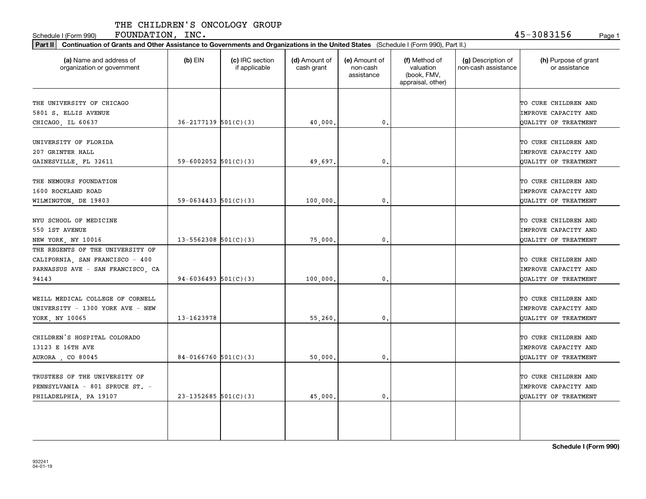Schedule I (Form 990) Page 1 FOUNDATION, INC.

45-3083156

| (a) Name and address of<br>organization or government | $(b)$ EIN                  | (c) IRC section<br>if applicable | (d) Amount of<br>cash grant | (e) Amount of<br>non-cash<br>assistance | (f) Method of<br>valuation<br>(book, FMV,<br>appraisal, other) | (g) Description of<br>non-cash assistance | (h) Purpose of grant<br>or assistance |
|-------------------------------------------------------|----------------------------|----------------------------------|-----------------------------|-----------------------------------------|----------------------------------------------------------------|-------------------------------------------|---------------------------------------|
| THE UNIVERSITY OF CHICAGO                             |                            |                                  |                             |                                         |                                                                |                                           | TO CURE CHILDREN AND                  |
| 5801 S. ELLIS AVENUE                                  |                            |                                  |                             |                                         |                                                                |                                           | IMPROVE CAPACITY AND                  |
| CHICAGO, IL 60637                                     | $36 - 2177139$ $501(C)(3)$ |                                  | 40,000                      | 0.                                      |                                                                |                                           | QUALITY OF TREATMENT                  |
|                                                       |                            |                                  |                             |                                         |                                                                |                                           |                                       |
| UNIVERSITY OF FLORIDA                                 |                            |                                  |                             |                                         |                                                                |                                           | TO CURE CHILDREN AND                  |
| 207 GRINTER HALL                                      |                            |                                  |                             |                                         |                                                                |                                           | IMPROVE CAPACITY AND                  |
| GAINESVILLE, FL 32611                                 | 59-6002052 $501(C)(3)$     |                                  | 49,697.                     | $\mathbf{0}$ .                          |                                                                |                                           | QUALITY OF TREATMENT                  |
| THE NEMOURS FOUNDATION                                |                            |                                  |                             |                                         |                                                                |                                           | TO CURE CHILDREN AND                  |
| 1600 ROCKLAND ROAD                                    |                            |                                  |                             |                                         |                                                                |                                           | IMPROVE CAPACITY AND                  |
| WILMINGTON, DE 19803                                  | $59-0634433$ $501(C)(3)$   |                                  | 100,000                     | $\mathbf{0}$ .                          |                                                                |                                           | QUALITY OF TREATMENT                  |
| NYU SCHOOL OF MEDICINE                                |                            |                                  |                             |                                         |                                                                |                                           | TO CURE CHILDREN AND                  |
| 550 1ST AVENUE                                        |                            |                                  |                             |                                         |                                                                |                                           | IMPROVE CAPACITY AND                  |
| NEW YORK, NY 10016                                    | $13 - 5562308$ $501(C)(3)$ |                                  | 75,000                      | $\mathbf{0}$ .                          |                                                                |                                           | QUALITY OF TREATMENT                  |
| THE REGENTS OF THE UNIVERSITY OF                      |                            |                                  |                             |                                         |                                                                |                                           |                                       |
| CALIFORNIA, SAN FRANCISCO - 400                       |                            |                                  |                             |                                         |                                                                |                                           | TO CURE CHILDREN AND                  |
| PARNASSUS AVE - SAN FRANCISCO, CA                     |                            |                                  |                             |                                         |                                                                |                                           | IMPROVE CAPACITY AND                  |
| 94143                                                 | $94 - 6036493$ 501(C)(3)   |                                  | 100,000                     | 0.                                      |                                                                |                                           | QUALITY OF TREATMENT                  |
|                                                       |                            |                                  |                             |                                         |                                                                |                                           |                                       |
| WEILL MEDICAL COLLEGE OF CORNELL                      |                            |                                  |                             |                                         |                                                                |                                           | TO CURE CHILDREN AND                  |
| UNIVERSITY - 1300 YORK AVE - NEW                      |                            |                                  |                             |                                         |                                                                |                                           | IMPROVE CAPACITY AND                  |
| YORK, NY 10065                                        | 13-1623978                 |                                  | 55,260                      | $\mathbf{0}$                            |                                                                |                                           | QUALITY OF TREATMENT                  |
| CHILDREN'S HOSPITAL COLORADO                          |                            |                                  |                             |                                         |                                                                |                                           | TO CURE CHILDREN AND                  |
| 13123 E 16TH AVE                                      |                            |                                  |                             |                                         |                                                                |                                           | <b>IMPROVE CAPACITY AND</b>           |
| AURORA , CO 80045                                     | 84-0166760 $501(C)(3)$     |                                  | 50,000                      | 0.                                      |                                                                |                                           | QUALITY OF TREATMENT                  |
|                                                       |                            |                                  |                             |                                         |                                                                |                                           |                                       |
| TRUSTEES OF THE UNIVERSITY OF                         |                            |                                  |                             |                                         |                                                                |                                           | TO CURE CHILDREN AND                  |
| PENNSYLVANIA - 801 SPRUCE ST. -                       |                            |                                  |                             |                                         |                                                                |                                           | IMPROVE CAPACITY AND                  |
| PHILADELPHIA, PA 19107                                | $23-1352685$ 501(C)(3)     |                                  | 45,000                      | 0.                                      |                                                                |                                           | QUALITY OF TREATMENT                  |
|                                                       |                            |                                  |                             |                                         |                                                                |                                           |                                       |
|                                                       |                            |                                  |                             |                                         |                                                                |                                           |                                       |
|                                                       |                            |                                  |                             |                                         |                                                                |                                           |                                       |

**Schedule I (Form 990)**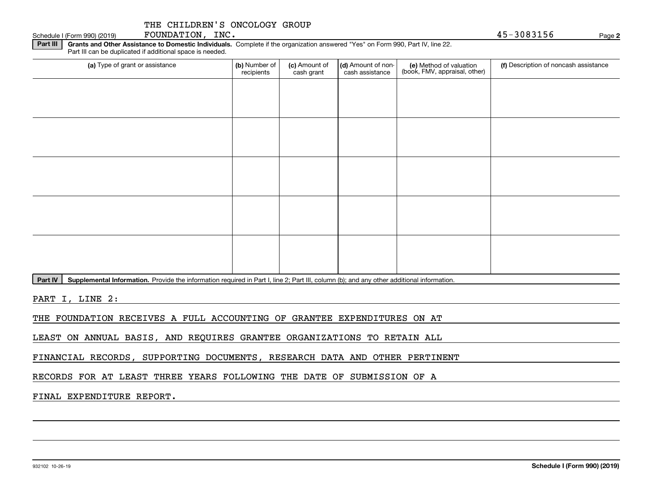| THE CHILDREN'S ONCOLOGY GROUP |  |  |
|-------------------------------|--|--|
|                               |  |  |

# FOUNDATION, INC.

Schedule I (Form 990) (2019) POUNDATION, INC.

**2**

**Part III** | Grants and Other Assistance to Domestic Individuals. Complete if the organization answered "Yes" on Form 990, Part IV, line 22. Part III can be duplicated if additional space is needed.

| (a) Type of grant or assistance | (b) Number of<br>recipients | (c) Amount of<br>cash grant | (d) Amount of non-<br>cash assistance | (e) Method of valuation<br>(book, FMV, appraisal, other) | (f) Description of noncash assistance |
|---------------------------------|-----------------------------|-----------------------------|---------------------------------------|----------------------------------------------------------|---------------------------------------|
|                                 |                             |                             |                                       |                                                          |                                       |
|                                 |                             |                             |                                       |                                                          |                                       |
|                                 |                             |                             |                                       |                                                          |                                       |
|                                 |                             |                             |                                       |                                                          |                                       |
|                                 |                             |                             |                                       |                                                          |                                       |
|                                 |                             |                             |                                       |                                                          |                                       |
|                                 |                             |                             |                                       |                                                          |                                       |
|                                 |                             |                             |                                       |                                                          |                                       |
|                                 |                             |                             |                                       |                                                          |                                       |
|                                 |                             |                             |                                       |                                                          |                                       |

Part IV | Supplemental Information. Provide the information required in Part I, line 2; Part III, column (b); and any other additional information.

PART I, LINE 2:

THE FOUNDATION RECEIVES A FULL ACCOUNTING OF GRANTEE EXPENDITURES ON AT

LEAST ON ANNUAL BASIS, AND REQUIRES GRANTEE ORGANIZATIONS TO RETAIN ALL

FINANCIAL RECORDS, SUPPORTING DOCUMENTS, RESEARCH DATA AND OTHER PERTINENT

RECORDS FOR AT LEAST THREE YEARS FOLLOWING THE DATE OF SUBMISSION OF A

#### FINAL EXPENDITURE REPORT.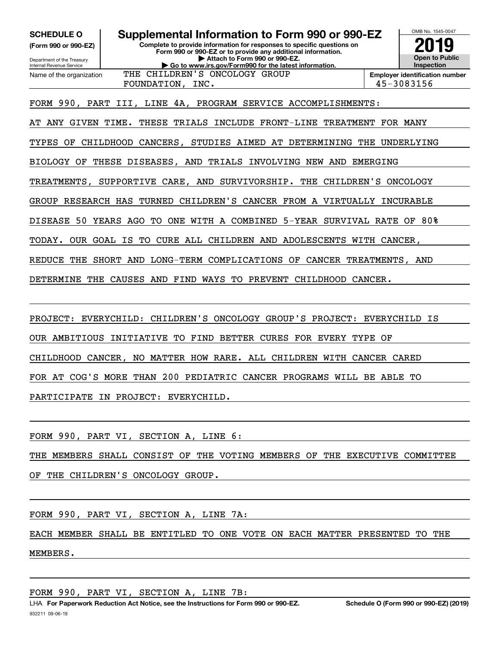**(Form 990 or 990-EZ)**

Department of the Treasury Internal Revenue Service Name of the organization

#### **Complete to provide information for responses to specific questions on Form 990 or 990-EZ or to provide any additional information. | Attach to Form 990 or 990-EZ. | Go to www.irs.gov/Form990 for the latest information. SCHEDULE O Supplemental Information to Form 990 or 990-EZ**



FOUNDATION, INC. 45-3083156 THE CHILDREN'S ONCOLOGY GROUP

FORM 990, PART III, LINE 4A, PROGRAM SERVICE ACCOMPLISHMENTS:

AT ANY GIVEN TIME. THESE TRIALS INCLUDE FRONT-LINE TREATMENT FOR MANY

TYPES OF CHILDHOOD CANCERS, STUDIES AIMED AT DETERMINING THE UNDERLYING

BIOLOGY OF THESE DISEASES, AND TRIALS INVOLVING NEW AND EMERGING

TREATMENTS, SUPPORTIVE CARE, AND SURVIVORSHIP. THE CHILDREN'S ONCOLOGY

GROUP RESEARCH HAS TURNED CHILDREN'S CANCER FROM A VIRTUALLY INCURABLE

DISEASE 50 YEARS AGO TO ONE WITH A COMBINED 5-YEAR SURVIVAL RATE OF 80%

TODAY. OUR GOAL IS TO CURE ALL CHILDREN AND ADOLESCENTS WITH CANCER,

REDUCE THE SHORT AND LONG-TERM COMPLICATIONS OF CANCER TREATMENTS, AND

DETERMINE THE CAUSES AND FIND WAYS TO PREVENT CHILDHOOD CANCER.

PROJECT: EVERYCHILD: CHILDREN'S ONCOLOGY GROUP'S PROJECT: EVERYCHILD IS

OUR AMBITIOUS INITIATIVE TO FIND BETTER CURES FOR EVERY TYPE OF

CHILDHOOD CANCER, NO MATTER HOW RARE. ALL CHILDREN WITH CANCER CARED

FOR AT COG'S MORE THAN 200 PEDIATRIC CANCER PROGRAMS WILL BE ABLE TO

PARTICIPATE IN PROJECT: EVERYCHILD.

FORM 990, PART VI, SECTION A, LINE 6:

THE MEMBERS SHALL CONSIST OF THE VOTING MEMBERS OF THE EXECUTIVE COMMITTEE

OF THE CHILDREN'S ONCOLOGY GROUP.

FORM 990, PART VI, SECTION A, LINE 7A:

EACH MEMBER SHALL BE ENTITLED TO ONE VOTE ON EACH MATTER PRESENTED TO THE MEMBERS.

FORM 990, PART VI, SECTION A, LINE 7B: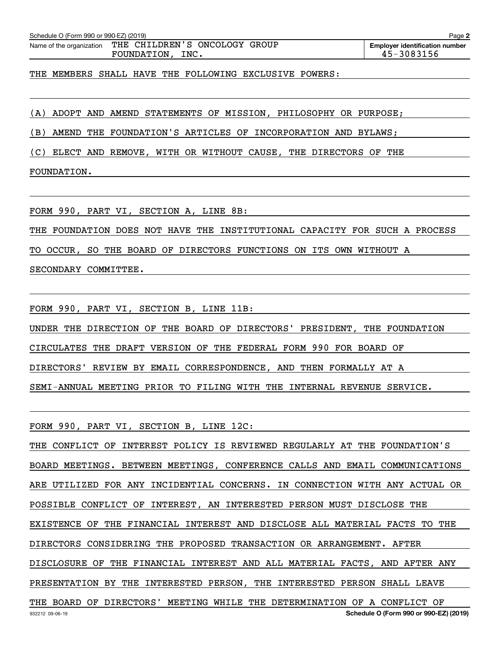Schedule O (Form 990 or 990-EZ) (2019) Page Name of the organization THE CHILDREN'S ONCOLOGY GROUP FOUNDATION, INC. 45-3083156

**2**

THE MEMBERS SHALL HAVE THE FOLLOWING EXCLUSIVE POWERS:

(A) ADOPT AND AMEND STATEMENTS OF MISSION, PHILOSOPHY OR PURPOSE;

(B) AMEND THE FOUNDATION'S ARTICLES OF INCORPORATION AND BYLAWS;

(C) ELECT AND REMOVE, WITH OR WITHOUT CAUSE, THE DIRECTORS OF THE

FOUNDATION.

FORM 990, PART VI, SECTION A, LINE 8B:

THE FOUNDATION DOES NOT HAVE THE INSTITUTIONAL CAPACITY FOR SUCH A PROCESS

TO OCCUR, SO THE BOARD OF DIRECTORS FUNCTIONS ON ITS OWN WITHOUT A

SECONDARY COMMITTEE.

FORM 990, PART VI, SECTION B, LINE 11B:

UNDER THE DIRECTION OF THE BOARD OF DIRECTORS' PRESIDENT, THE FOUNDATION

CIRCULATES THE DRAFT VERSION OF THE FEDERAL FORM 990 FOR BOARD OF

DIRECTORS' REVIEW BY EMAIL CORRESPONDENCE, AND THEN FORMALLY AT A

SEMI-ANNUAL MEETING PRIOR TO FILING WITH THE INTERNAL REVENUE SERVICE.

FORM 990, PART VI, SECTION B, LINE 12C:

THE CONFLICT OF INTEREST POLICY IS REVIEWED REGULARLY AT THE FOUNDATION'S BOARD MEETINGS. BETWEEN MEETINGS, CONFERENCE CALLS AND EMAIL COMMUNICATIONS ARE UTILIZED FOR ANY INCIDENTIAL CONCERNS. IN CONNECTION WITH ANY ACTUAL OR POSSIBLE CONFLICT OF INTEREST, AN INTERESTED PERSON MUST DISCLOSE THE EXISTENCE OF THE FINANCIAL INTEREST AND DISCLOSE ALL MATERIAL FACTS TO THE DIRECTORS CONSIDERING THE PROPOSED TRANSACTION OR ARRANGEMENT. AFTER DISCLOSURE OF THE FINANCIAL INTEREST AND ALL MATERIAL FACTS, AND AFTER ANY PRESENTATION BY THE INTERESTED PERSON, THE INTERESTED PERSON SHALL LEAVE THE BOARD OF DIRECTORS' MEETING WHILE THE DETERMINATION OF A CONFLICT OF